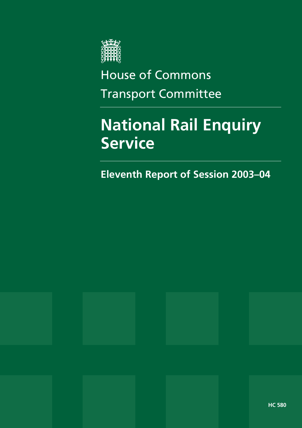

# House of Commons Transport Committee

# **National Rail Enquiry Service**

**Eleventh Report of Session 2003–04** 

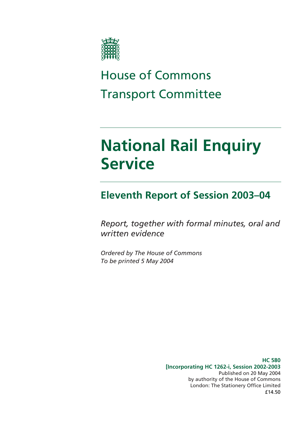

# House of Commons Transport Committee

# **National Rail Enquiry Service**

### **Eleventh Report of Session 2003–04**

*Report, together with formal minutes, oral and written evidence* 

*Ordered by The House of Commons To be printed 5 May 2004* 

> **HC 580 [Incorporating HC 1262-i, Session 2002-2003**  Published on 20 May 2004 by authority of the House of Commons London: The Stationery Office Limited £14.50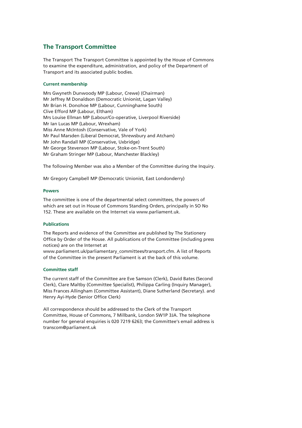#### **The Transport Committee**

The Transport The Transport Committee is appointed by the House of Commons to examine the expenditure, administration, and policy of the Department of Transport and its associated public bodies.

#### **Current membership**

Mrs Gwyneth Dunwoody MP (Labour, Crewe) (Chairman) Mr Jeffrey M Donaldson (Democratic Unionist, Lagan Valley) Mr Brian H. Donohoe MP (Labour, Cunninghame South) Clive Efford MP (Labour, Eltham) Mrs Louise Ellman MP (Labour/Co-operative, Liverpool Riverside) Mr Ian Lucas MP (Labour, Wrexham) Miss Anne McIntosh (Conservative, Vale of York) Mr Paul Marsden (Liberal Democrat, Shrewsbury and Atcham) Mr John Randall MP (Conservative, Uxbridge) Mr George Stevenson MP (Labour, Stoke-on-Trent South) Mr Graham Stringer MP (Labour, Manchester Blackley)

The following Member was also a Member of the Committee during the Inquiry.

Mr Gregory Campbell MP (Democratic Unionist, East Londonderry)

#### **Powers**

The committee is one of the departmental select committees, the powers of which are set out in House of Commons Standing Orders, principally in SO No 152. These are available on the Internet via www.parliament.uk.

#### **Publications**

The Reports and evidence of the Committee are published by The Stationery Office by Order of the House. All publications of the Committee (including press notices) are on the Internet at

www.parliament.uk/parliamentary\_committees/transport.cfm. A list of Reports of the Committee in the present Parliament is at the back of this volume.

#### **Committee staff**

The current staff of the Committee are Eve Samson (Clerk), David Bates (Second Clerk), Clare Maltby (Committee Specialist), Philippa Carling (Inquiry Manager), Miss Frances Allingham (Committee Assistant), Diane Sutherland (Secretary). and Henry Ayi-Hyde (Senior Office Clerk)

All correspondence should be addressed to the Clerk of the Transport Committee, House of Commons, 7 Millbank, London SW1P 3JA. The telephone number for general enquiries is 020 7219 6263; the Committee's email address is transcom@parliament.uk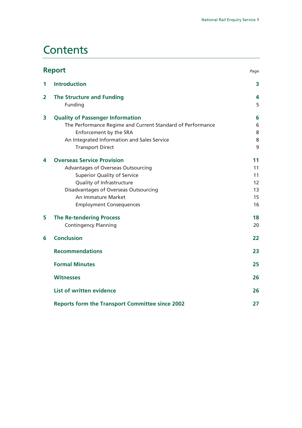### **Contents**

| <b>Report</b> |                                                            | Page |
|---------------|------------------------------------------------------------|------|
| 1             | <b>Introduction</b>                                        | 3    |
| 2             | <b>The Structure and Funding</b>                           | 4    |
|               | Funding                                                    | 5    |
| 3             | <b>Quality of Passenger Information</b>                    | 6    |
|               | The Performance Regime and Current Standard of Performance | 6    |
|               | Enforcement by the SRA                                     | 8    |
|               | An Integrated Information and Sales Service                | 8    |
|               | <b>Transport Direct</b>                                    | 9    |
| 4             | <b>Overseas Service Provision</b>                          | 11   |
|               | Advantages of Overseas Outsourcing                         | 11   |
|               | <b>Superior Quality of Service</b>                         | 11   |
|               | Quality of Infrastructure                                  | 12   |
|               | Disadvantages of Overseas Outsourcing                      | 13   |
|               | An Immature Market                                         | 15   |
|               | <b>Employment Consequences</b>                             | 16   |
| 5             | <b>The Re-tendering Process</b>                            | 18   |
|               | <b>Contingency Planning</b>                                | 20   |
| 6             | <b>Conclusion</b>                                          | 22   |
|               | <b>Recommendations</b>                                     | 23   |
|               | <b>Formal Minutes</b>                                      | 25   |
|               | <b>Witnesses</b>                                           | 26   |
|               | <b>List of written evidence</b>                            | 26   |
|               | <b>Reports form the Transport Committee since 2002</b>     | 27   |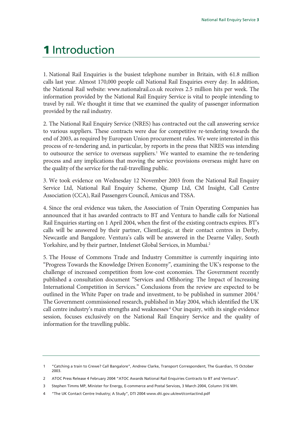### **1** Introduction

1. National Rail Enquiries is the busiest telephone number in Britain, with 61.8 million calls last year. Almost 170,000 people call National Rail Enquiries every day. In addition, the National Rail website: www.nationalrail.co.uk receives 2.5 million hits per week. The information provided by the National Rail Enquiry Service is vital to people intending to travel by rail. We thought it time that we examined the quality of passenger information provided by the rail industry.

2. The National Rail Enquiry Service (NRES) has contracted out the call answering service to various suppliers. These contracts were due for competitive re-tendering towards the end of 2003, as required by European Union procurement rules. We were interested in this process of re-tendering and, in particular, by reports in the press that NRES was intending to outsource the service to overseas suppliers.<sup>1</sup> We wanted to examine the re-tendering process and any implications that moving the service provisions overseas might have on the quality of the service for the rail-travelling public.

3. We took evidence on Wednesday 12 November 2003 from the National Rail Enquiry Service Ltd, National Rail Enquiry Scheme, Qjump Ltd, CM Insight, Call Centre Association (CCA), Rail Passengers Council, Amicus and TSSA.

4. Since the oral evidence was taken, the Association of Train Operating Companies has announced that it has awarded contracts to BT and Ventura to handle calls for National Rail Enquiries starting on 1 April 2004, when the first of the existing contracts expires. BT's calls will be answered by their partner, ClientLogic, at their contact centres in Derby, Newcastle and Bangalore. Ventura's calls will be answered in the Dearne Valley, South Yorkshire, and by their partner, Intelenet Global Services, in Mumbai.<sup>2</sup>

5. The House of Commons Trade and Industry Committee is currently inquiring into "Progress Towards the Knowledge Driven Economy", examining the UK's response to the challenge of increased competition from low-cost economies. The Government recently published a consultation document "Services and Offshoring: The Impact of Increasing International Competition in Services." Conclusions from the review are expected to be outlined in the White Paper on trade and investment, to be published in summer 2004.<sup>3</sup> The Government commissioned research, published in May 2004, which identified the UK call centre industry's main strengths and weaknesses<sup>4</sup> Our inquiry, with its single evidence session, focuses exclusively on the National Rail Enquiry Service and the quality of information for the travelling public.

<sup>1 &</sup>quot;Catching a train to Crewe? Call Bangalore", Andrew Clarke, Transport Correspondent, The Guardian, 15 October 2003.

<sup>2</sup> ATOC Press Release 4 February 2004 "ATOC Awards National Rail Enquiries Contracts to BT and Ventura".

<sup>3</sup> Stephen Timms MP, Minister for Energy, E-commerce and Postal Services, 3 March 2004, Column 316 WH.

<sup>4 &</sup>quot;The UK Contact Centre Industry; A Study", DTI 2004 www.dti.gov.uk/ewt/contactind.pdf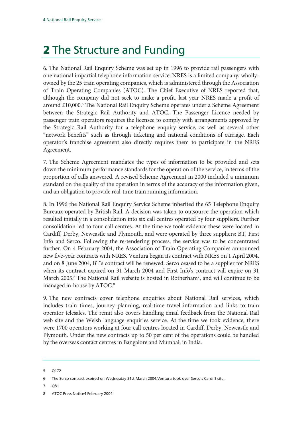### **2** The Structure and Funding

6. The National Rail Enquiry Scheme was set up in 1996 to provide rail passengers with one national impartial telephone information service. NRES is a limited company, whollyowned by the 25 train operating companies, which is administered through the Association of Train Operating Companies (ATOC). The Chief Executive of NRES reported that, although the company did not seek to make a profit, last year NRES made a profit of around £10,000.<sup>5</sup> The National Rail Enquiry Scheme operates under a Scheme Agreement between the Strategic Rail Authority and ATOC. The Passenger Licence needed by passenger train operators requires the licensee to comply with arrangements approved by the Strategic Rail Authority for a telephone enquiry service, as well as several other "network benefits" such as through ticketing and national conditions of carriage. Each operator's franchise agreement also directly requires them to participate in the NRES Agreement.

7. The Scheme Agreement mandates the types of information to be provided and sets down the minimum performance standards for the operation of the service, in terms of the proportion of calls answered. A revised Scheme Agreement in 2000 included a minimum standard on the quality of the operation in terms of the accuracy of the information given, and an obligation to provide real-time train running information.

8. In 1996 the National Rail Enquiry Service Scheme inherited the 65 Telephone Enquiry Bureaux operated by British Rail. A decision was taken to outsource the operation which resulted initially in a consolidation into six call centres operated by four suppliers. Further consolidation led to four call centres. At the time we took evidence these were located in Cardiff, Derby, Newcastle and Plymouth, and were operated by three suppliers: BT, First Info and Serco. Following the re-tendering process, the service was to be concentrated further. On 4 February 2004, the Association of Train Operating Companies announced new five-year contracts with NRES. Ventura began its contract with NRES on 1 April 2004, and on 8 June 2004, BT's contract will be renewed. Serco ceased to be a supplier for NRES when its contract expired on 31 March 2004 and First Info's contract will expire on 31 March 2005.<sup>6</sup> The National Rail website is hosted in Rotherham<sup>7</sup>, and will continue to be managed in-house by ATOC.<sup>8</sup>

9. The new contracts cover telephone enquiries about National Rail services, which includes train times, journey planning, real-time travel information and links to train operator telesales. The remit also covers handling email feedback from the National Rail web site and the Welsh language enquiries service. At the time we took evidence, there were 1700 operators working at four call centres located in Cardiff, Derby, Newcastle and Plymouth. Under the new contracts up to 50 per cent of the operations could be handled by the overseas contact centres in Bangalore and Mumbai, in India.

7 Q81

<sup>5</sup> Q172

<sup>6</sup> The Serco contract expired on Wednesday 31st March 2004.Ventura took over Serco's Cardiff site.

<sup>8</sup> ATOC Press Notice4 February 2004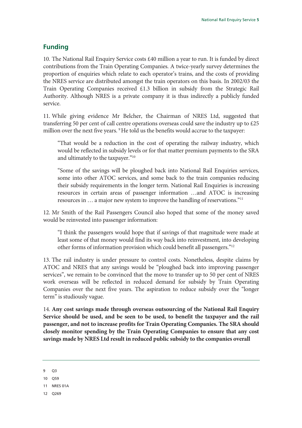#### **Funding**

10. The National Rail Enquiry Service costs £40 million a year to run. It is funded by direct contributions from the Train Operating Companies. A twice-yearly survey determines the proportion of enquiries which relate to each operator's trains, and the costs of providing the NRES service are distributed amongst the train operators on this basis. In 2002/03 the Train Operating Companies received £1.3 billion in subsidy from the Strategic Rail Authority. Although NRES is a private company it is thus indirectly a publicly funded service.

11. While giving evidence Mr Belcher, the Chairman of NRES Ltd, suggested that transferring 50 per cent of call centre operations overseas could save the industry up to £25 million over the next five years. <sup>9</sup> He told us the benefits would accrue to the taxpayer:

"That would be a reduction in the cost of operating the railway industry, which would be reflected in subsidy levels or for that matter premium payments to the SRA and ultimately to the taxpayer."10

"Some of the savings will be ploughed back into National Rail Enquiries services, some into other ATOC services, and some back to the train companies reducing their subsidy requirements in the longer term. National Rail Enquiries is increasing resources in certain areas of passenger information …and ATOC is increasing resources in … a major new system to improve the handling of reservations."11

12. Mr Smith of the Rail Passengers Council also hoped that some of the money saved would be reinvested into passenger information:

"I think the passengers would hope that if savings of that magnitude were made at least some of that money would find its way back into reinvestment, into developing other forms of information provision which could benefit all passengers."12

13. The rail industry is under pressure to control costs. Nonetheless, despite claims by ATOC and NRES that any savings would be "ploughed back into improving passenger services", we remain to be convinced that the move to transfer up to 50 per cent of NRES work overseas will be reflected in reduced demand for subsidy by Train Operating Companies over the next five years. The aspiration to reduce subsidy over the "longer term" is studiously vague.

14. **Any cost savings made through overseas outsourcing of the National Rail Enquiry Service should be used, and be seen to be used, to benefit the taxpayer and the rail passenger, and not to increase profits for Train Operating Companies. The SRA should closely monitor spending by the Train Operating Companies to ensure that any cost savings made by NRES Ltd result in reduced public subsidy to the companies overall**

- 10 Q59
- 11 NRES 01A
- 12 Q269

<sup>9</sup> Q3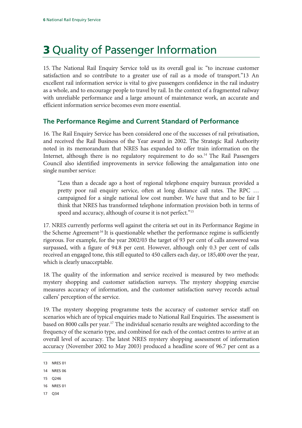## **3** Quality of Passenger Information

15. The National Rail Enquiry Service told us its overall goal is: "to increase customer satisfaction and so contribute to a greater use of rail as a mode of transport."13 An excellent rail information service is vital to give passengers confidence in the rail industry as a whole, and to encourage people to travel by rail. In the context of a fragmented railway with unreliable performance and a large amount of maintenance work, an accurate and efficient information service becomes even more essential.

#### **The Performance Regime and Current Standard of Performance**

16. The Rail Enquiry Service has been considered one of the successes of rail privatisation, and received the Rail Business of the Year award in 2002. The Strategic Rail Authority noted in its memorandum that NRES has expanded to offer train information on the Internet, although there is no regulatory requirement to do so.<sup>14</sup> The Rail Passengers Council also identified improvements in service following the amalgamation into one single number service:

"Less than a decade ago a host of regional telephone enquiry bureaux provided a pretty poor rail enquiry service, often at long distance call rates. The RPC … campaigned for a single national low cost number. We have that and to be fair I think that NRES has transformed telephone information provision both in terms of speed and accuracy, although of course it is not perfect."<sup>15</sup>

17. NRES currently performs well against the criteria set out in its Performance Regime in the Scheme Agreement<sup>16</sup> It is questionable whether the performance regime is sufficiently rigorous. For example, for the year 2002/03 the target of 93 per cent of calls answered was surpassed, with a figure of 94.8 per cent. However, although only 0.3 per cent of calls received an engaged tone, this still equated to 450 callers each day, or 185,400 over the year, which is clearly unacceptable.

18. The quality of the information and service received is measured by two methods: mystery shopping and customer satisfaction surveys. The mystery shopping exercise measures accuracy of information, and the customer satisfaction survey records actual callers' perception of the service.

19. The mystery shopping programme tests the accuracy of customer service staff on scenarios which are of typical enquiries made to National Rail Enquiries. The assessment is based on 8000 calls per year.17 The individual scenario results are weighted according to the frequency of the scenario type, and combined for each of the contact centres to arrive at an overall level of accuracy. The latest NRES mystery shopping assessment of information accuracy (November 2002 to May 2003) produced a headline score of 96.7 per cent as a

- 15 Q246
- 16 NRES 01
- 17 Q34

<sup>13</sup> NRES 01

<sup>14</sup> NRES 06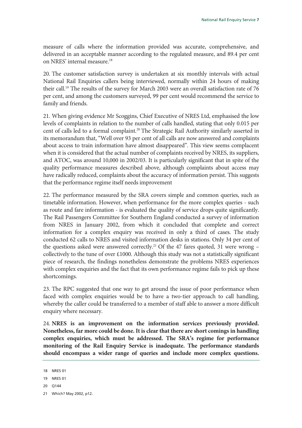measure of calls where the information provided was accurate, comprehensive, and delivered in an acceptable manner according to the regulated measure, and 89.4 per cent on NRES' internal measure.18

20. The customer satisfaction survey is undertaken at six monthly intervals with actual National Rail Enquiries callers being interviewed, normally within 24 hours of making their call.<sup>19</sup> The results of the survey for March 2003 were an overall satisfaction rate of 76 per cent, and among the customers surveyed, 99 per cent would recommend the service to family and friends.

21. When giving evidence Mr Scoggins, Chief Executive of NRES Ltd, emphasised the low levels of complaints in relation to the number of calls handled, stating that only 0.015 per cent of calls led to a formal complaint.<sup>20</sup> The Strategic Rail Authority similarly asserted in its memorandum that, "Well over 93 per cent of all calls are now answered and complaints about access to train information have almost disappeared". This view seems complacent when it is considered that the actual number of complaints received by NRES, its suppliers, and ATOC, was around 10,000 in 2002/03. It is particularly significant that in spite of the quality performance measures described above, although complaints about access may have radically reduced, complaints about the accuracy of information persist. This suggests that the performance regime itself needs improvement

22. The performance measured by the SRA covers simple and common queries, such as timetable information. However, when performance for the more complex queries - such as route and fare information - is evaluated the quality of service drops quite significantly. The Rail Passengers Committee for Southern England conducted a survey of information from NRES in January 2002, from which it concluded that complete and correct information for a complex enquiry was received in only a third of cases. The study conducted 62 calls to NRES and visited information desks in stations. Only 34 per cent of the questions asked were answered correctly.<sup>21</sup> Of the 47 fares quoted, 31 were wrong  $$ collectively to the tune of over  $£1000$ . Although this study was not a statistically significant piece of research, the findings nonetheless demonstrate the problems NRES experiences with complex enquiries and the fact that its own performance regime fails to pick up these shortcomings.

23. The RPC suggested that one way to get around the issue of poor performance when faced with complex enquiries would be to have a two-tier approach to call handling, whereby the caller could be transferred to a member of staff able to answer a more difficult enquiry where necessary.

24. **NRES is an improvement on the information services previously provided. Nonetheless, far more could be done. It is clear that there are short comings in handling complex enquiries, which must be addressed. The SRA's regime for performance monitoring of the Rail Enquiry Service is inadequate. The performance standards should encompass a wider range of queries and include more complex questions.** 

20 Q144

<sup>18</sup> NRES 01

<sup>19</sup> NRES 01

<sup>21</sup> Which? May 2002, p12.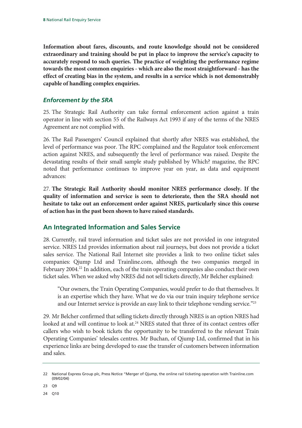**Information about fares, discounts, and route knowledge should not be considered extraordinary and training should be put in place to improve the service's capacity to accurately respond to such queries. The practice of weighting the performance regime towards the most common enquiries - which are also the most straightforward - has the effect of creating bias in the system, and results in a service which is not demonstrably capable of handling complex enquiries.**

#### *Enforcement by the SRA*

25. The Strategic Rail Authority can take formal enforcement action against a train operator in line with section 55 of the Railways Act 1993 if any of the terms of the NRES Agreement are not complied with.

26. The Rail Passengers' Council explained that shortly after NRES was established, the level of performance was poor. The RPC complained and the Regulator took enforcement action against NRES, and subsequently the level of performance was raised. Despite the devastating results of their small sample study published by Which? magazine, the RPC noted that performance continues to improve year on year, as data and equipment advances:

27. **The Strategic Rail Authority should monitor NRES performance closely. If the quality of information and service is seen to deteriorate, then the SRA should not hesitate to take out an enforcement order against NRES, particularly since this course of action has in the past been shown to have raised standards.**

#### **An Integrated Information and Sales Service**

28. Currently, rail travel information and ticket sales are not provided in one integrated service. NRES Ltd provides information about rail journeys, but does not provide a ticket sales service. The National Rail Internet site provides a link to two online ticket sales companies: Qjump Ltd and Trainline.com, although the two companies merged in February 2004.<sup>22</sup> In addition, each of the train operating companies also conduct their own ticket sales. When we asked why NRES did not sell tickets directly, Mr Belcher explained:

"Our owners, the Train Operating Companies, would prefer to do that themselves. It is an expertise which they have. What we do via our train inquiry telephone service and our Internet service is provide an easy link to their telephone vending service."23

29. Mr Belcher confirmed that selling tickets directly through NRES is an option NRES had looked at and will continue to look at.<sup>24</sup> NRES stated that three of its contact centres offer callers who wish to book tickets the opportunity to be transferred to the relevant Train Operating Companies' telesales centres. Mr Buchan, of Qjump Ltd, confirmed that in his experience links are being developed to ease the transfer of customers between information and sales.

23 Q9

24 Q10

<sup>22</sup> National Express Group plc, Press Notice "Merger of Qjump, the online rail ticketing operation with Trainline.com (09/02/04)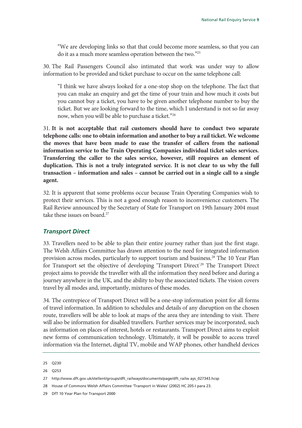"We are developing links so that that could become more seamless, so that you can do it as a much more seamless operation between the two."25

30. The Rail Passengers Council also intimated that work was under way to allow information to be provided and ticket purchase to occur on the same telephone call:

"I think we have always looked for a one-stop shop on the telephone. The fact that you can make an enquiry and get the time of your train and how much it costs but you cannot buy a ticket, you have to be given another telephone number to buy the ticket. But we are looking forward to the time, which I understand is not so far away now, when you will be able to purchase a ticket."26

31. **It is not acceptable that rail customers should have to conduct two separate telephone calls: one to obtain information and another to buy a rail ticket. We welcome the moves that have been made to ease the transfer of callers from the national information service to the Train Operating Companies individual ticket sales services. Transferring the caller to the sales service, however, still requires an element of duplication. This is not a truly integrated service. It is not clear to us why the full transaction – information and sales – cannot be carried out in a single call to a single agent.**

32. It is apparent that some problems occur because Train Operating Companies wish to protect their services. This is not a good enough reason to inconvenience customers. The Rail Review announced by the Secretary of State for Transport on 19th January 2004 must take these issues on board.<sup>27</sup>

#### *Transport Direct*

33. Travellers need to be able to plan their entire journey rather than just the first stage. The Welsh Affairs Committee has drawn attention to the need for integrated information provision across modes, particularly to support tourism and business.28 The 10 Year Plan for Transport set the objective of developing 'Transport Direct<sup>'29</sup> The Transport Direct project aims to provide the traveller with all the information they need before and during a journey anywhere in the UK, and the ability to buy the associated tickets. The vision covers travel by all modes and, importantly, mixtures of these modes.

34. The centrepiece of Transport Direct will be a one-stop information point for all forms of travel information. In addition to schedules and details of any disruption on the chosen route, travellers will be able to look at maps of the area they are intending to visit. There will also be information for disabled travellers. Further services may be incorporated, such as information on places of interest, hotels or restaurants. Transport Direct aims to exploit new forms of communication technology. Ultimately, it will be possible to access travel information via the Internet, digital TV, mobile and WAP phones, other handheld devices

<sup>25</sup> Q230

<sup>26</sup> Q253

<sup>27</sup> http://www.dft.gov.uk/stellent/groups/dft\_railways/documents/page/dft\_railw ays\_027343.hcsp

<sup>28</sup> House of Commons Welsh Affairs Committee 'Transport in Wales' (2002) HC 205-I para 23.

<sup>29</sup> DfT 10 Year Plan for Transport 2000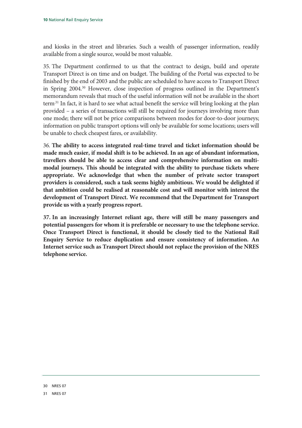and kiosks in the street and libraries. Such a wealth of passenger information, readily available from a single source, would be most valuable.

35. The Department confirmed to us that the contract to design, build and operate Transport Direct is on time and on budget. The building of the Portal was expected to be finished by the end of 2003 and the public are scheduled to have access to Transport Direct in Spring 2004.30 However, close inspection of progress outlined in the Department's memorandum reveals that much of the useful information will not be available in the short term.31 In fact, it is hard to see what actual benefit the service will bring looking at the plan provided – a series of transactions will still be required for journeys involving more than one mode; there will not be price comparisons between modes for door-to-door journeys; information on public transport options will only be available for some locations; users will be unable to check cheapest fares, or availability.

36. **The ability to access integrated real-time travel and ticket information should be made much easier, if modal shift is to be achieved. In an age of abundant information, travellers should be able to access clear and comprehensive information on multimodal journeys. This should be integrated with the ability to purchase tickets where appropriate. We acknowledge that when the number of private sector transport providers is considered, such a task seems highly ambitious. We would be delighted if that ambition could be realised at reasonable cost and will monitor with interest the development of Transport Direct. We recommend that the Department for Transport provide us with a yearly progress report.**

**37. In an increasingly Internet reliant age, there will still be many passengers and potential passengers for whom it is preferable or necessary to use the telephone service. Once Transport Direct is functional, it should be closely tied to the National Rail Enquiry Service to reduce duplication and ensure consistency of information. An Internet service such as Transport Direct should not replace the provision of the NRES telephone service.**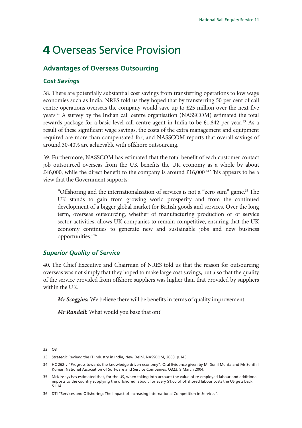### **4** Overseas Service Provision

#### **Advantages of Overseas Outsourcing**

#### *Cost Savings*

38. There are potentially substantial cost savings from transferring operations to low wage economies such as India. NRES told us they hoped that by transferring 50 per cent of call centre operations overseas the company would save up to £25 million over the next five years.32 A survey by the Indian call centre organisation (NASSCOM) estimated the total rewards package for a basic level call centre agent in India to be £1,842 per year.<sup>33</sup> As a result of these significant wage savings, the costs of the extra management and equipment required are more than compensated for, and NASSCOM reports that overall savings of around 30-40% are achievable with offshore outsourcing.

39. Furthermore, NASSCOM has estimated that the total benefit of each customer contact job outsourced overseas from the UK benefits the UK economy as a whole by about £46,000, while the direct benefit to the company is around £16,000<sup>34</sup> This appears to be a view that the Government supports:

"Offshoring and the internationalisation of services is not a "zero sum" game.35 The UK stands to gain from growing world prosperity and from the continued development of a bigger global market for British goods and services. Over the long term, overseas outsourcing, whether of manufacturing production or of service sector activities, allows UK companies to remain competitive, ensuring that the UK economy continues to generate new and sustainable jobs and new business opportunities."36

#### *Superior Quality of Service*

40. The Chief Executive and Chairman of NRES told us that the reason for outsourcing overseas was not simply that they hoped to make large cost savings, but also that the quality of the service provided from offshore suppliers was higher than that provided by suppliers within the UK.

*Mr Scoggins:* We believe there will be benefits in terms of quality improvement.

*Mr Randall***:** What would you base that on?

32 Q3

<sup>33</sup> Strategic Review: the IT Industry in India, New Delhi, NASSCOM, 2003, p.143

<sup>34</sup> HC 262-v "Progress towards the knowledge driven economy". Oral Evidence given by Mr Sunil Mehta and Mr Senthil Kumar, National Association of Software and Service Companies, Q323, 9 March 2004.

<sup>35</sup> McKinseys has estimated that, for the US, when taking into account the value of re-employed labour and additional imports to the country supplying the offshored labour, for every \$1.00 of offshored labour costs the US gets back \$1.14.

<sup>36</sup> DTI "Services and Offshoring: The Impact of Increasing International Competition in Services".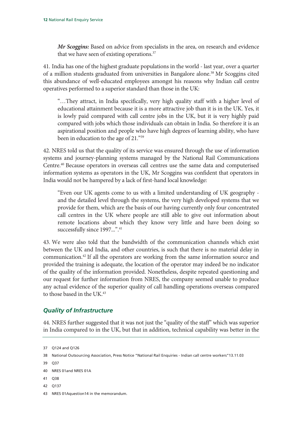*Mr Scoggins:* Based on advice from specialists in the area, on research and evidence that we have seen of existing operations.<sup>37</sup>

41. India has one of the highest graduate populations in the world - last year, over a quarter of a million students graduated from universities in Bangalore alone.<sup>38</sup> Mr Scoggins cited this abundance of well-educated employees amongst his reasons why Indian call centre operatives performed to a superior standard than those in the UK:

"…They attract, in India specifically, very high quality staff with a higher level of educational attainment because it is a more attractive job than it is in the UK. Yes, it is lowly paid compared with call centre jobs in the UK, but it is very highly paid compared with jobs which those individuals can obtain in India. So therefore it is an aspirational position and people who have high degrees of learning ability, who have been in education to the age of 21."39

42. NRES told us that the quality of its service was ensured through the use of information systems and journey-planning systems managed by the National Rail Communications Centre.40 Because operators in overseas call centres use the same data and computerised information systems as operators in the UK, Mr Scoggins was confident that operators in India would not be hampered by a lack of first-hand local knowledge:

"Even our UK agents come to us with a limited understanding of UK geography and the detailed level through the systems, the very high developed systems that we provide for them, which are the basis of our having currently only four concentrated call centres in the UK where people are still able to give out information about remote locations about which they know very little and have been doing so successfully since 1997...".<sup>41</sup>

43. We were also told that the bandwidth of the communication channels which exist between the UK and India, and other countries, is such that there is no material delay in communication.42 If all the operators are working from the same information source and provided the training is adequate, the location of the operator may indeed be no indicator of the quality of the information provided. Nonetheless, despite repeated questioning and our request for further information from NRES, the company seemed unable to produce any actual evidence of the superior quality of call handling operations overseas compared to those based in the UK.<sup>43</sup>

#### *Quality of Infrastructure*

44. NRES further suggested that it was not just the "quality of the staff" which was superior in India compared to in the UK, but that in addition, technical capability was better in the

- 41 038
- 42 Q137
- 43 NRES 01Aquestion14 in the memorandum.

<sup>37</sup> Q124 and Q126

<sup>38</sup> National Outsourcing Association, Press Notice "National Rail Enquiries - Indian call centre workers"13.11.03

<sup>39</sup> Q37

<sup>40</sup> NRES 01and NRES 01A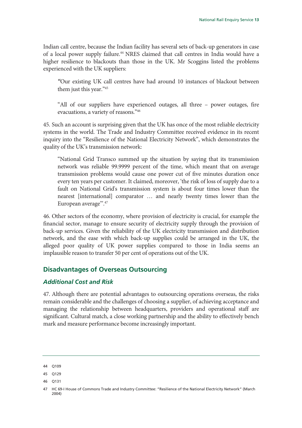Indian call centre, because the Indian facility has several sets of back-up generators in case of a local power supply failure.<sup>44</sup> NRES claimed that call centres in India would have a higher resilience to blackouts than those in the UK. Mr Scoggins listed the problems experienced with the UK suppliers:

*"*Our existing UK call centres have had around 10 instances of blackout between them just this year."45

"All of our suppliers have experienced outages, all three – power outages, fire evacuations, a variety of reasons."46

45. Such an account is surprising given that the UK has once of the most reliable electricity systems in the world. The Trade and Industry Committee received evidence in its recent inquiry into the "Resilience of the National Electricity Network", which demonstrates the quality of the UK's transmission network:

"National Grid Transco summed up the situation by saying that its transmission network was reliable 99.9999 percent of the time, which meant that on average transmission problems would cause one power cut of five minutes duration once every ten years per customer. It claimed, moreover, 'the risk of loss of supply due to a fault on National Grid's transmission system is about four times lower than the nearest [international] comparator … and nearly twenty times lower than the European average'".47

46. Other sectors of the economy, where provision of electricity is crucial, for example the financial sector, manage to ensure security of electricity supply through the provision of back-up services. Given the reliability of the UK electricity transmission and distribution network, and the ease with which back-up supplies could be arranged in the UK, the alleged poor quality of UK power supplies compared to those in India seems an implausible reason to transfer 50 per cent of operations out of the UK.

#### **Disadvantages of Overseas Outsourcing**

#### *Additional Cost and Risk*

47. Although there are potential advantages to outsourcing operations overseas, the risks remain considerable and the challenges of choosing a supplier, of achieving acceptance and managing the relationship between headquarters, providers and operational staff are significant. Cultural match, a close working partnership and the ability to effectively bench mark and measure performance become increasingly important.

<sup>44</sup> Q109

<sup>45</sup> Q129

<sup>46</sup> Q131

<sup>47</sup> HC 69-I House of Commons Trade and Industry Committee: "Resilience of the National Electricity Network" (March 2004)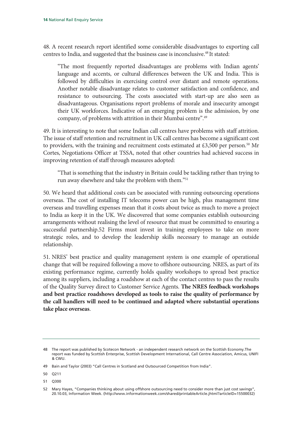48. A recent research report identified some considerable disadvantages to exporting call centres to India, and suggested that the business case is inconclusive.<sup>48</sup> It stated:

"The most frequently reported disadvantages are problems with Indian agents' language and accents, or cultural differences between the UK and India. This is followed by difficulties in exercising control over distant and remote operations. Another notable disadvantage relates to customer satisfaction and confidence, and resistance to outsourcing. The costs associated with start-up are also seen as disadvantageous. Organisations report problems of morale and insecurity amongst their UK workforces. Indicative of an emerging problem is the admission, by one company, of problems with attrition in their Mumbai centre".49

49. It is interesting to note that some Indian call centres have problems with staff attrition. The issue of staff retention and recruitment in UK call centres has become a significant cost to providers, with the training and recruitment costs estimated at £3,500 per person.<sup>50</sup> Mr Cortes, Negotiations Officer at TSSA, noted that other countries had achieved success in improving retention of staff through measures adopted:

"That is something that the industry in Britain could be tackling rather than trying to run away elsewhere and take the problem with them."51

50. We heard that additional costs can be associated with running outsourcing operations overseas. The cost of installing IT telecoms power can be high, plus management time overseas and travelling expenses mean that it costs about twice as much to move a project to India as keep it in the UK. We discovered that some companies establish outsourcing arrangements without realising the level of resource that must be committed to ensuring a successful partnership.52 Firms must invest in training employees to take on more strategic roles, and to develop the leadership skills necessary to manage an outside relationship.

51. NRES' best practice and quality management system is one example of operational change that will be required following a move to offshore outsourcing. NRES, as part of its existing performance regime, currently holds quality workshops to spread best practice among its suppliers, including a roadshow at each of the contact centres to pass the results of the Quality Survey direct to Customer Service Agents. **The NRES feedback workshops and best practice roadshows developed as tools to raise the quality of performance by the call handlers will need to be continued and adapted where substantial operations take place overseas**.

50 Q211

<sup>48</sup> The report was published by Scotecon Network - an independent research network on the Scottish Economy.The report was funded by Scottish Enterprise, Scottish Development International, Call Centre Association, Amicus, UNIFI & CWU.

<sup>49</sup> Bain and Taylor (2003) "Call Centres in Scotland and Outsourced Competition from India".

<sup>51</sup> Q300

<sup>52</sup> Mary Hayes, "Companies thinking about using offshore outsourcing need to consider more than just cost savings", 20.10.03, Information Week. (http://www.informationweek.com/shared/printableArticle.jhtml?articleID=15500032)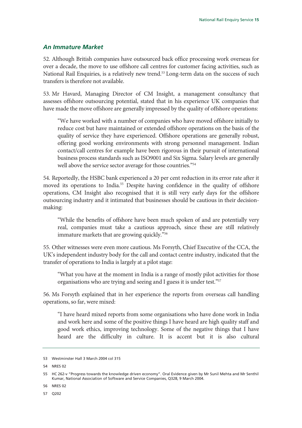#### *An Immature Market*

52. Although British companies have outsourced back office processing work overseas for over a decade, the move to use offshore call centres for customer facing activities, such as National Rail Enquiries, is a relatively new trend.<sup>53</sup> Long-term data on the success of such transfers is therefore not available.

53. Mr Havard, Managing Director of CM Insight, a management consultancy that assesses offshore outsourcing potential, stated that in his experience UK companies that have made the move offshore are generally impressed by the quality of offshore operations:

"We have worked with a number of companies who have moved offshore initially to reduce cost but have maintained or extended offshore operations on the basis of the quality of service they have experienced. Offshore operations are generally robust, offering good working environments with strong personnel management. Indian contact/call centres for example have been rigorous in their pursuit of international business process standards such as ISO9001 and Six Sigma. Salary levels are generally well above the service sector average for those countries."<sup>54</sup>

54. Reportedly, the HSBC bank experienced a 20 per cent reduction in its error rate after it moved its operations to India.<sup>55</sup> Despite having confidence in the quality of offshore operations, CM Insight also recognised that it is still very early days for the offshore outsourcing industry and it intimated that businesses should be cautious in their decisionmaking:

"While the benefits of offshore have been much spoken of and are potentially very real, companies must take a cautious approach, since these are still relatively immature markets that are growing quickly."56

55. Other witnesses were even more cautious. Ms Forsyth, Chief Executive of the CCA, the UK's independent industry body for the call and contact centre industry, indicated that the transfer of operations to India is largely at a pilot stage:

"What you have at the moment in India is a range of mostly pilot activities for those organisations who are trying and seeing and I guess it is under test."57

56. Ms Forsyth explained that in her experience the reports from overseas call handling operations, so far, were mixed:

"I have heard mixed reports from some organisations who have done work in India and work here and some of the positive things I have heard are high quality staff and good work ethics, improving technology. Some of the negative things that I have heard are the difficulty in culture. It is accent but it is also cultural

<sup>53</sup> Westminster Hall 3 March 2004 col 315

<sup>54</sup> NRES 02

<sup>55</sup> HC 262-v "Progress towards the knowledge driven economy". Oral Evidence given by Mr Sunil Mehta and Mr Senthil Kumar, National Association of Software and Service Companies, Q328, 9 March 2004.

<sup>56</sup> NRES 02

<sup>57</sup> Q202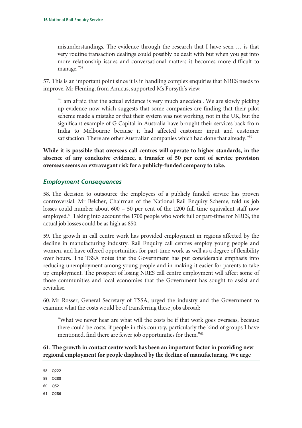misunderstandings. The evidence through the research that I have seen … is that very routine transaction dealings could possibly be dealt with but when you get into more relationship issues and conversational matters it becomes more difficult to manage."58

57. This is an important point since it is in handling complex enquiries that NRES needs to improve. Mr Fleming, from Amicus, supported Ms Forsyth's view:

"I am afraid that the actual evidence is very much anecdotal. We are slowly picking up evidence now which suggests that some companies are finding that their pilot scheme made a mistake or that their system was not working, not in the UK, but the significant example of G Capital in Australia have brought their services back from India to Melbourne because it had affected customer input and customer satisfaction. There are other Australian companies which had done that already."<sup>59</sup>

**While it is possible that overseas call centres will operate to higher standards, in the absence of any conclusive evidence, a transfer of 50 per cent of service provision overseas seems an extravagant risk for a publicly-funded company to take.** 

#### *Employment Consequences*

58. The decision to outsource the employees of a publicly funded service has proven controversial. Mr Belcher, Chairman of the National Rail Enquiry Scheme, told us job losses could number about 600 – 50 per cent of the 1200 full time equivalent staff now employed.<sup>60</sup> Taking into account the 1700 people who work full or part-time for NRES, the actual job losses could be as high as 850.

59. The growth in call centre work has provided employment in regions affected by the decline in manufacturing industry. Rail Enquiry call centres employ young people and women, and have offered opportunities for part-time work as well as a degree of flexibility over hours. The TSSA notes that the Government has put considerable emphasis into reducing unemployment among young people and in making it easier for parents to take up employment. The prospect of losing NRES call centre employment will affect some of those communities and local economies that the Government has sought to assist and revitalise.

60. Mr Rosser, General Secretary of TSSA, urged the industry and the Government to examine what the costs would be of transferring these jobs abroad:

"What we never hear are what will the costs be if that work goes overseas, because there could be costs, if people in this country, particularly the kind of groups I have mentioned, find there are fewer job opportunities for them."<sup>61</sup>

#### **61. The growth in contact centre work has been an important factor in providing new regional employment for people displaced by the decline of manufacturing. We urge**

58 Q222

59 Q288

60 Q52

61 Q286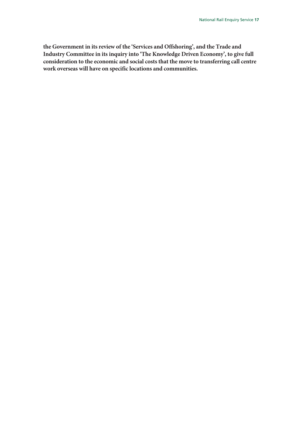**the Government in its review of the 'Services and Offshoring', and the Trade and Industry Committee in its inquiry into 'The Knowledge Driven Economy', to give full consideration to the economic and social costs that the move to transferring call centre work overseas will have on specific locations and communities.**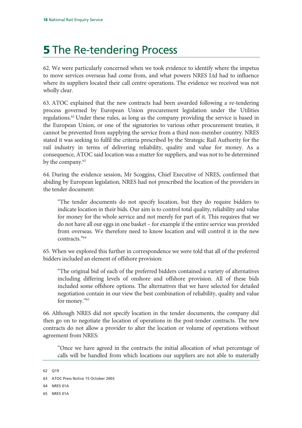### **5** The Re-tendering Process

62. We were particularly concerned when we took evidence to identify where the impetus to move services overseas had come from, and what powers NRES Ltd had to influence where its suppliers located their call centre operations. The evidence we received was not wholly clear.

63. ATOC explained that the new contracts had been awarded following a re-tendering process governed by European Union procurement legislation under the Utilities regulations.<sup>62</sup> Under these rules, as long as the company providing the service is based in the European Union, or one of the signatories to various other procurement treaties, it cannot be prevented from supplying the service from a third non-member country. NRES stated it was seeking to fulfil the criteria prescribed by the Strategic Rail Authority for the rail industry in terms of delivering reliability, quality and value for money. As a consequence, ATOC said location was a matter for suppliers, and was not to be determined by the company.<sup>63</sup>

64. During the evidence session, Mr Scoggins, Chief Executive of NRES, confirmed that abiding by European legislation, NRES had not prescribed the location of the providers in the tender document:

"The tender documents do not specify location, but they do require bidders to indicate location in their bids. Our aim is to control total quality, reliability and value for money for the whole service and not merely for part of it. This requires that we do not have all our eggs in one basket – for example if the entire service was provided from overseas. We therefore need to know location and will control it in the new contracts."64

65. When we explored this further in correspondence we were told that all of the preferred bidders included an element of offshore provision:

"The original bid of each of the preferred bidders contained a variety of alternatives including differing levels of onshore and offshore provision. All of these bids included some offshore options. The alternatives that we have selected for detailed negotiation contain in our view the best combination of reliability, quality and value for money."<sup>65</sup>

66. Although NRES did not specify location in the tender documents, the company did then go on to negotiate the location of operations in the post-tender contracts. The new contracts do not allow a provider to alter the location or volume of operations without agreement from NRES:

"Once we have agreed in the contracts the initial allocation of what percentage of calls will be handled from which locations our suppliers are not able to materially

- 64 NRES 01A
- 65 NRES 01A

<sup>62</sup> Q19

<sup>63</sup> ATOC Press Notice 15 October 2003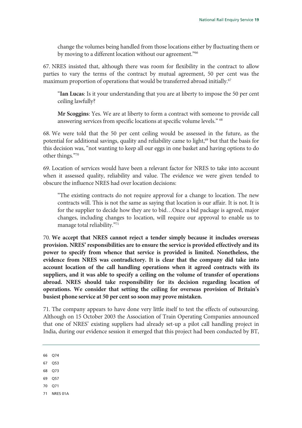change the volumes being handled from those locations either by fluctuating them or by moving to a different location without our agreement."<sup>66</sup>

67. NRES insisted that, although there was room for flexibility in the contract to allow parties to vary the terms of the contract by mutual agreement, 50 per cent was the maximum proportion of operations that would be transferred abroad initially.<sup>67</sup>

"**Ian Lucas**: Is it your understanding that you are at liberty to impose the 50 per cent ceiling lawfully?

**Mr Scoggins**: Yes. We are at liberty to form a contract with someone to provide call answering services from specific locations at specific volume levels." 68

68. We were told that the 50 per cent ceiling would be assessed in the future, as the potential for additional savings, quality and reliability came to light,<sup>69</sup> but that the basis for this decision was, "not wanting to keep all our eggs in one basket and having options to do other things."70

69. Location of services would have been a relevant factor for NRES to take into account when it assessed quality, reliability and value. The evidence we were given tended to obscure the influence NRES had over location decisions:

"The existing contracts do not require approval for a change to location. The new contracts will. This is not the same as saying that location is our affair. It is not. It is for the supplier to decide how they are to bid…Once a bid package is agreed, major changes, including changes to location, will require our approval to enable us to manage total reliability."71

70. **We accept that NRES cannot reject a tender simply because it includes overseas provision. NRES' responsibilities are to ensure the service is provided effectively and its power to specify from whence that service is provided is limited. Nonetheless, the evidence from NRES was contradictory. It is clear that the company did take into account location of the call handling operations when it agreed contracts with its suppliers, and it was able to specify a ceiling on the volume of transfer of operations abroad. NRES should take responsibility for its decision regarding location of operations. We consider that setting the ceiling for overseas provision of Britain's busiest phone service at 50 per cent so soon may prove mistaken.** 

71. The company appears to have done very little itself to test the effects of outsourcing. Although on 15 October 2003 the Association of Train Operating Companies announced that one of NRES' existing suppliers had already set-up a pilot call handling project in India, during our evidence session it emerged that this project had been conducted by BT,

- 66 Q74
- 67 Q53
- 68 Q73
- 69 Q57
- 70 Q71
- 71 NRES 01A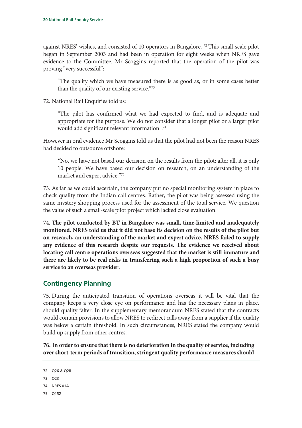against NRES' wishes, and consisted of 10 operators in Bangalore.<sup>72</sup> This small-scale pilot began in September 2003 and had been in operation for eight weeks when NRES gave evidence to the Committee. Mr Scoggins reported that the operation of the pilot was proving "very successful":

"The quality which we have measured there is as good as, or in some cases better than the quality of our existing service."73

72. National Rail Enquiries told us:

"The pilot has confirmed what we had expected to find, and is adequate and appropriate for the purpose. We do not consider that a longer pilot or a larger pilot would add significant relevant information".74

However in oral evidence Mr Scoggins told us that the pilot had not been the reason NRES had decided to outsource offshore:

*"*No, we have not based our decision on the results from the pilot; after all, it is only 10 people. We have based our decision on research, on an understanding of the market and expert advice."75

73. As far as we could ascertain, the company put no special monitoring system in place to check quality from the Indian call centres. Rather, the pilot was being assessed using the same mystery shopping process used for the assessment of the total service. We question the value of such a small-scale pilot project which lacked close evaluation.

74. **The pilot conducted by BT in Bangalore was small, time-limited and inadequately monitored. NRES told us that it did not base its decision on the results of the pilot but on research, an understanding of the market and expert advice. NRES failed to supply any evidence of this research despite our requests. The evidence we received about locating call centre operations overseas suggested that the market is still immature and there are likely to be real risks in transferring such a high proportion of such a busy service to an overseas provider.**

#### **Contingency Planning**

75. During the anticipated transition of operations overseas it will be vital that the company keeps a very close eye on performance and has the necessary plans in place, should quality falter. In the supplementary memorandum NRES stated that the contracts would contain provisions to allow NRES to redirect calls away from a supplier if the quality was below a certain threshold. In such circumstances, NRES stated the company would build up supply from other centres.

**76. In order to ensure that there is no deterioration in the quality of service, including over short-term periods of transition, stringent quality performance measures should** 

```
72 Q26 & Q28
```
- 73 Q23
- 74 NRES 01A
- 75 Q152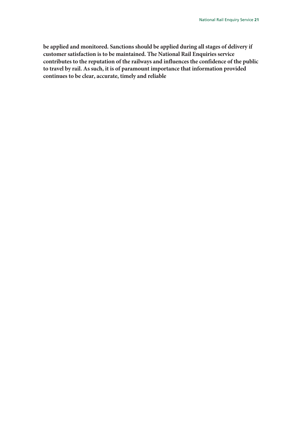**be applied and monitored. Sanctions should be applied during all stages of delivery if customer satisfaction is to be maintained. The National Rail Enquiries service contributes to the reputation of the railways and influences the confidence of the public to travel by rail. As such, it is of paramount importance that information provided continues to be clear, accurate, timely and reliable**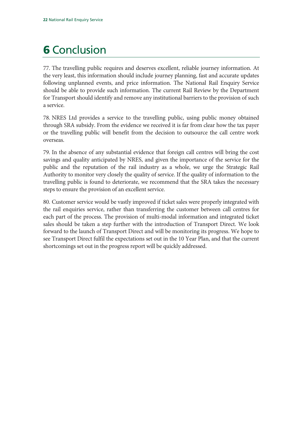### **6** Conclusion

77. The travelling public requires and deserves excellent, reliable journey information. At the very least, this information should include journey planning, fast and accurate updates following unplanned events, and price information. The National Rail Enquiry Service should be able to provide such information. The current Rail Review by the Department for Transport should identify and remove any institutional barriers to the provision of such a service.

78. NRES Ltd provides a service to the travelling public, using public money obtained through SRA subsidy. From the evidence we received it is far from clear how the tax payer or the travelling public will benefit from the decision to outsource the call centre work overseas.

79. In the absence of any substantial evidence that foreign call centres will bring the cost savings and quality anticipated by NRES, and given the importance of the service for the public and the reputation of the rail industry as a whole, we urge the Strategic Rail Authority to monitor very closely the quality of service. If the quality of information to the travelling public is found to deteriorate, we recommend that the SRA takes the necessary steps to ensure the provision of an excellent service.

80. Customer service would be vastly improved if ticket sales were properly integrated with the rail enquiries service, rather than transferring the customer between call centres for each part of the process. The provision of multi-modal information and integrated ticket sales should be taken a step further with the introduction of Transport Direct. We look forward to the launch of Transport Direct and will be monitoring its progress. We hope to see Transport Direct fulfil the expectations set out in the 10 Year Plan, and that the current shortcomings set out in the progress report will be quickly addressed.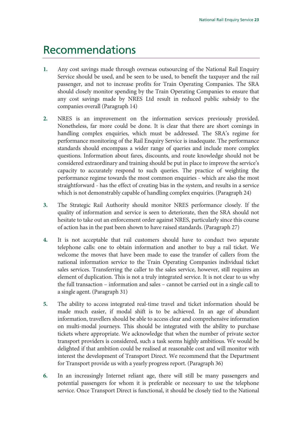### Recommendations

- **1.** Any cost savings made through overseas outsourcing of the National Rail Enquiry Service should be used, and be seen to be used, to benefit the taxpayer and the rail passenger, and not to increase profits for Train Operating Companies. The SRA should closely monitor spending by the Train Operating Companies to ensure that any cost savings made by NRES Ltd result in reduced public subsidy to the companies overall (Paragraph 14)
- **2.** NRES is an improvement on the information services previously provided. Nonetheless, far more could be done. It is clear that there are short comings in handling complex enquiries, which must be addressed. The SRA's regime for performance monitoring of the Rail Enquiry Service is inadequate. The performance standards should encompass a wider range of queries and include more complex questions. Information about fares, discounts, and route knowledge should not be considered extraordinary and training should be put in place to improve the service's capacity to accurately respond to such queries. The practice of weighting the performance regime towards the most common enquiries - which are also the most straightforward - has the effect of creating bias in the system, and results in a service which is not demonstrably capable of handling complex enquiries. (Paragraph 24)
- **3.** The Strategic Rail Authority should monitor NRES performance closely. If the quality of information and service is seen to deteriorate, then the SRA should not hesitate to take out an enforcement order against NRES, particularly since this course of action has in the past been shown to have raised standards. (Paragraph 27)
- **4.** It is not acceptable that rail customers should have to conduct two separate telephone calls: one to obtain information and another to buy a rail ticket. We welcome the moves that have been made to ease the transfer of callers from the national information service to the Train Operating Companies individual ticket sales services. Transferring the caller to the sales service, however, still requires an element of duplication. This is not a truly integrated service. It is not clear to us why the full transaction – information and sales – cannot be carried out in a single call to a single agent. (Paragraph 31)
- **5.** The ability to access integrated real-time travel and ticket information should be made much easier, if modal shift is to be achieved. In an age of abundant information, travellers should be able to access clear and comprehensive information on multi-modal journeys. This should be integrated with the ability to purchase tickets where appropriate. We acknowledge that when the number of private sector transport providers is considered, such a task seems highly ambitious. We would be delighted if that ambition could be realised at reasonable cost and will monitor with interest the development of Transport Direct. We recommend that the Department for Transport provide us with a yearly progress report. (Paragraph 36)
- **6.** In an increasingly Internet reliant age, there will still be many passengers and potential passengers for whom it is preferable or necessary to use the telephone service. Once Transport Direct is functional, it should be closely tied to the National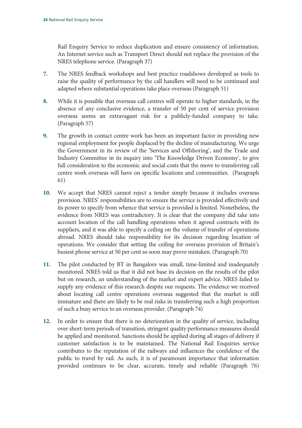Rail Enquiry Service to reduce duplication and ensure consistency of information. An Internet service such as Transport Direct should not replace the provision of the NRES telephone service. (Paragraph 37)

- **7.** The NRES feedback workshops and best practice roadshows developed as tools to raise the quality of performance by the call handlers will need to be continued and adapted where substantial operations take place overseas (Paragraph 51)
- **8.** While it is possible that overseas call centres will operate to higher standards, in the absence of any conclusive evidence, a transfer of 50 per cent of service provision overseas seems an extravagant risk for a publicly-funded company to take. (Paragraph 57)
- **9.** The growth in contact centre work has been an important factor in providing new regional employment for people displaced by the decline of manufacturing. We urge the Government in its review of the 'Services and Offshoring', and the Trade and Industry Committee in its inquiry into 'The Knowledge Driven Economy', to give full consideration to the economic and social costs that the move to transferring call centre work overseas will have on specific locations and communities. (Paragraph 61)
- **10.** We accept that NRES cannot reject a tender simply because it includes overseas provision. NRES' responsibilities are to ensure the service is provided effectively and its power to specify from whence that service is provided is limited. Nonetheless, the evidence from NRES was contradictory. It is clear that the company did take into account location of the call handling operations when it agreed contracts with its suppliers, and it was able to specify a ceiling on the volume of transfer of operations abroad. NRES should take responsibility for its decision regarding location of operations. We consider that setting the ceiling for overseas provision of Britain's busiest phone service at 50 per cent so soon may prove mistaken. (Paragraph 70)
- **11.** The pilot conducted by BT in Bangalore was small, time-limited and inadequately monitored. NRES told us that it did not base its decision on the results of the pilot but on research, an understanding of the market and expert advice. NRES failed to supply any evidence of this research despite our requests. The evidence we received about locating call centre operations overseas suggested that the market is still immature and there are likely to be real risks in transferring such a high proportion of such a busy service to an overseas provider. (Paragraph 74)
- **12.** In order to ensure that there is no deterioration in the quality of service, including over short-term periods of transition, stringent quality performance measures should be applied and monitored. Sanctions should be applied during all stages of delivery if customer satisfaction is to be maintained. The National Rail Enquiries service contributes to the reputation of the railways and influences the confidence of the public to travel by rail. As such, it is of paramount importance that information provided continues to be clear, accurate, timely and reliable (Paragraph 76)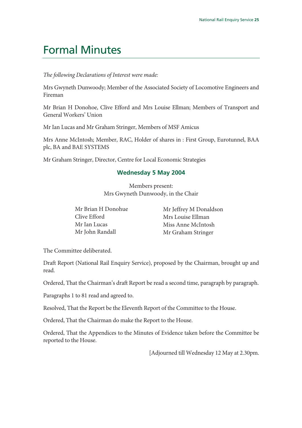### Formal Minutes

*The following Declarations of Interest were made:*

Mrs Gwyneth Dunwoody; Member of the Associated Society of Locomotive Engineers and Fireman

Mr Brian H Donohoe, Clive Efford and Mrs Louise Ellman; Members of Transport and General Workers' Union

Mr Ian Lucas and Mr Graham Stringer, Members of MSF Amicus

Mrs Anne McIntosh; Member, RAC, Holder of shares in : First Group, Eurotunnel, BAA plc, BA and BAE SYSTEMS

Mr Graham Stringer, Director, Centre for Local Economic Strategies

#### **Wednesday 5 May 2004**

Members present: Mrs Gwyneth Dunwoody, in the Chair

| Mr Brian H Donohue | Mr Jeffrey M Donaldson |
|--------------------|------------------------|
| Clive Efford       | Mrs Louise Ellman      |
| Mr Ian Lucas       | Miss Anne McIntosh     |
| Mr John Randall    | Mr Graham Stringer     |

The Committee deliberated.

Draft Report (National Rail Enquiry Service), proposed by the Chairman, brought up and read.

Ordered, That the Chairman's draft Report be read a second time, paragraph by paragraph.

Paragraphs 1 to 81 read and agreed to.

Resolved, That the Report be the Eleventh Report of the Committee to the House.

Ordered, That the Chairman do make the Report to the House.

Ordered, That the Appendices to the Minutes of Evidence taken before the Committee be reported to the House.

[Adjourned till Wednesday 12 May at 2.30pm.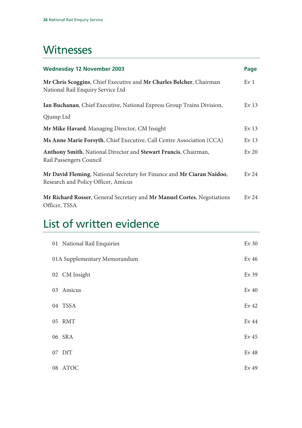### **Witnesses**

| <b>Wednesday 12 November 2003</b>                                                                             | Page             |
|---------------------------------------------------------------------------------------------------------------|------------------|
| Mr Chris Scoggins, Chief Executive and Mr Charles Belcher, Chairman<br>National Rail Enquiry Service Ltd      | Ev <sub>1</sub>  |
| Ian Buchanan, Chief Executive, National Express Group Trains Division,                                        | Ev <sub>13</sub> |
| Qjump Ltd                                                                                                     |                  |
| Mr Mike Havard, Managing Director, CM Insight                                                                 | Ev <sub>13</sub> |
| Ms Anne Marie Forsyth, Chief Executive, Call Centre Association (CCA)                                         | Ev <sub>13</sub> |
| Anthony Smith, National Director and Stewart Francis, Chairman,<br>Rail Passengers Council                    | $Ev$ 20          |
| Mr David Fleming, National Secretary for Finance and Mr Ciaran Naidoo,<br>Research and Policy Officer, Amicus | Ev <sub>24</sub> |
| Mr Richard Rosser, General Secretary and Mr Manuel Cortes, Negotiations<br>Officer, TSSA                      | Ev <sub>24</sub> |

### List of written evidence

| 01 National Rail Enquiries   | $Ev$ 30          |
|------------------------------|------------------|
| 01A Supplementary Memorandum | Ev <sub>46</sub> |
| 02 CM Insight                | Ev 39            |
| 03 Amicus                    | Ev <sub>40</sub> |
| 04 TSSA                      | Ev <sub>42</sub> |
| 05 RMT                       | Ev 44            |
| 06 SRA                       | Ev <sub>45</sub> |
| 07 DfT                       | Ev <sub>48</sub> |
| 08 ATOC                      | Ev 49            |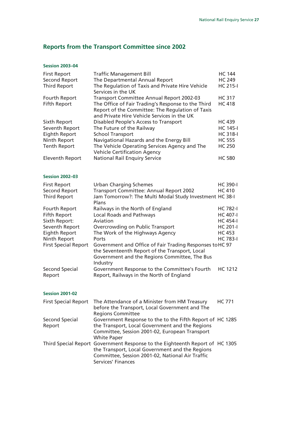### **Reports from the Transport Committee since 2002**

#### **Session 2003–04**

| <b>First Report</b>         | <b>Traffic Management Bill</b>                                                                                                                        | <b>HC 144</b>   |
|-----------------------------|-------------------------------------------------------------------------------------------------------------------------------------------------------|-----------------|
| <b>Second Report</b>        | The Departmental Annual Report                                                                                                                        | <b>HC 249</b>   |
| <b>Third Report</b>         | The Regulation of Taxis and Private Hire Vehicle<br>Services in the UK                                                                                | <b>HC 215-I</b> |
| Fourth Report               | Transport Committee Annual Report 2002-03                                                                                                             | <b>HC 317</b>   |
| <b>Fifth Report</b>         | The Office of Fair Trading's Response to the Third<br>Report of the Committee: The Regulation of Taxis<br>and Private Hire Vehicle Services in the UK | <b>HC 418</b>   |
| Sixth Report                | Disabled People's Access to Transport                                                                                                                 | <b>HC 439</b>   |
| Seventh Report              | The Future of the Railway                                                                                                                             | <b>HC 145-I</b> |
| <b>Eighth Report</b>        | <b>School Transport</b>                                                                                                                               | <b>HC 318-I</b> |
| Ninth Report                | Navigational Hazards and the Energy Bill                                                                                                              | <b>HC 555</b>   |
| <b>Tenth Report</b>         | The Vehicle Operating Services Agency and The<br><b>Vehicle Certification Agency</b>                                                                  | <b>HC 250</b>   |
| <b>Eleventh Report</b>      | <b>National Rail Enquiry Service</b>                                                                                                                  | <b>HC 580</b>   |
| <b>Session 2002-03</b>      |                                                                                                                                                       |                 |
| <b>First Report</b>         | <b>Urban Charging Schemes</b>                                                                                                                         | <b>HC 390-I</b> |
| <b>Second Report</b>        | Transport Committee: Annual Report 2002                                                                                                               | <b>HC 410</b>   |
| <b>Third Report</b>         | Jam Tomorrow?: The Multi Modal Study Investment HC 38-I<br>Plans                                                                                      |                 |
| Fourth Report               | Railways in the North of England                                                                                                                      | <b>HC 782-I</b> |
| <b>Fifth Report</b>         | <b>Local Roads and Pathways</b>                                                                                                                       | <b>HC 407-I</b> |
| Sixth Report:               | Aviation                                                                                                                                              | <b>HC 454-I</b> |
| Seventh Report              | Overcrowding on Public Transport                                                                                                                      | <b>HC 201-I</b> |
| <b>Eighth Report</b>        | The Work of the Highways Agency                                                                                                                       | <b>HC 453</b>   |
| Ninth Report                | Ports                                                                                                                                                 | <b>HC 783-I</b> |
| <b>First Special Report</b> | Government and Office of Fair Trading Responses to HC 97                                                                                              |                 |
|                             | the Seventeenth Report of the Transport, Local                                                                                                        |                 |
|                             | Government and the Regions Committee, The Bus<br>Industry                                                                                             |                 |
| Second Special<br>Report    | Government Response to the Committee's Fourth<br>Report, Railways in the North of England                                                             | <b>HC 1212</b>  |
|                             |                                                                                                                                                       |                 |

#### **Session 2001-02**

|                | First Special Report The Attendance of a Minister from HM Treasury<br>before the Transport, Local Government and The                                                                                      | <b>HC 771</b> |
|----------------|-----------------------------------------------------------------------------------------------------------------------------------------------------------------------------------------------------------|---------------|
|                | <b>Regions Committee</b>                                                                                                                                                                                  |               |
| Second Special | Government Response to the to the Fifth Report of HC 1285                                                                                                                                                 |               |
| Report         | the Transport, Local Government and the Regions                                                                                                                                                           |               |
|                | Committee, Session 2001-02, European Transport                                                                                                                                                            |               |
|                | <b>White Paper</b>                                                                                                                                                                                        |               |
|                | Third Special Report Government Response to the Eighteenth Report of HC 1305<br>the Transport, Local Government and the Regions<br>Committee, Session 2001-02, National Air Traffic<br>Services' Finances |               |
|                |                                                                                                                                                                                                           |               |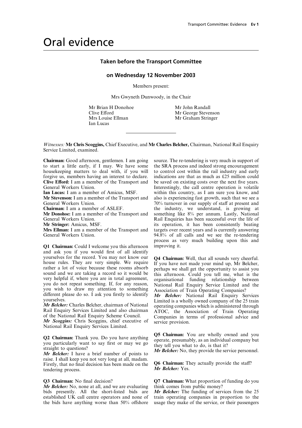### Oral evidence

#### **Taken before the Transport Committee**

#### **on Wednesday 12 November 2003**

Members present:

Mrs Gwyneth Dunwoody, in the Chair

Mr Brian H Donohoe Mr John Randall<br>Clive Efford Mr George Stever Mrs Louise Ellman Mr Graham Stringer Ian Lucas

Mr George Stevenson

*Witnesses:* **Mr Chris Scoggins,** Chief Executive, and **Mr Charles Belcher,** Chairman, National Rail Enquiry Service Limited, examined.

to start a little early, if I may. We have some the SRA process and indeed strong encouragement housekeeping matters to deal with, if you will to control cost within the rail industry and early forgive us, members having an interest to declare. indications are that as much as £25 million could **Clive Efford:** I am a member of the Transport and be saved on existing costs over the next five years.<br> **Contract Contract Contract Contract Contract Contract Contract Operation is volatile** 

**Q1 Chairman:** Could I welcome you this afternoon and ask you if you would first of all identify yourselves for the record. You may not know our<br>
Q4 Chairman: Well, that all sounds very cheerful.<br>
house rules. They are very simple. We require If you have not made your mind up, Mr Belcher,<br>
rather a lot of voice becaus

raise. I shall keep you not very long at all, madam. Firstly, that no final decision has been made on the **Q6 Chairman:** They actually provide the staff?<br>
tendering process tendering process.

*Mr Belcher:* No, none at all, and we are evaluating think comes from public money?<br>bids presently. All the short-listed bids are *Mr Belcher:* The funding of services from the 25 bids presently. All the short-listed bids are established UK call centre operators and none of

**Chairman:** Good afternoon, gentlemen. I am going source. The re-tendering is very much in support of Interestingly, the call centre operation is volatile **Ian Lucas:** I am a member of Amicus, MSF. within this country, as I am sure you know, and **Mr Stevenson:** I am a member of the Transport and also is experiencing fast growth, such that we see a General Workers Union.<br> **Chairman:** I am a member of ASLEF. The industry, we understand, is growing at the industry, we understand, is growing at **Chairman:** I am a member of ASLEF. the industry, we understand, is growing at **Mr Donohoe:** I am a member of the Transport and something like 8% per annum. Lastly, National General Workers Union.<br> **Rail Enquiries has been successful over the life of** Research Stringer: Amicus. MSF.<br> **Rail Enquiries has been successful over the life of Research Stringer:** Amicus. MSF. **Mr Stringer:** Amicus, MSF.<br>**Mrs Ellman:** I am a member of the Transport and targets over recent years and is currently answering targets over recent years and is currently answering General Workers Union. 94.8% of all calls and we see the re-tendering process as very much building upon this and

**Q2 Chairman:** Thank you. Do you have anything  $\begin{array}{l} \text{Q5} \text{ Chairman:} \text{ You are wholly owned and you  
you particularly want to say first or may we go  
straight to questions? \n\nMr Belcher: I have a brief number of points to\n\end{array}$ 

**Q3 Chairman:** No final decision? **Q7 Chairman:** What proportion of funding do you *Mr Belcher:* No, none at all, and we are evaluating think comes from public money?

established UK call centre operators and none of train operating companies in proportion to the the bids have anything worse than 50% offshore usage they make of the service, or their passengers usage they make of the service, or their passengers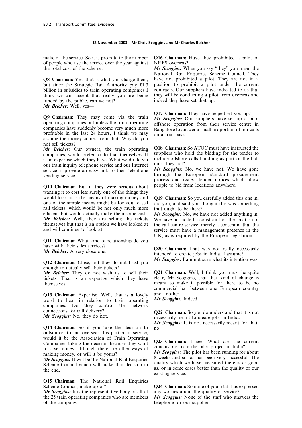of people who use the service over the year against NRES overseas? the total cost of the scheme. *Mr Scoggins:* When you say "they" you mean the

but since the Strategic Rail Authority pay  $£1.3$  position to prohibit a pilot under the current billion in subsidies to train operating companies I contracts. Our suppliers have indicated to us that billion in subsidies to train operating companies I think we can accept that really you are being they will be conducting a pilot from overseas and funded by the public, can we not? indeed they have set that up. *Mr Belcher:* Well, yes—

**Q9 Chairman:** They may come via the train  $\frac{Q17}{Mr}$  Chairman: They have helped set you up?<br>operating companies but unless the train operating<br>companies have suddenly become very much more<br>profitable in the last 24 hour assume the money comes from that. Why do you not sell tickets?

companies, would prefer to do that themselves. It suppliers who hold the bidding for the tender to is an expertise which they have What we do do via include offshore calls handling as part of the bid, is an expertise which they have. What we do do via include offshore our train inquiry telephone service and our Internet must they not? our train inquiry telephone service and our Internet must they not?<br>service is provide an easy link to their telephone Mr Scoggins: No, we have not. We have gone

**Q10 Chairman:** But if they were serious about people to bid from locations anywhere. wanting it to cost less surely one of the things they would look at is the means of making money and **Q19 Chairman:** So you carefully added this one in, one of the simple means might be for you to sell did you, and said you thought this was something rail tickets, which would be not only much more that ought to be there?<br>efficient but would actually make them some cash. Mr Scoggins: No, we have not added anything in. efficient but would actually make them some cash. *Mr Scoggins:* No, we have not added anything in.<br>*Mr Belcher:* Well, they are selling the tickets We have not added a constraint on the location of *Mr Belcher:* Well, they are selling the tickets themselves but that is an option we have looked at themselves but that is an option we have looked at the call centre service, merely a constraint that the and will continue to look at.

**Q11 Chairman:** What kind of relationship do you

**O12 Chairman:** Close, but they do not trust you **Mr Scoggins:** I am not sure what its intention was. enough to actually sell their tickets?

tickets. That is an expertise which they have themselves. meant to make it possible for there to be no

**Q13 Chairman:** Expertise. Well, that is a lovely and another.<br>word to hear in relation to train operating Mr Scoggins: Indeed. word to hear in relation to train operating companies. Do they control the network connections for call delivery? **Q22 Chairman:** So you do understand that it is not *Mr Scoggins:* No, they do not. necessarily meant to create jobs in India?

**Q14 Chairman:** So if you take the decision to no. outsource, to put overseas this particular service, Companies taking the decision because they want<br>to save money, although there are other ways of<br>making money, or will it be yours?<br>Mr Scoggins: The pilot has been running for about<br>Mr Scoggins: It will be the National Rail

**Q15 Chairman:** The National Rail Enquiries

*Mr Scoggins:* It is the representative body of all of the 25 train operating companies who are members the 25 train operating companies who are members *Mr Scoggins:* None of the staff who answers the of the company.

make of the service. So it is pro rata to the number **Q16 Chairman:** Have they prohibited a pilot of

National Rail Enquiries Scheme Council. They **Q8 Chairman:** Yes, that is what you charge them, have not prohibited a pilot. They are not in a

*Mr Belcher:* Our owners, the train operating **Q18 Chairman:** So ATOC must have instructed the companies would prefer to do that themselves It suppliers who hold the bidding for the tender to

*Mr Scoggins:* No, we have not. We have gone vending service.<br>
vending service.<br>
examed through the European standard procurement process and issued tender notices which allow

service must have a management presence in the UK, as is required by the European legislation.

have with their sales services?<br> **Q20 Chairman:** That was not really necessarily *Mr Belcher:* A very close one.<br>
intended to create jobs in India, I assume?

*Mr Belcher:* They do not wish us to sell their **Q21 Chairman:** Well, I think you must be quite tickets. That is an expertise which they have clear, Mr Scoggins, that that kind of change is commercial bar between one European country

*Mr Scoggins:* It is not necessarily meant for that,

Scheme Council which will make that decision in quality which we have measured there is as good<br>as, or in some cases better than the quality of our<br>the end.

Q24 Chairman: So none of your staff has expressed<br>any worries about the quality of service?

telephone for our suppliers.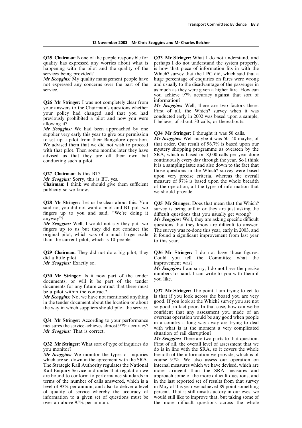quality has expressed any worries about what is perhaps I do not understand the system properly, happening with the pilot and the quality of the is how that piece of information fits in with the

*Mr Scoggins:* My quality management people have huge percentage of enquiries on fares were wrong not expressed any concerns over the part of the and usually to the disadvantage of the passenger in service. The service as much as they were given a higher fare. How can

**Q26 Mr Stringer:** I was not completely clear from  $\frac{M}{M}$  Scoggins: Well, there are two factors there.<br>
your answers to the Chairman's questions whether  $\frac{M}{M}$  Scoggins: Well, there are two factors there.<br>
your poli

*Mr Scoggins:* We had been approached by one<br>supplier very early this year to give our permission  $Q34$  Mr Stringer: I thought it was 50 calls.<br>to set up a pilot from their Bangalore operation. *Mr Scoggins:* Well maybe We advised them that we did not wish to proceed that order. Our result of 96.7% is based upon our with that pilot. Then some months later they have mystery shopping programme as overseen by the with that pilot. Then some months later they have mystery shopping programme as overseen by the variable advised us that they are off their own bat SRA, which is based on 8,000 calls per year done advised us that they are off their own bat conducting such a pilot. continuously every day through the year. So I think

**Q28 Mr Stringer:** Let us be clear about this. You **Q35 Mr Stringer:** Does that mean that the Which? said no, you did not want a pilot and BT put two survey is being unfair or they are just asking the fingers up to you and said, "We're doing it difficult questions that you usually get wrong?<br>
Mr Scoggins: Well, I would not say they put two<br>
Mr Scoggins: Well, I would not say they put two<br>
difficult substitute the know a

*Mr Scoggins:* Well, I would not say they put two questions that they know are difficult to answer.<br>fingers up to us but they did not conduct the The survey was re-done this year early in 2003 and

**Q29 Chairman:** They did not do a big pilot, they **Q36Mr Stringer:** I do not have those figures. did a little pilot. Could you tell the Committee what the

documents for any future contract that there must

in the tender document about the location or about good. If you look at the Which? survey you are not the way in which sumpliers should pilot the service so good, in fact poor. In that case, how can we be the way in which suppliers should pilot the service.

which are set down in the agreement with the SRA. course 97%. We also assess our operation on The Strategic Rail Authority regulates the National internal measures which we have devised, which are Rail Enquiry Service and under that regulation we more stringent than the SRA measures and are bound to conform to performance standards in approach some of the more difficult questions, and are bound to conform to performance standards in terms of the number of calls answered, which is a level of 93% per annum, and also to deliver a level of quality of service whereby the accuracy of percent. That is still unsatisfactory in our eyes, we information to a given set of questions must be would still like to improve that, but taking some of information to a given set of questions must be over an above  $95\%$  per annum.

**Q25 Chairman:** None of the people responsible for **Q33 Mr Stringer:** What I do not understand, and services being provided? Which? survey that the LPC did, which said that a you achieve 97% accuracy against that sort of

it is a sampling issue and also down to the fact that **Q27 Chairman:** Is this BT?<br> **those questions in the Which?** survey were based<br> *Mr Scoggins:* **Sorry, this is BT, yes.**<br> **Chairman:** I think we should give them sufficient<br>
of the operation, all the types of information

fingers up to us but they did not conduct the The survey was re-done this year, early in 2003, and original pilot, which was of a much larger scale it found a significant improvement from last year than the current pilot,

*Mr Scoggins:* Exactly so. **improvement was?** 

*Mr Scoggins:* I am sorry, I do not have the precise **Q30 Mr Stringer:** Is it now part of the tender numbers to hand. I can write to you with them if documents, or will it be part of the tender you like.

be a pilot within the contract?<br> **Q37 Mr Stringer:** The point I am trying to get to<br> **Mr Scoveins:** No we have not mentioned anything is that if you look across the board you are very *Mr Scoggins:* No, we have not mentioned anything is that if you look across the board you are very in the tender document about the location or about good. If you look at the Which? survey you are not confident that any assessment you made of an **Q31 Mr Stringer:** According to your performance<br>measures the service achieves almost  $97\%$  accuracy?<br>Mr Scoggins: That is correct.<br>Mr Scoggins: That is correct.

*Mr Scoggins:* There are two parts to that question. **Q32 Mr Stringer:** What sort of type of inquiries do First of all, the overall level of assessment that we you monitor? do is in line with the SRA, so it covers the whole *Mr Scoggins:* We monitor the types of inquiries breadth of the information we provide, which is of internal measures which we have devised, which are in the last reported set of results from that survey<br>in May of this year we achieved 89 point something the more difficult questions across the whole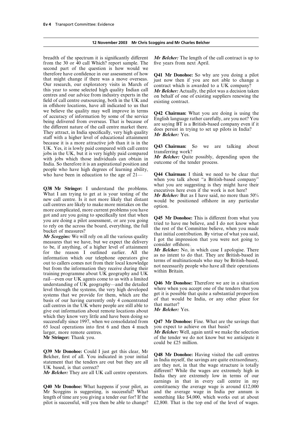|  | 12 November 2003 Mr Chris Scoggins and Mr Charles Belcher |  |
|--|-----------------------------------------------------------|--|
|--|-----------------------------------------------------------|--|

from the 30 or 40 call Which? report sample. The five years from next April. second part of the question is how would we therefore have confidence in our assessment of how **Q41 Mr Donohoe:** So why are you doing a pilot that might change if there was a move overseas. Just now then if you are not able to change a Our research, our exploratory we believe the quality may well improve in terms<br>of accuracy of information by some of the service<br>being delivered from overseas. That is because of<br>the different nature of the call centre market there.<br>They attract, in In because it is a more attractive job than it is in the UK. Yes, it is lowly paid compared with call centre jobs in the UK, but it is very highly paid compared<br>with jobs which those individuals can obtain in<br>India. So therefore it is an aspirational position and<br>utcome of the tender process. people who have high degrees of learning ability, who have been in education to the age of  $21$ —  $Q$ 44 Chairman: I think we need to be clear that

**Q38 Mr Stringer:** I understand the problems. executives here even if the work is not here?<br>What I am trying to get at is your testing of the *Mr Belcher*: But as I have said, no more than 50% new call centre. Is it not more likely that distant<br>call centres are likely to make more mistakes on the<br>more complicated, more current problems you have

got and are you going to specifically test that when<br>you are doing a pilot assessment, or are you going<br>tirel to have me believe, and I do not know what<br>to rely on the across the board, everything, the full<br>the rest of the rail—even our UK agents come to us with a limited<br>understanding of UK geography—and the detailed<br>level through the systems, the very high developed<br>systems that we provide for them, which are the get it is possible that q which they know very little and have been doing so successfully since 1997, when we consolidated from **Q47 Mr Donohoe:** Fine. What are the savings that 65 local operations into first 6 and then 4 much you expect to achieve on that basis? larger, more remote centres. *Mr Belcher:* Well, again until we make the selection

**Q39 Mr Donohoe:** Could I just get this clear, Mr<br>Belcher, first of all. You indicated in your initial<br>statement that the tenders are out but they are all<br>UK based, is that correct?<br>UK based, is that correct?<br>Mr. Belchem

Mr Scoggins is suggesting, is successful? What and the average wage in India per annum is length of time are you giving a tender our for? If the something like \$4,000, which works out at about length of time are you giving a tender our for? If the pilot is successful, will you then be able to change?

breadth of the spectrum it is significantly different *Mr Belcher:* The length of the call contract is up to

**Q43 Chairman:** So we are talking about transferring work?

when you talk about "a British-based company" what you are suggesting is they might have their

**Mr Stringer:** Thank you. **only in the stringer:** Thank you. **o** of the tender we do not know but we anticipate it could be £25 million.

*Mr Belcher:* They are all UK call centre operators. India they are extremely low in terms of our<br>India they are extremely low in terms of our earnings in that in every call centre in my **Q40 Mr Donohoe:** What happens if your pilot, as constituency the average wage is around £12,000  $£2,800$ . That is the top end of the level of wages.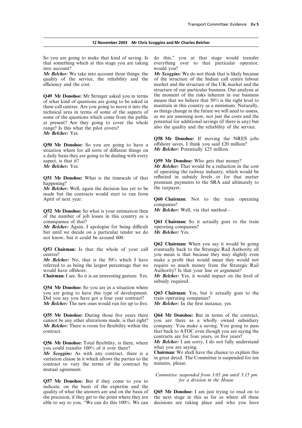### **12 November 2003 Mr Chris Scoggins and Mr Charles Belcher**

So you are going to make that kind of saving. Is do this," you at that stage would transfer that something which at this stage you are taking everything over to that particular operator, into account? would you?

*Mr Belcher:* We take into account three things: the *Mr Scoggins:* We do not think that is likely because quality of the service, the reliability and the of the structure of the Indian call centre labour efficiency and the cost. market and the structure of the UK market and the

of what kind of questions are going to be asked in means that we believe that  $50\%$  is the right level to these call centres. Are you going to move it into the maintain in this country as a minimum. Naturally, these call centres. Are you going to move it into the maintain in this country as a minimum. Naturally,<br>technical area in terms of some of the aspects of as things change in the future we will need to assess,<br>some of the q at present? Are they going to cover the whole also the quality and the reliability of the service.<br>also the quality and the reliability of the service. *Mr Belcher:* Yes.

**Q50 Mr Donohoe:** So you are going to have a offshore saves, I think you said £20 million?<br>situation where for all sorts of different things on **Mr Belcher:** Potentially £25 million. situation where for all sorts of different things on a daily basis they are going to be dealing with every aspect, is that it?<br> **Are Belcher:** Yes.<br> **Are Belcher:** That would be a reduction in

*Mr Belcher:* Well, again the decision has yet to be made but the contracts would start to run form April of next year. **Q60 Chairman:** Not to the train operating

**Q52 Mr Donohoe:** So what is your estimation then *Mr Belcher:* Well, via that method of the number of job losses in this country as a

*Mr Belcher:* Again, I apologise for being difficult operating companies? but until we decide on a particular tender we do *Mr Belcher:* Yes. not know, but it could be around 600.

**Q53 Chairman:** Is that the whole of your call centres?

*Mr Belcher:* No, that is the 50% which I have referred to as being the largest percentage that we would have offshore. Authority? Is that your line or argument?

**Q54 Mr Donohoe:** So you are in a situation where you are going to have this type of development. **Q63 Chairman:** Yes, but it actually goes to the Did you say you have got a four year contract? train operating companies? *Mr Belcher:* The new ones would run for up to five. *Mr Belcher:* In the first instance, yes.

**Q55 Mr Donohoe:** During those five years there **Q64 Mr Donohoe:** But in terms of the contract,

**Q56 Mr Donohoe:** Total flexibility, is there, where *Mr Belcher:* I am sor<br>you could transfer 100% of it over there? what you are saying. you could transfer 100% of it over there?<br>Mr. Scoggins: As with any contract, there is a **Chairman:** We shall have the chance to explain this

variation clause in it which allows the parties to the in great detail. The contract to vary the terms of the contract by minutes, please. contract to vary the terms of the contract by mutual agreement.

**Q57 Mr Donohoe:** But if they come to you to *for a division in the House* indicate, on the basis of the expertise and the quality of what the answers are and on the basis of **Q65 Mr Donohoe:** I am just trying to read on to the precision, if they get to the point where they are the next stage in this as far as where all these the precision, if they get to the point where they are the next stage in this as far as where all these able to say to you, "We can do this 100%. We can decisions are taking place and who you have

of the structure of the Indian call centre labour structure of our particular business. Our analysis at **Q49 Mr Donohoe:** Mr Stringer asked you in terms the moment of the risks inherent in our business of what kind of questions are going to be asked in means that we believe that 50% is the right level to

**Q58 Mr Donohoe:** If moving the NRES jobs

*Mr Belcher:* That would be a reduction in the cost of operating the railway industry, which would be **Q51 Mr Donohoe:** What is the timescale of that reflected in subsidy levels or for that matter happening?<br> **happening**<br> *Mr Relcher:* Well again the decision has vet to be the taxpayer.

companies?

Q61 Chairman: So it actually goes to the train

**Q62 Chairman:** When you say it would be going eventually back to the Strategic Rail Authority all you mean is that because they may slightly even<br>make a profit that would mean they would not require so much money from the Strategic Rail

**Chairman:** I see. So it is an interesting gesture. Yes. *Mr Belcher:* Yes, it would impact on the level of subsidy required.

cannot be any other alterations made, is that right? you are there as a wholly owned subsidiary  $Mr$  Belcher: There is room for flexibility within the company. You make a saving. You going to pass *Mr Belcher:* There is room for flexibility within the company. You make a saving. You going to pass contract. that back to ATOC even though you are saying the contracts are for four years, or five years?<br>Mr Belcher: I am sorry, I do not fully understand

*Mr Scoggins:* As with any contract, there is a **Chairman:** We shall have the chance to explain this variation clause in it which allows the parties to the in great detail. The Committee is suspended for ten

*Committee suspended from 3.05 pm until 3.15 pm*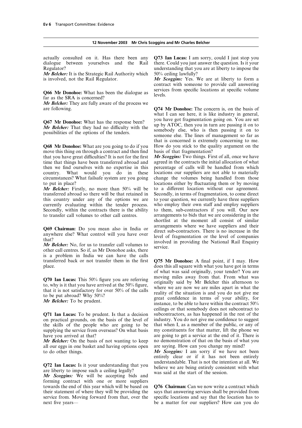|  | 12 November 2003 Mr Chris Scoggins and Mr Charles Belcher |  |
|--|-----------------------------------------------------------|--|
|--|-----------------------------------------------------------|--|

dialogue between yourselves and the Rail there. Could you just answer the question. Is it your

*Mr Belcher:* It is the Strategic Rail Authority which 50% ceiling lawfully?

**Q66 Mr Donohoe:** What has been the dialogue as services from specific locations at specific volume far as the SRA is concerned?

*Mr Belcher:* They are fully aware of the process we are following. **Q74 Mr Donohoe:** The concern is, on the basis of

**Q68 Mr Donohoe:** What are you going to do if you How do you stick to the quality argument on the move this thing on through a contract and then find basis of that fragmentation? that you have great difficulties? It is not for the first *Mr Scoggins:* Two things. First of all, once we have time that things have been transferred abroad and agreed in the contracts the initial allocation of what then we find ourselves with no expertise in this percentage of calls will be handled from which country. What would you do in these locations our suppliers are not able to materially circumstances? What failsafe system are you going change the volumes being handled from those to put in place? locations either by fluctuating them or by moving

transferred abroad so there will be that retained in Secondly, in terms of fragmentation, to come direct this country under any of the options we are to your question, we currently have three suppliers currently evaluating within the tender process. who employ their own staff and employ suppliers currently evaluating within the tender process. who employ their own staff and employ suppliers Secondly, within the contracts there is the ability to them, sub-contractors if you will. Our new Secondly, within the contracts there is the ability to them, sub-contractors if you will. Our new to transfer call volumes to other call centres arrangements to bids that we are considering in the

is a problem in India we can have the calls transferred back or not transfer them in the first **Q75 Mr Donohoe:** A final point, if I may. How place. does this all square with what you have got in terms

on practical grounds, on the basis of the level of industry. You do not give me confidence to suggest the skills of the people who are going to be that when I, as a member of the public, or any of the skills of the people who are going to be supplying the service from overseas? On what basis supplying the service from overseas? On what basis is my constituents for that matter, lift the phone we have you arrived at that?

all our eggs in one basket and having options open

forming contract with one or more suppliers towards the end of this year which will be based on **Q76 Chairman:** Can we now write a contract which their statement of where they will be providing the says that answering services shall be provided from their statement of where they will be providing the says that answering services shall be provided from service from. Moving forward from that, over the specific locations and say that the location has to service from. Moving forward from that, over the next five years—

actually consulted on it. Has there been any **Q73 Ian Lucas:** I am sorry, could I just stop you Regulator? understanding that you are at liberty to impose the

is involved, not the Rail Regulator. *Mr Scoggins:* Yes. We are at liberty to form a contract with someone to provide call answering

what I can see here, it is like industry in general, **Q67 Mr Donohoe:** What has the response been?<br> **Now the Selection Solution** Boing on. You are set<br> **Now Belcher:** That they had no difficulty with the<br>
possibilities of the options of the tenders.<br>
someone else. The lines that is concerned is extremely concerning to me.

*Mr Belcher:* Firstly, no more than 50% will be to a different location without our agreement. arrangements to bids that we are considering in the shortlist at the moment all consist of similar **Q69 Chairman:** Do you mean also in India or<br>anywhere else? What control will you have over<br>that?<br>that?<br>*Mr Belcher:* No, for us to transfer call volumes to<br>other call centres. So if, as Mr Donohoe asks, there<br>other call

of what was said originally, your tender? You are **Q70 Ian Lucas:** This 50% figure you are referring moving miles away from that. From what was to, why is it that you have arrived at the 50% figure, that it is not satisfactory for over 50% of the calls where we are now w ceilings or that somebody does not subcontract to **Q71 Ian Lucas:** To be prudent. Is that a decision subcontractors, as has happened in the rest of the on practical grounds, on the basis of the level of industry. You do not give me confidence to suggest have you arrived at that?<br> **Are Belcher:** On the basis of not wanting to keep no demonstration of that on the basis of what you *no* demonstration of that on the basis of what you are saying. How can you change my mind?

to do other things. *Mr Scoggins:* I am sorry if we have not been entirely clear or if it has not been entirely **Q72 Ian Lucas:** Is it your understanding that you understandable. That is not the intention at all. We are liberty to impose such a ceiling legally?<br> **Are Scoggins:** We will be accepting bids and was said at the start of

be a matter for our suppliers? How can you do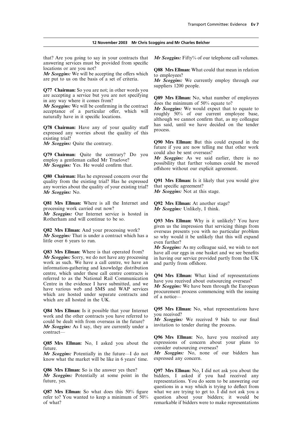#### **12 November 2003 Mr Chris Scoggins and Mr Charles Belcher**

that? Are you going to say in your contracts that *Mr Scoggins:* Fifty% of our telephone call volumes. answering services must be provided from specific

Q77 Chairman: So you are not; in other words you

existing trial?

**Q79 Chairman:** Quite the contrary? Do you could also be sent overseas?<br>employ a gentleman called Mr Truelove? Mr Scoggins: As we said earlier, there is no

**Q80 Chairman:** Has he expressed concern over the quality from the existing trial? Has he expressed **Q91 Mrs Ellman:** Is it likely that you would give any worries about the quality of your existing trial? that specific agreement? any worries about the quality of your existing trial? *Mr Scoggins:* No. *Mr Scoggins:* Not at this stage.

**Q81 Mrs Ellman:** Where is all the Internet and **Q92 Mrs Ellman:** At another stage?<br>processing work carried out now? *Mr Scoggins:* Unlikely. I think.

*Mr Scoggins:* Our Internet service is hosted in Rotherham and will continue to be so.

*Mr Scoggins:* Sorry, we do not have any processing in having our service provided partly from the UK work as such. We have a call centre, we have an and partly from offshore. information-gathering and knowledge distribution centre, which under these call centre contracts is<br>referred to as the National Rail Communication<br>Centre in the evidence I have submitted, and we<br>have you received about outsourcing overseas?<br>have various web and SMS and W

**Q84 Mrs Ellman:** Is it possible that your Internet **Q95 Mrs Ellman:** No, what representations have<br>work and the other contracts you have referred to<br>could be dealt with from overseas in the future? Mr Scoggins: We receiv *Mr Scoggins:* As I say, they are currently under a contract—

**Q85 Mrs Ellman:** No, I asked you about the future. future. consider outsourcing overseas?<br> **Mr Scoggins:** Potentially in the future—I do not **Mr Scoggins:** No, none of

know what the market will be like in 6 years' time.

refer to? You wanted to keep a minimum of  $50\%$  question about your bidders; it would be of what?

locations or are you not?<br> **Q88 Mrs Ellman:** What could that mean in relation<br> *Mr Scoggins:* We will be accepting the offers which<br>
to employees?

*Mr Scoggins:* We will be accepting the offers which to employees?<br>are put to us on the basis of a set of criteria. *Mr Scoggins:* We currently employ through our suppliers 1200 people.

are accepting a service but you are not specifying<br>in any way where it comes from?<br>*Mr Scoggins:* We will be confirming in the contract<br>acceptance of a particular offer, which will<br>naturally have in it specific locations.<br> **Q78 Chairman:** Have any of your quality staff has said, until we have decided on the tender expressed any worries about the quality of this

*Mr Scoggins:* Quite the contrary. **Q90 Mrs Ellman:** But this could expand in the future if you are now telling me that other work<br>could also be sent overseas?

*Mr Scoggins:* Yes. He would confirm that. possibility that further volumes could be moved  $Mr$  Scoggins: Yes. He would confirm that. offshore without our explicit agreement.

Mr Scoggins: Unlikely, I think.

**Q93 Mrs Ellman:** Why is it unlikely? You have **Q82 Mrs Ellman:** And your processing work?<br> **COSE Mr Scoggins:** That is under a contract which has a some so why would it be unlikely that this will expand<br>
little over 6 years to run.<br>
Little over 6 years to run.

*Mr Scoggins:* As my colleague said, we wish to not **Q83 Mrs Ellman:** Where is that operated from? have all our eggs in one basket and we see benefits *Mr Scoggins:* Sorry, we do not have any processing in having our service provided partly from the UK

**Q96 Mrs Ellman:** No, have you received any expressions of concern about your plans to

*Mr Scoggins:* No, none of our bidders has expressed any concern.

**Q86 Mrs Ellman:** So is the answer yes then? **Q97 Mrs Ellman:** No, I did not ask you about the *Mr Scoggins:* Potentially at some point in the bidders. I asked if you had received any *Mr Scoggins:* Potentially at some point in the bidders, I asked if you had received any future, yes. representations. You do seem to be answering our questions in a way which is trying to deflect from **Q87 Mrs Ellman:** So what does this 50% figure what we are trying to get to. I did not ask you a refer to? You wanted to keep a minimum of 50% question about your bidders; it would be remarkable if bidders were to make representations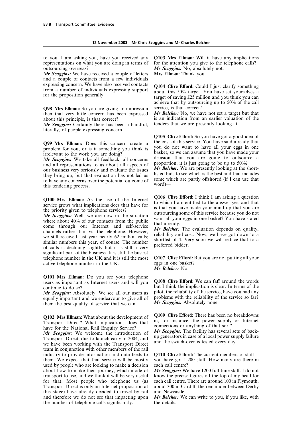representations on what you are doing in terms of for the attention you give to the telephone calls? outsourcing overseas? *Mr Scoggins:* No, absolutely not.

*Mr Scoggins:* We have received a couple of letters **Mrs Ellman:** Thank you. and a couple of contacts from a few individuals expressing concern. We have also received contacts<br>from a number of individuals expressing support<br>for the proposition generally.<br>for the proposition generally.<br>this 50% target. You have set yourselves a<br>target of saving £

**Q98 Mrs Ellman:** So you are giving an impression service, is that correct?<br>then that very little concern has been expressed Mr Belcher: No, we have not set a target but that then that very little concern has been expressed about this principle, is that correct?

*Mr Scoggins:* Certainly there has been a handful, literally, of people expressing concern.

and all representations to us about all aspects of proportion, it is just going to be up to  $50\%$ ?<br>our business very seriously and evaluate the issues **Ar Belcher:** We are presently looking at the short-<br>they bring up, b this tendering process.

Q100 Mrs Ellman: As the use of the Internet  $\frac{Q106}{V}$  Clive Efford: I think I am asking a question service grows what implications does that have for the vincity given to telephone services?<br>
Mr Scoggins: Well, we are significant part of the business. It is still the busiest telephone number in the UK and it is still the most **Q107 Clive Efford:** But you are not putting all your active telephone number in the UK. eggs in one basket?

**Q101 Mrs Ellman:** Do you see your telephone users as important as Internet users and will you

*Mr Scoggins:* Absolutely. We see all our users as equally important and we endeavour to give all of problems with the reliability of the service so far? equally important and we endeavour to give all of *Mr Scoggins:* Absolutely none. them the best quality of service that we can.

Q102 Mrs Ellman: What about the development of Q109 Clive Efford: There has been no breakdowns<br>Transport Direct? What implications does that in, for instance, the power supply or Internet<br>have for the National Rail Enquir

Transport Direct, due to launch early in 2004, and and the switch-over is tested every day.<br>we have been working with the Transport Direct and the switch-over is tested every day. team in conjunction with other members of the rail industry to provide information and data feeds to **Q110 Clive Efford:** The current members of staff them. We expect that that service will be mostly you have got 1,200 staff. How many are there in used by people who are looking to make a decision each call centre? used by people who are looking to make a decision about how to make their journey, which mode of *Mr Scoggins:* We have 1200 full-time staff. I do not transport to use, and we think it will be very useful know the precise figures off the top of my head for for that. Most people who telephone us (as each call centre. There are around 100 in Plymouth, Transport Direct is only an Internet proposition at about 300 in Cardiff, the remainder between Derby Transport Direct is only an Internet proposition at this stage) have already decided to travel by rail and Newcastle.<br>and therefore we do not see that impacting upon  $Mr$  Belcher: We the number of telephone calls significantly.

to you. I am asking you, have you received any **Q103 Mrs Ellman:** Will it have any implications

achieve that by outsourcing up to 50% of the call

is an indication from an earlier valuation of the tenders that we are presently looking at.

**Q105 Clive Efford:** So you have got a good idea of the cost of this service. You have said already that **Q99 Mrs Ellman:** Does this concern create a the cost of this service. You have said already that problem for you or is it something you think is you do not want to have all your eggs in one problem for you, or is it something you think is you do not want to have all your eggs in one problem for you, or is it something you think is basket, so we can assume that you have made your *Mr Scoggins:* We take all feedback, all concerns decision that you are going to outsource a and all representations to us about all aspects of proportion, it is just going to be up to 50%?

*Mr Belcher:* No.

**O108 Clive Efford:** We can faff around the words  $\frac{1}{2}$  continue to do so?<br> **School is clear.** In terms of the continue to do so?<br> **All School is clear.** Absolutely. We see all our users as pilot, the reliability of the service, have you had any

*Mr Scoggins:* We welcome the introduction of *Mr Scoggins:* The facility has several sets of back-<br>Transport Direct due to laungh early in 2004 and up generators in case of a local power supply failure

know the precise figures off the top of my head for each call centre. There are around 100 in Plymouth,

**Ar Belcher:** We can write to you, if you like, with the details.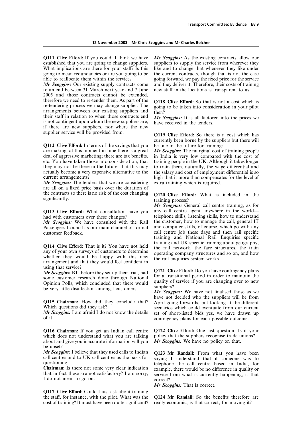#### **12 November 2003 Mr Chris Scoggins and Mr Charles Belcher**

**Q111 Clive Efford:** If you could. I think we have *Mr Scoggins:* As the existing contracts allow our established that you are going to change suppliers. suppliers to supply the service from wherever they What implications are there for your staff? Is this like and to change that whenever they like under going to mean redundancies or are you going to be the current contracts, though that is not the case

to an end between 31 March next year and 7 June new staff in the locations is transparent to us. 2005 and those contracts cannot be extended, therefore we need to re-tender them. As part of the **Q118 Clive Efford:** So that is not a cost which is re-tendering process we may change supplier. The society to be taken into consideration in your pilot re-tendering process we may change supplier. The going to be taken into consideration in your pilot arrangements between our existing suppliers and then? their staff in relation to when those contracts end *Mr Scoggins*: It is all factored into the prices we is not contingent upon whom the new suppliers are, have received in the tenders. if there are new suppliers, nor where the new supplier service will be provided from.

**Q112 Clive Efford:** In terms of the savings that you are making, at this moment in time there is a great *Mr Scoggins:* The marginal cost of training people deal of aggressive marketing; there are tax benefits, in India is very low compared with the cost of etc. You have taken those into consideration, that training people in the UK. Although it takes longer they may not be there in the future, that this may actually become a very expensive alternative to the actually become a very expensive alternative to the the salary and cost of employment differential is so current arrangements?<br>
high that it more than compensates for the level of

*Mr Scoggins:* The tenders that we are considering extra training which is required. are all on a fixed price basis over the duration of the contracts so there is no risk of the cost changing **Q120 Clive Efford:** What is included in the significantly.

Passengers Council as our main channel of formal customer feedback.

**Q114 Clive Efford:** That is it? You have not held<br>any of your own surveys of customers to determine<br>whether they would be happy with this new<br>arrangement and that they would feel confident in using that service?

**Q116 Chairman:** If you get an Indian call centre **Q122 Clive Efford:** One last question. Is it your which does not understand what you are talking policy that the suppliers recognise trade unions? which does not understand what you are talking policy that the suppliers recognise trade unions about and give you inaccurate information will you  $Mr$  Scoggins: We have no policy on that. about and give you inaccurate information will you be upset?<br>Mr Scoggins: I believe that they used calls to Indian

**Q117 Clive Efford:** Could I just ask about training the staff, for instance, with the pilot. What was the **Q124 Mr Randall:** So the benefits therefore are cost of training? It must have been quite significant? really economic, is that correct, for moving it? cost of training? It must have been quite significant?

able to reallocate them within the service? going forward, we pay the fixed price for the service *Mr Scoggins:* Our existing supply contracts come and they deliver it. Therefore, their costs of training

**Q119 Clive Efford:** So there is a cost which has currently been borne by the suppliers but there will<br>be one in the future for training?

training people in the UK. Although it takes longer to train them, naturally, the wage differential and high that it more than compensates for the level of

training process?

*Mr Scoggins:* General call centre training, as for Q113 Clive Efford: What consultation have you any call centre agent anywhere in the worldhad with customers over these changes?<br> *Mr Scoggins:* We have consulted with the Rail the customer, how to manage the call, general IT *Mr Scoggins:* We have consulted with the Rail the customer, how to manage the call, general IT Passengers Council as our main channel of formal and computer skills, of course, which go with any call centre job these days and then rail specific training and National Rail Enquiries specific training and UK specific training about geography,

**Ar Scoggins:** BT, before they set up their trial, had **Q121 Clive Efford:** Do you have contingency plans<br>some customer research done through National for a transitional period in order to maintain the<br>Opinion Polls, which

have not decided who the suppliers will be from **Q115 Chairman:** How did they conclude that? April going forwards, but looking at the different Which questions did they ask? scenarios which could eventuate from our current Which questions did they ask? scenarios which could eventuate from our current  $Mr Scoggins$ : I am afraid I do not know the details set of short-listed bids ves, we have drawn up *Mr Scoggins:* I am afraid I do not know the details set of short-listed bids yes, we have drawn up of it. contingency plans for each possible outcome.

*Mr Scoggins:* I believe that they used calls to Indian **Q123 Mr Randall:** From what you have been call centres and to UK call centres as the basis for saying I understand that if someone was to duestioning—<br>**Chairman:** 

*Mr Scoggins:* That is correct.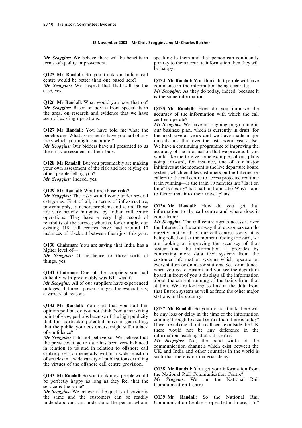# **12 November 2003 Mr Chris Scoggins and Mr Charles Belcher**

*Mr Scoggins:* We believe there will be benefits in speaking to them and that person can confidently

**Q125 Mr Randall:** So you think an Indian call centre would be better than one based here?

*Mr Scoggins:* We suspect that that will be the confidence in the information being accurate?<br> *Mr Scoggins:* As they do today, indeed, becau

**Q126 Mr Randall:** What would you base that on?<br>*Mr Scoggins:* Based on advice from specialists in

your own assessment of the risk and not relying on

*Mr Scoggins:* The risks would come under several categories. First of all, in terms of infrastructure, power supply, transport problems and so on. Those **Q136Mr Randall:** How do you get that are very heavily mitigated by Indian call centre information operations. They have a very high record of come from? operations. They have a very high record of come from?<br>reliability of the service: whereas, for example, our Mr Scoggins: The call centre agents access it over reliability of the service; whereas, for example, our *Mr Scoggins:* The call centre agents access it over existing UK call centres have had around 10 the Internet in the same way that customers can do existing UK call centres have had around 10 the Internet in the same way that customers can do instances of blackout between them just this year. directly; not in all of our call centres today, it is instances of blackout between them just this year.

**Q132 Mr Randall:** You said that you had this<br>
opinion poll but do you not think from a marketing<br>
point of view, perhaps because of the high publicity<br>
that this particular potential move is generating,<br>
that the public,

*Mr Scoggins:* I do not believe so. We believe that<br>the press coverage to date has been very balanced<br>in relation to us and in relation to offshore call<br>centre provision generally within a wide selection<br>of articles in a w of articles in a wide variety of publications extolling<br>the virtues of the offshore call centre provision.

Q133 Mr Randall: So you think most people would<br>be perfectly happy as long as they feel that the Mr Scoggins: We run the National Rail<br>service is the same?<br>Communication Centre.

*Mr Scoggins:* We believe if the quality of service is the same and the customers can be readily **Q139 Mr Randall:** So the National Rail

terms of quality improvement. portray to them accurate information then they will be happy.

centre would be better than one based here? **Q134 Mr Randall:** You think that people will have **Mr Scoggins:** We suspect that that will be the confidence in the information being accurate?

Mr Scoggins: As they do today, indeed, because it is the same information.

*Mr Scoggins:* Based on advice from specialists in **Q135 Mr Randall:** How do you improve the the area, on research and evidence that we have accuracy of the information with which the call seen of existing operations.

*Mr Scoggins:* We have an ongoing programme in **Q127 Mr Randall:** You have told me what the our business plan, which is currently in draft, for benefits are. What assessments have you had of any the next several years and we have made major risks which you might encounter? inroads into that over the last several years also. *Mr Scoggins:* Our bidders have all presented to us We have a continuing programme of improving the their risk assessment of their bids. accuracy of the information that we provide. If you would like me to give some examples of our plans **Q128 Mr Randall:** But you presumably are making going forward, for instance, one of our major your own assessment of the risk and not relying on initiatives at the moment is the live departure board other people telling you?<br>
System, which enables customers on the Internet or<br>
Mr. Scaggins: Indeed yes<br>
System, which enables customers on the Internet or<br>
callers to the call centre to access projected realtime *Mr Scoggins:* Indeed, yes. The callers to the call centre to access projected realtime in running—Is the train 10 minutes late? Is it on **Q129 Mr Randall:** What are those risks?<br>*Mr Seggging*: The risks would come under several to factor that into their travel plans.

being rolled out at the moment. Going forward, we **Q130 Chairman:** You are saying that India has a are looking at improving the accuracy of that higher level of system and the information it provides by connecting more data feed systems from the *Mr Scoggins:* Of resilience to those sorts of connecting more data feed systems from the customer information systems which operate on customer information systems which operate on<br>every station or on major stations. So, for instance,<br> $\begin{array}{ccc}\n\text{C121} & \text{C11} & \text{C121} & \text{C111} & \text{C121} & \text{C111} & \text{C111}\n\end{array}$ **Q131 Chairman:** One of the suppliers you had<br>difficulty with presumably was BT, was it?<br>difficulty with presumably was BT, was it?<br>difficulty with presumably was BT, was it?<br>difficulty with presumably was BT, was it?<br>dout

**Q138 Mr Randall:** You get your information from

Communication Centre is operated in-house, is it?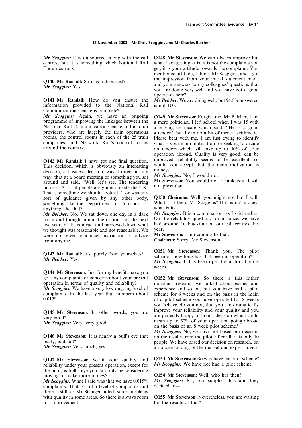**Q141 Mr Randall:** How do you ensure the *Mr Belcher:* We are doing well, but 94.8% answered information provided to the National Rail is not 100. Communication Centre is complete?<br>**Mr Scoggins:** Again, we have an ongoing

Q142 Mr Randall: I have got one final question. improved, reliability seems to be excellent, so<br>This decision, which is obviously an interesting would you accept that the main motivation is<br>decision, a business decision, way, that at a board meeting or something you sat *Mr Scoggins:* No, I would not.<br>around and said "Well let's see. The tendering **Mr Stevenson:** You would not. Thank you. I will around and said, "Well, let's see. The tendering **Mr Stevenson:**<br>process. A lot of people are going outside the UK. not press that.<br>That's something we should look at, " or was any Sort of guidance given by any other body, **Q150 Chairman:** Well, you might not but I will.<br>something like the Department of Transport or What is it then, Mr Scoggins? If it is not money,<br>anything like that? anything like that?<br> **Ar Belcher:** No. We sat down one day in a dark **Mr Scoggins:** It is a combination, as I said earlier.

room and thought about the options for the next On the reliability question, for instance, we have<br>five years of the contract and narrowed down what had around 10 blackouts at our call centres this five years of the contract and narrowed down what had are thought was reasonable and not reasonable We vear. we thought was reasonable and not reasonable. We year.<br>were not given guidance, instruction or advice **Mr Stevenson:** I am coming to that. were not given guidance, instruction or advice **Chairman:** Sorry, Mr Stevenson.

**Q144 Mr Stevenson:** Just for my benefit, have you got any complaints or concerns about your present **Q152 Mr Stevenson:** So there is this rather *Mr Scoggins:* We have a very low ongoing level of complaints. In the last year that numbers about

reliability under your present operation, except for the pilot, is bull's eye you can only be considering moving to make more money?

*Mr Scoggins:* What I said was that we have  $0.015\%$  *Mr Scoggins:* Complaints. That is still a level of complaints and decided to complaints. That is still a level of complaints and there is still, as Mr Stringer noted, some problems with quality in some areas. So there is always room **Q155 Mr Stevenson:** Nevertheless, you are waiting for improvement.

*Mr Scoggins:* It is outsourced, along with the call **Q148 Mr Stevenson:** We can always improve but centres, but it is something which National Rail what I am getting at is, it is not the complaints you Enquiries runs. get, it is your attitude towards the complaint. You mentioned attitude, I think, Mr Scoggins, and I got **Q140 Mr Randall:** So it is outsourced? **and your answers to my colleagues' questions that** *Mr Scoggins:* **Yes. you are doing very well and you have got a good** operation here?

*Mr* Scoggins: Again, we have an ongoing Q149 Mr Stevenson: Forgive me, Mr Belcher, I am programme of improving the linkages between the a mere politician. I left school when I was 15 with National Rail Communication Ce rooms, the control rooms in each of the 25 train Please bear with me. I am just trying to identify<br>companies, and Network Rail's control rooms what is your main motivation for seeking to decide<br>around the country. <br>on tend operation abroad. Quality is very good, can be

*Mr Belcher:* No. We sat down one day in a dark *Mr Scoggins:* It is a combination, as I said earlier.<br>room and thought about the options for the next On the reliability question, for instance, we have

**Q143 Mr Randall:** Just purely from yourselves?<br> **Q151 Mr Stevenson:** Thank you. The pilot scheme—how long has that been in operation?<br> *Mr Scoggins:* It has been operational for about 8 weeks.

in distinct research we talked about earlier and experience and so on, but you have had a pilot complaints. In the last year that numbers about scheme for 8 weeks and on the basis in the main  $0.015\%$ . of a pilot scheme you have operated for 8 weeks you believe, do you not, that you can dramatically improve your reliability and your quality and you **Q145 Mr Stevenson:** In other words, you are improve your reliability and your quality and you are perfectly happy to take a decision which could very good? *Mr Scoggins:* Very, very good. The mean up to 50% of your operation going abroad on the basis of an 8 week pilot scheme?

*Mr Scoggins:* No, we have not based our decision **Q146 Mr Stevenson:** It is nearly a bull's eye that on the results from the pilot; after all, it is only 10 really, is it not? really, is it not?<br> *Mr Scoggins:* Very much, yes.<br> **Ar Scoggins:** Very much, yes.<br> **Ar Scoggins:** Very much, yes.<br> **Ar Scoggins:** Very much, yes.<br> **Ar** Scoggins: Very much, yes. an understanding of the market and expert advice.

**Q147 Mr Stevenson:** So if your quality and **Q153 Mr Stevenson:** So why have the pilot scheme?<br>reliability under your present operation except for **Mr Scoggins:** We have not had a pilot scheme.

**Q154 Mr Stevenson:** Well, who has then?<br>*Mr Scoggins:* **BT**, our supplier, has and they

for the results of that?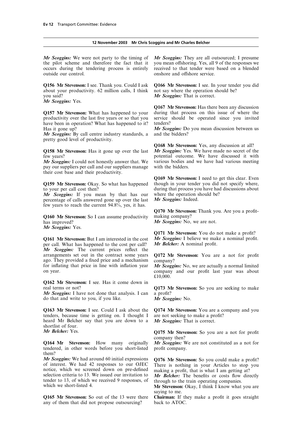# **12 November 2003 Mr Chris Scoggins and Mr Charles Belcher**

*Mr Scoggins:* We were not party to the timing of *Mr Scoggins:* They are all outsourced; I presume the pilot scheme and therefore the fact that it you mean offshoring. Yes, all 9 of the responses we occurs during the tendering process is entirely received to that tender were based on a blended outside our control.  $\Box$  onshore and offshore service.

**Q156Mr Stevenson:** I see. Thank you. Could I ask **Q166 Mr Stevenson:** I see. In your tender you did about your productivity. 62 million calls, I think not say where the operation should be?<br>you said? Mr Scoggins: That is correct.

*Mr Scoggins:* Yes.

productivity over the last five years or so that you service should be operated since you invited have been in operation? What has happened to it? tenders?<br>Has it gone up?  $Mr$  Scog

*Mr Scoggins:* By call centre industry standards, a pretty good level of productivity.

pay our suppliers per call and our suppliers manage their cost base and their productivity.

*Mr Scoggins:* If you mean by that has our where the operation spercentage of calls answered gone up over the last *Mr Scoggins:* Indeed. percentage of calls answered gone up over the last few years to reach the current 94.8%, yes, it has.

**Q160 Mr Stevenson:** So I can assume productivity making company?<br>has improved? Mr Scoggins: No,

*Mr Scoggins:* Yes.

per call. What has happened to the cost per call? *Mr Scoggins:* The current prices reflect the arrangements set out in the contract some years ago. They provided a fixed price and a mechanism company?<br>for inflating that price in line with inflation year  $Mr$  Scoggi

**Q162 Mr Stevenson:** I see. Has it come down in real terms or not? **Q173 Mr Stevenson:** So you are seeking to make

*Mr Scoggins:* I have not done that analysis. I can a profit? do that and write to you, if you like. *Mr Scoggins:* No.

**Q163 Mr Stevenson:** I see. Could I ask about the **Q174 Mr Stevenson:** You are a company and you tenders, because time is getting on. I thought I are not seeking to make a profit? tenders, because time is getting on. I thought I are not seeking to make a profile heard Mr Belcher say that you are down to a *Mr Scoggins:* That is correct. heard Mr Belcher say that you are down to a shortlist of four.<br>Mr Belcher: Yes.

**Q164 Mr Stevenson:** How many originally *Mr Scoggins:* We are not constituted as a not for tendered, in other words before you short-listed profit company. tendered, in other words before you short-listed them?

*Mr Scoggins:* We had around 60 initial expressions **Q176 Mr Stevenson:** So you could make a profit?<br>of interest. We had 42 responses to our OJEC There is nothing in your Articles to stop you<br>notice, which we screened d

**Q165 Mr Stevenson:** So out of the 13 were there **Chairman:** If they make a profit it goes straight any of them that did not propose outsourcing? back to ATOC. any of them that did not propose outsourcing?

Mr Scoggins: That is correct.

**Q167 Mr Stevenson:** Has there been any discussion **Q157 Mr Stevenson:** What has happened to your during that process on this issue of where the

*Mr Scoggins:* Do you mean discussion between us and the bidders?

**Q168 Mr Stevenson:** Yes, any discussion at all? **Q158 Mr Stevenson:** Has it gone up over the last *Mr Scoggins:* Yes. We have made no secret of the few years?<br> *Mr Scoggins:* I could not honestly answer that. We various bodies and we have had various meeting various bodies and we have had various meeting with the bidders.

**Q169 Mr Stevenson:** I need to get this clear. Even **Q159 Mr Stevenson:** Okay. So what has happened though in your tender you did not specify where, to your per call cost then? during that process you have had discussions about  $Mr$  Scoggins: If you mean by that has our where the operation should be?

> **Q170 Mr Stevenson:** Thank you. Are you a profit-*Mr Scoggins:* No, we are not.

**Q171 Mr Stevenson:** You do not make a profit? **Q161 Mr Stevenson:** But I am interested in the cost *Mr Scoggins:* I believe we make a nominal profit. per call. What has happened to the cost per call? *Mr Belcher:* A nominal profit.

Q172 Mr Stevenson: You are a not for profit

*Mr Scoggins:* No, we are actually a normal limited on year. company and our profit last year was about £10,000.

**O175 Mr Stevenson:** So you are a not for profit company then?

saying to me.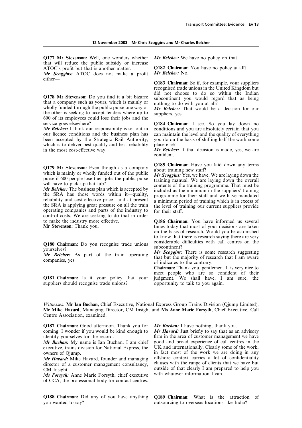**Q177 Mr Stevenson:** Well, one wonders whether *Mr Belcher:* We have no policy on that. that will reduce the public subsidy or increase

*Mr Scoggins:* ATOC does not make a profit either—

Q178 Mr Stevenson: Do you find it a bit bizarre<br>that a company such as yours, which is mainly or<br>wholly funded through the public purse one way or<br>the other is seeking to accept tenders where up to<br>uppliers, yes. 600 of its employees could lose their jobs and the service goes elsewhere?

been accepted by the Strategic Rail Authority, you do on the basis of shifting half the work some which is to deliver best quality and best reliability place else? in the most cost-effective way. *Mr Belcher:* If that decision is made, yes, we are

the SRA has those words within it—quality,<br>
relability and cost-effective price—and at present<br>
reliability and cost-effective price—and at present<br>
a minimum period of training which is in excess of<br>
the SRA is applying g

suppliers should recognise trade unions? opportunity to talk to you again.

ATOC's profit but that is another matter. **Q182 Chairman:** You have no policy at all?<br>Mr Scoggins: ATOC does not make a profit Mr Belcher: No.

**Q183 Chairman:** So if, for example, your suppliers recognised trade unions in the United Kingdom but did not choose to do so within the Indian subcontinent you would regard that as being

service goes elsewhere?<br> **Q184 Chairman:** I see. So you lay down no<br> **Mr Belcher:** I think our responsibility is set out in conditions and you are absolutely certain that you *Mr Belcher:* I think our responsibility is set out in conditions and you are absolutely certain that you our licence conditions and the business plan has can maintain the level and the quality of everything can maintain the level and the quality of everything

confident.

**Q179 Mr Stevenson:** Even though as a company<br>which is mainly or wholly funded out of the public<br>purse if 600 people lose their jobs the public purse<br>will have to pick up that tab?<br>will have to pick up that tab?<br>Mr Belche

**O186 Chairman:** You have informed us several **Mr Stevenson:** Thank you. times today that most of your decisions are taken on the basis of research. Would you be astonished to know that there is research saying there are very considerable difficulties with call centres on the

**Q180 Chairman:** Do you recognise trade unions considerable difficulties with call centres on the subcontinent?<br> **Mr Belcher:** As part of the train operating that but the majority of research suggesting companies, yes.<br> **M** 

**Chairman:** Thank you, gentlemen. It is very nice to meet people who are so confident of their **Q181 Chairman:** Is it your policy that your judgment. We shall have, I am sure, the

*Witnesses:* **Mr Ian Buchan,** Chief Executive, National Express Group Trains Division (Qjump Limited), **Mr Mike Havard,** Managing Director, CM Insight and **Ms Anne Marie Forsyth,** Chief Executive, Call Centre Association, examined.

**Q187 Chairman:** Good afternoon. Thank you for *Mr Buchan:* I have nothing, thank you.<br>coming. I wonder if you would be kind enough to *Mr Havard:* Just briefly to say that as an advisory coming. I wonder if you would be kind enough to

*Mr Buchan:* My name is Ian Buchan. I am chief executive, trains division for National Express, the UK and internationally. Clearly some of the work,

director of a customer management consultancy,

*Ms Forsyth:* Anne Marie Forsyth, chief executive of CCA, the professional body for contact centres.

identify yourselves for the record. firm in the area of customer management we have <br>Mr Buchan: My name is Ian Buchan. I am chief good and broad experience of call centres in the owners of Qjump.<br> **in fact most of the work we are doing in any**<br> *Mr Havard:* **Mike Havard founder and managing offshore context carries a lot of confidentiality** *Mr Havard:* Mike Havard, founder and managing offshore context carries a lot of confidentiality director of a customer management consultancy clauses with the range of clients that we have but CM Insight.<br>
CM Insight.<br>  $M_s$  Ferguely Anne Marie Forguth chief executive with whatever information I can.

**Q188 Chairman:** Did any of you have anything **Q189 Chairman:** What is the attraction of outsourcing to overseas locations like India?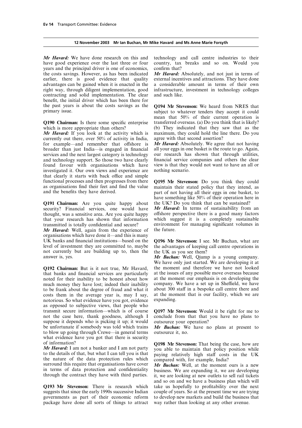*Mr Havard:* We have done research on this and technology and call centre industries to their have good experience over the last three or four country, tax breaks and so on. Would you years and the principal driver is one of economics, confirm that? the costs savings. However, as has been indicated *Mr Havard:* Absolutely, and not just in terms of earlier, there is good evidence that quality external incentives and attractions. They have done advantages can be gained when it is enacted in the a considerable amount in terms of their own right way, through diligent implementation, good infrastructure, investment in technology colleges contracting and solid implementation. The clear and such like. benefit, the initial driver which has been there for the past vears is about the costs savings as the the past years is about the costs savings as the **Q194 Mr Stevenson:** We heard from NRES that

*Mr Havard:* If you look at the activity which is maximum, they could hold the line currently out there. over 50% of activity in India. agree with that second assertion? currently out there, over  $50\%$  of activity in India, for example—and remember that offshore is *Mr Havard:* Absolutely. We agree that not having broader than just India—is engaged in financial all your eggs in one basket is the route to go. Again, services and the next largest category is technology our research has shown that through utilities, and technology support. So those two have clearly financial service companies and others the clear and technology support. So those two have clearly financial service companies and others the clear found favour with organisations which have view is that they would not want to have an all or found favour with organisations which have view is that they wive strip investigated it. Our own views and experience are nothing scenario. investigated it. Our own views and experience are that clearly it starts with back office and simple functional processes and then progresses from there **Q195 Mr Stevenson:** Do you think they could as organisations find their feet and find the value maintain their stated policy that they intend, as and the benefits they have derived.

**Q191 Chairman:** Are you quite happy about the UK? Do you think that can be sustained?<br>security? Financial services, one would have Mr Havard: In terms of sustainability from an security? Financial services, one would have thought, was a sensitive area. Are you quite happy that your research has shown that information transmitted is totally confidential and secure?

*Mr Havard:* Well, again from the experience of organisations which have done it—and this is many UK banks and financial institutions—based on the **Q196Mr Stevenson:** I see. Mr Buchan, what are level of investment they are committed to, maybe the advantages of keeping call centre operations in not currently but are building up to, then the the UK as you see them? answer is, yes. *Mr Buchan:* Well, Qjump is a young company.

**Q192 Chairman:** But is it not true, Mr Havard, the moment and therefore we have not looked that banks and financial services are particularly at the issues of any possible move overseas because noted for their inability to be honest about how at the moment our emphasis is on developing the much money they have lost; indeed their inability company. We have a set up in Sheffield, we have much money they have lost; indeed their inability company. We have a set up in Sheffield, we have to be frank about the degree of fraud and what it about 300 staff in a bespoke call centre there and to be frank about the degree of fraud and what it about 300 staff in a bespoke call centre there and costs them in the average year is, may I say, at the moment that is our facility, which we are costs them in the average year is, may I say, at the moment original is our factor of  $\frac{1}{1}$  is  $\frac{1}{1}$  is our factor of  $\frac{1}{1}$  is  $\frac{1}{1}$  is  $\frac{1}{1}$  is  $\frac{1}{1}$  is  $\frac{1}{1}$  is  $\frac{1}{1}$  is  $\frac{1}{1}$  is  $\frac{$ notorious. So what evidence have you got, evidence as opposed to subjective views, that people who transmit secure information—which is of course transmit secure information—which is of course **Q197 Mr Stevenson:** Would it be right for me to suppose it depends who is picking it up; it would outsource your operation?<br>be unfortunate if somebody was told which trains **Mr Buchan:** We have n to blow up going through Crewe—in general terms what evidence have you got that there is security

surround this require that organisations have cover<br>in terms of data protection and confidentiality<br>through the contract they have with third parties. We are expanding it, we are developing<br>it, we are looking at new outle

**Q193 Mr Stevenson:** There is research which take us hopefully to profitability over the next suggests that since the early 1990s successive Indian couple of years. So at the present time we are trying suggests that since the early 1990s successive Indian couple of years. So at the present time we are trying governments as part of their economic reform to develop new markets and build the business that governments as part of their economic reform to develop new markets and build the business package have done all sorts of things to attract way rather than looking at any other avenue. package have done all sorts of things to attract

subject to whatever tenders they accept it could mean that 50% of their current operation is **Q190 Chairman:** Is there some specific enterprise transferred overseas. (a) Do you think that is likely? which is more appropriate than others? (b) They indicated that they saw that as the  $Mr$  Havard: If you look at the activity which is maximum, they could hold the line there. Do you

part of not having all their eggs in one basket, to have something like 50% of their operation here in the UK? Do you think that can be sustained?

offshore perspective there is a good many factors which suggest it is a completely sustainable environment for managing significant volumes in the future.

We have only just started. We are developing it at

conclude from that that you have no plans to

**Mr Buchan:** We have no plans at present to outsource it, no.

of information?<br> **OI98 Mr Stevenson:** That being the case, how are<br> **OI98 Mr Stevenson:** That being the case, how are<br>
to the details of that, but what I can tell you is that<br>
the nature of the data protection rules which<br>

and so on and we have a business plan which will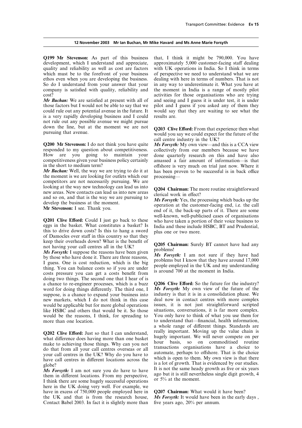development, which I understand and appreciate, approximately 5,000 customer-facing staff dealing quality and reliability as well as cost are factors with UK operations in India. So I think in terms which must be to the forefront of your business of perspective we need to understand what we are ethos even when you are developing the business. dealing with here in terms of numbers. That is not So do I understand from your answer that your in any way to underestimate it. What you have at company is satisfied with quality, reliability and the moment in India is a range of mostly pilot

*Mr Buchan:* We are satisfied at present with all of those factors but I would not be able to say that we could rule out any potential avenue in the future. It would say that they are waiting to see what the is a very rapidly developing business and I could results are. not rule out any possible avenue we might pursue

**Q200 Mr Stevenson:** I do not think you have quite *Ms Forsyth:* My own view—and this is a CCA view responded to my question about competitiveness. collectively from our members because we have How are you going to maintain your done quarterly research on this and have also competitiveness given your business policy certainly amassed a fair amount of information—is that competitiveness given your business policy certainly amassed a fair amount of information—is that

the moment is we are looking for outlets which our processingcompetitors are not necessarily pursuing. We are looking at the way new technology can lead us into Valiation at the way new technology can lead us into<br>new areas. New contacts can lead us into new areas<br>and so on, and that is the way we are pursuing to<br>develop the business at the moment.<br>Mr Stevenson: I see. Thank you.<br>

of Damocles over staff in this country so that they keep their overheads down? What is the benefit of

keep their overheads down? What is the benefit of<br>not having your call centres all in the UK?<br>Ms Forsyth: I suppose the reasons have been given<br>by those who have done it. There are three reasons,<br>I guess. One is cost reduc doing two things. The second one that I hear of is a chance to re-engineer processes, which is a buzz **Q206 Clive Efford:** So the future for the industry? word for doing things differently. The third one, I **Ms Forsyth:** My own view of the future of the suppose, is a chance to expand your business into industry is that it is in a consolidation phase. We suppose, is a chance to expand your business into industry is that it is in a consolidation phase. We new markets, which I do not think in this case deal now in contact centres with more complex new markets, which I do not think in this case would be applicable but for more global operations like HSBC and others that would be it. So those situations, conversations, it is far more complex. would be the reasons, I think, for spreading to more than one location.

make to achieving those things. Why can you not hour basis, so on commoditised routine<br>do that from all your call centres overseas or all transactions organisations have a choice to

*Ms Forsyth:* I am not sure you do have to have  $\frac{1}{1}$  is not the same heady growth as hve or six years them in different locations. From my perspective, and  $\frac{1}{1}$  is still nevertheless single digit growth, 4 I thi here in the UK doing very well. For example, we have in excess of 750,000 people employed here in **Q207 Chairman:** What would it have been?<br>the UK and that is from the research house, *Ms Forsyth*: It would have been in the early days, the UK and that is from the research house, *Ms Forsyth:* It would have been Contact Babel 2003. In fact it is slightly more than five years ago, 20% per annum. Contact Babel 2003. In fact it is slightly more than

**Q199 Mr Stevenson:** As part of this business that, I think it might be 790,000. You have cost?<br> *Mr Buchan:* We are satisfied at present with all of and seeing and I guess it is under test, it is under pilot and I guess if you asked any of them they

down the line, but at the moment we are not **Q203 Clive Efford:** From that experience then what pursuing that avenue. call centre industry in the UK?

collectively from our members because we have in the short to medium term?<br> *Mr Buchan:* Well, the way we are trying to do it at has been proven to be successful is in back office has been proven to be successful is in back office

**Q201 Clive Efford:** Could I just go back to these well-known, well-publicised cases of organisations who have taken a portion of their voice business to eggs in the basket. What constitutes a basket? Is India and these in

issues, it is not just straightforward scripted situations, conversations, it is far more complex. to understand that—financial, health information, a whole range of different things. Standards are **Q202 Clive Efford:** Just so that I can understand, really important. Moving up the value chain is what difference does having more than one basket hugely important. We will never compete on per make to achieving those thi do that from all your call centres overseas or all<br>your call centres in the UK? Why do you have to<br>have call centres in different locations across the<br>globe?<br>Ms Equally 1 am not sure you do have to have to have it is not t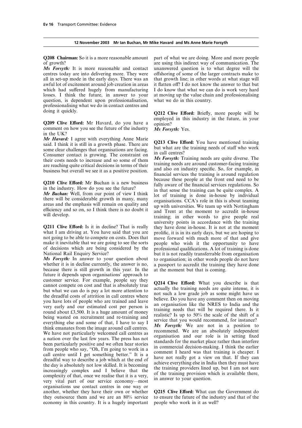**Q208 Chairman:** So it is a more reasonable amount part of what we are doing. More and more people of growth? are using this indirect way of communication. The

centres today are into delivering more. They were offshoring of some of the larger contracts make to all in set-up mode in the early days. There was an that growth line; in other words at what stage will awful lot of excitement around job creation in areas it flatten off? I do not know the answer to that but which had suffered hugely from manufacturing I do know that what we can do is work very hard losses. I think the future, in answer to your at moving up the value chain and professionalising question, is dependent upon professionalisation, what we do in this country. professionalising what we do in contact centres and

**Q209 Clive Efford:** Mr Havard, do you have a opinion? comment on how you see the future of the industry *Ms Forsyth:* Yes. in the UK?

**Ar Havard:** I agree with everything Anne Marie<br>
said. I think it is still in a growth phase. There are<br>
some clear challenges that organisations are facing.<br>
Consumer contact is growing. The constraint on<br>
their costs nee

not going to be able to compete on costs. Does that move forward with much more of that and give make it inevitable that we are going to see the sorts people who wish it the opportunity to have make it inevitable that we are going to see the sorts people who wish it the opportunity to have of decisions which are being considered by the professional qualifications. A lot of training is done

whether it is in decline currently, the answer is no, a passport to accredit the training they have done because there is still growth in this year. In the at the moment but that is coming. future it depends upon organisations' approach to customer service. For example, people say they customer service. For example, people say they<br>customer service. For example, people say they<br>cannot compete on cost and that is absolutely true<br>of the time actually the training needs are quite intense, it is<br>the dreadfu organisations use contact centres in one way or another, whether they have their own or whether **Q215 Clive Efford:** What can the Government do they outsource them and we are an 80% service to ensure the future of the industry and that of the they outsource them and we are an  $80\%$  service to ensure the future of the industry economy in this country. It is a hugely important people who work in it as well? economy in this country. It is a hugely important

*Ms Forsyth:* It is more reasonable and contact unanswered question is to what degree will the

doing it quickly.<br>**Q212 Clive Efford:** Briefly, more people will be

**Q210 Clive Efford:** Mr Buchan is a new business<br>in the industry. How do you see the future?<br>*Mr Buchan*: Well, from our point of view I think<br>there will be considerable growth in many, many<br>areas and the emphasis will rem areas and the emphasis will remain on quality and up with universities. We team up with Nottingham efficiency and so on, so I think there is no doubt it and Trent at the moment to accredit in-house training; in other words university points in accordance with the training **Q211 Clive Efford:** Is it in decline? That is really they have done in-house. It is not at the moment what I am driving at. You have said that you are prolific, it is in its early days, but we are hoping to prolific, it is in its early days, but we are hoping to of decisions which are being considered by the professional qualifications. A lot of training is done<br>National Rail Enquiry Service?<br>but it is not readily transferrable from organisation National Rail Enquiry Service?<br>
Ms Forsyth: In answer to your question about to organisation: in other words people do not have to organisation; in other words people do not have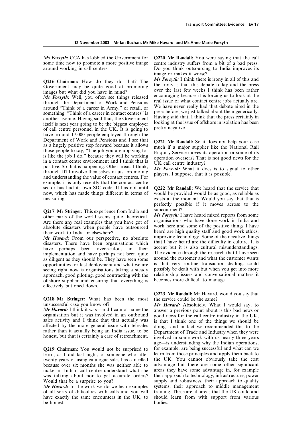*Ms Forsyth:* CCA has lobbied the Government for **Q220 Mr Randall:** You were saying that the call some time now to promote a more positive image centre industry suffers from a bit of a bad press. around working in call centres. Do you think outsourcing to India improves its

Fractional the Department of Work and Pensions<br>around "Think of a career in Army," or retail, or<br>something. "Think of a career in contact centres" is<br>something. "Think of a career in contact centres" is<br>another avenue. Hav have around 17,000 people employed through the<br>Department of Work and Pensions and I see that Department of Work and Pensions and I see that<br>
as a hugely positive step forward because it allows<br>
those people to say, "The job you are applying for<br>
is like the job I do," because they will be working<br>
in a contact cen example, it is only recently that the contact centre sector has had its own SIC code. It has not until **Q222 Mr Randall:** We heard that the service that now, which has made things different in terms of would be provided would be as good, as reliable as measuring.

**Q217 Mr Stringer:** This experience from India and **Subcontinent?**<br>
other parts of the world seems quite theoretical. *Ms Forsyth:* I have heard mixed reports from some  $\Lambda$  re there any real examples that you have got of Are there any real examples that you have got of organisations who have done work in India and absolute disasters when people have outsourced work here and some of the positive things I have

disasters. There have been organisations which that I have heard are the difficulty in culture. It is have perhaps been over-zealous in their accent but it is also cultural misunderstandings. have perhaps been over-zealous in their accent but it is also cultural misunderstandings.<br>implementation and have perhaps not been quite. The evidence through the research that I have seen implementation and have perhaps not been quite The evidence through the research that I have seen<br>as diligent as they should be They have seen some around the customer and what the customer wants as diligent as they should be. They have seen some around the customer and what the customer wants opportunities for fast deployment and what we are is that very routine transaction dealings could opportunities for fast deployment and what we are is that very routine transaction dealings could<br>seeing right now is organisations taking a steady possibly be dealt with but when you get into more seeing right now is organisations taking a steady possibly be dealt with but when you get into more<br>approach good piloting good contracting with the relationship issues and conversational matters it approach, good piloting, good contracting with the relationship issues and conversation<br>offshore supplier and ensuring that everything is becomes more difficult to manage. offshore supplier and ensuring that everything is effectively buttoned down.

**Q218 Mr Stringer:** What has been the most the service could be the same?<br>unsuccessful case you know of?<br>*Mr Havard:* Absolutely. What

*Mr Havard:* I think it was—and I cannot name the answer a previous point about is this bad news or organisation but it was involved in an outbound good news for the call centre industry in the UK. organisation but it was involved in an outbound good news for the call centre industry in the UK, sales activity and I think that that actually was is that I think one of the things we should be sales activity and I think that that actually was is that I think one of the things we should be affected by the more general issue with telesales doing and in fact we recommended this to the

learn, as I did last night, of someone who after learn from those principles and apply them back to twenty vears of using catalogue sales has cancelled the UK. You cannot obviously take the cost twenty years of using catalogue sales has cancelled the UK. You cannot obviously take the cost because over six months she was neither able to advantage but there are some other significant because over six months she was neither able to make an Indian call centre understand what she areas they have some advantage in, for example was talking about nor to get accurate orders? their approach to technology, infrastructure, power was talking about nor to get accurate orders?<br>Would that be a surprise to you?

of all sorts of difficulties with calls and you will training. These are all areas that the UK could and have exactly the same encounters in the UK, to should learn from with support from various be honest.

image or makes it worse?

**Q216 Chairman:** How do they do that? The *Ms Forsyth*: I think there is irony in all of this and Government may be quite good at promoting the irony is that this debate today and the press over the last few weeks I think *Ms Forsyth:* Well, you often see things released encouraging because it is forcing us to look at the through the Department of Work and Pensions and Well, we have the tead issue of what contact centre jobs actually are.

exists at the moment. Would you say that that is perfectly possible if it moves across to the

absolute disasters when people have outsourced work here and some of the positive things I have<br>their work to India or elsewhere?<br>Mr Havard: From our perspective no absolute improving technology. Some of the negative thing *Mr Havard:* From our perspective, no absolute improving technology. Some of the negative things disasters. There have been organisations which that I have heard are the difficulty in culture. It is

**Q223 Mr Randall:** Mr Havard, would you say that

unsuccessful case you know of?<br>*Mr Havard:* I think it was—and I cannot name the answer a previous point about is this had news or affected by the more general issue with telesales doing—and in fact we recommended this to the rather than it actually being an India issue, to be Department of Trade and Industry when they were honest, but that is certain ago—is understanding why the Indian operations, **Q219 Chairman:** You would not be surprised to for example, are being successful and what can we learn as I did last night of someone who after learn from those principles and apply them back to Would that be a surprise to you?  $Mr$  Havard: In the work we do we hear examples systems, their approach to middle management *Mr Havard:* In the work we do we hear examples systems, their approach to middle management of all sorts of difficulties with calls and you will training. These are all areas that the UK could and should learn from with support from various bodies.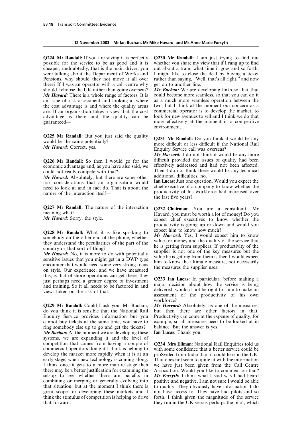possible for the service to be as good and it is whether you share my view that if I rang up to find cheaper, undoubtedly, that is the main driver, you out about a train, what time it goes and so forth, were talking about the Department of Works and I might like to close the deal by buying a ticket Pensions, why should they not move it all over rather than saying, "Well, that's all right," and now there? If I was an operator with a call centre why get on to another line. there? If I was an operator with a call centre why should I choose the UK rather than going overseas? *Mr Buchan:* We are developing links so that that *Mr Havard:* There is a whole range of factors. It is could become more seamless, so that you can do it an issue of risk assessment and looking at where as a much more seamless operation between the an issue of risk assessment and looking at where as a much more seamless operation between the the cost advantage is and where the quality areas two, but I think at the moment our concern as a the cost advantage is and where the quality areas two, but I think at the moment our concern as a are. If an organisation takes a view that the cost commercial operator is to develop the market, to are. If an organisation takes a view that the cost commercial operator is to develop the market, to advantage is there and the quality can be guaranteed— more effectively at the moment in a competitive

Q225 Mr Randall: But you just said the quality<br>would be the same potentially?<br>Mr Havard: Correct, yes.<br>Enquiry Service call was overseas?

*Mr Havard:* Absolutely, but there are some other additional difficulties, no.<br>risk, considerations, that an organisation would **Ian Lucas:** Just one question. Would you expect the risk considerations that an organisation would<br>need to look at and in fact do. That is about the chief executive of a company to know whether the productivity of his workforce had increased over nature of the interaction itself—

this, is that offshore operations can get there, they<br>just perhaps need a greater degree of investment<br>and training. So it all needs to be factored in and<br>wiews taken on the risk of that.<br>assessment of the productivity of

**Q229 Mr Randall:** Could I ask you, Mr Buchan, *Mr Harvard:* Absolutely, as one of the measures, do vou think it is sensible that the National Rail but then there are other factors in that. do you think it is sensible that the National Rail Enquiry Service provides information but you Productivity can come at the expense of quality, for cannot buy tickets at the same time, you have to example, so all measures need to be looked at in ring somebody else up to go and get the tickets? balance. But the answer is yes. ring somebody else up to go and get the tickets? balance. But the answer  $Mr$  Buchan: At the moment we are developing these **Ian Lucas:** Thank you. *Mr Buchan:* At the moment we are developing these systems, we are expanding it and the level of competition that comes from having a couple of **Q234 Mrs Ellman:** National Rail Enquiries told us commercial operators doing it I think is helping to with some confidence that a better service could be commercial operators doing it I think is helping to with some confidence that a better service could be develop the market more rapidly when it is at an prospected from India than it could here in the UK. develop the market more rapidly when it is at an proSvided from India than it could here in the UK.<br>early stage, when new technology is coming along. That does not seem to quite fit with the information early stage, when new technology is coming along. That does not seem to quite fit with the information I think once it gets to a more mature stage then we have just been given from the Call Centre there may be a better justification for examining the Association. Would you like to comment on that? Set-up to see whether there are benefits in Ms Forsyth: I think what I said was I had heard combining or merging or generally evolving into positive and negative. I am not sure I would be able that situation, but at the moment I think there is to qualify. They obviously have information I do that situation, but at the moment I think there is great scope for developing these markets and I not have access to. They have had pilots and so think the stimulus of competition is helping to drive forth. I think given the magnitude of the service think the stimulus of competition is helping to drive forth. I think given the magnitude of the service that forward.<br>they run in the UK versus perhaps the pilot, which

**Q224 Mr Randall:** If you are saying it is perfectly **Q230 Mr Randall:** I am just trying to find out

environment.

*Mr Harvard:* I do not think it would be any more **Q226 Mr Randall:** So then I would go for the difficult provided the issues of quality had been economic advantage and as you have also said we effectively addressed and had not been affected. economic advantage and, as you have also said, we effectively addressed and had not been affected.<br>could not really compete with that?<br>Mu Havand, Absolutely, but there are some other additional difficulties, no.

the last five years?

Q227 Mr Randall: The nature of the interaction Q232 Chairman: You are a consultant, Mr meaning what?<br>
Havard, you must be worth a lot of money! Do you expect chief executives to know whether the productivity is going up or down and would you

**Q228 Mr Randall:** What it is like speaking to<br>somebody on the other end of the phone, whether<br>they understand the peculiarities of the part of the<br>they wave for money and the quality of the service that<br>they understand t

workforce?

we have just been given from the Call Centre *Ms Forsyth:* I think what I said was I had heard positive and negative. I am not sure I would be able they run in the UK versus perhaps the pilot, which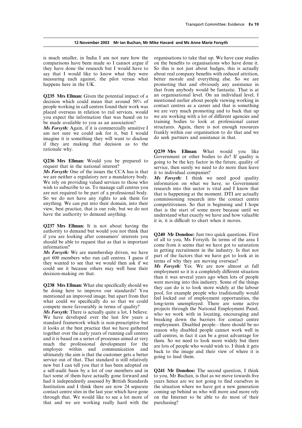comparisons have been made so I cannot argue if on the benefits to organisations who have done it. they have done the research but I would have to So this is not just about badges, this is actually say that I would like to know what they were about real company benefits with reduced attrition, measuring each against, the pilot versus what better morale and everything else. So we are happens here in the UK. promoting that and obviously any assistance in

people working in call centres found their work was contact centres as a career and that is something placed overseas in relation to rail services would we are very much promoting and to back that up placed overseas in relation to rail services, would we are very much promoting and to back that up<br>vou expect the information that was based on to we are working with a lot of different agencies and you expect the information that was based on to we are working with a lot of different agencies and be made available to you as an association?  $\frac{1}{2}$  training bodies to look at professional career

*Ms Forsyth:* Again, if it is commercially sensitive I structures. Again, there is not enough resources am not sure we could ask for it but I would frankly within our organisation to do that and we am not sure we could ask for it, but I would frankly within our organisation to do the imagine it is something they will want to disclose do seek partners and assistance in that. imagine it is something they will want to disclose if they are making that decision as to the

**Q236 Mrs Ellman:** Would you be prepared to going to be the key factor in the future, quality is<br>request that in the national interest?<br>*Ms Forsyth*: One of the issues the CCA has is that it to individual companies?<br>we ar are not required to be part of a professional body.<br>
So we do not have any rights to ask them for<br>
anything. We can put into their domain, into their<br>
commissioning research into the contact centre<br>
competitiveness. So tha

**Q237 Mrs Ellman:** It is not about having the

For the same of the factors that we have got to look at in<br>got 600 members who run call centres. I guess if<br>they wanted to see that we would then ask if we<br>could see it because others may well base their<br>decision-making on

new but I can tell you that it has been adopted on a self-audit basis by a lot of our members and in **Q241 Mr Donohoe:** The second question, I think fact some of them have actually gone forward and had it independently assessed by British Standards Institution and I think there are now  $24$  separate contact centre sites in the last year which have gone through that. We would like to see a lot more of on the Internet that and we are working really hard with the purchasing? that and we are working really hard with the

is much smaller, in India I am not sure how the organisations to take that up. We have case studies that from anybody would be fantastic. That is at **Q235 Mrs Ellman:** Given the potential impact of a an organisational level. On an individual level, I decision which could mean that around 50% of mentioned earlier about people viewing working in mentioned earlier about people viewing working in contact centres as a career and that is something be made available to you as an association? training bodies to look at professional career<br>Ms Forsyth: Again if it is commercially sensitive I structures. Again, there is not enough resources

rationale why.<br>**Q239 Mrs Ellman:** What would you like<br>Government or other bodies to do? If quality is

understand what exactly we have and how valuable it is, it is difficult to chart when it moves.

authority to demand but would you not think that<br>if you are looking after consumers' interests you<br>should be able to request that as that is important<br>information?<br>Me Form it seems that we have got to saturation<br>informatio *Ms Forsyth:* We are membership driven, we have in getting recruitment in the industry. Is that not

**Q238 Mrs Ellman:** What else specifically should we were moving into this industry. Some of the things<br>be doing here to improve our standards? You they can do is to look more widely at the labour<br>mentioned an improved ima

years hence are we not going to find ourselves in the situation where we have got a new generation coming up behind us who will more and more rely on the Internet to be able to do most of their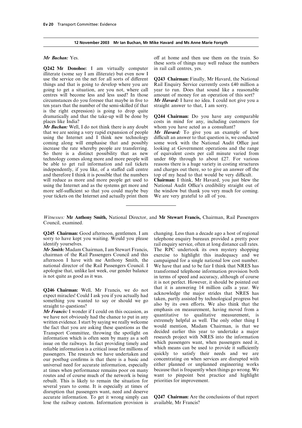**Q242 Mr Donohoe:** I am virtually computer in rail call centres, yes. illiterate (some say I am illiterate) but even now I use the service on the net for all sorts of different **Q243 Chairman:** Finally, Mr Havard, the National things and that is going to develop where you are Rail Enquiry Service currently costs £40 million a going to get a situation, are you not, where call year to run. Does that sound like a reasonable centres will become less and less used? In those amount of money for an operation of this sort? circumstances do you foresee that maybe in five to *Mr Havard:* I have no idea. I could not give you a ten years that the number of the semi-skilled (if that is the right expression) is going to drop quite dramatically and that the take-up will be done by **Q244 Chairman:** Do you have any comparable

 $\hat{M}$ r *Buchan*: Well, I do not think there is any doubt that we are seeing a very rapid expansion of people *Mr Havard:* To give you an example of how using the Internet and I think new technology difficult an answer to that question is, we conducted using the Internet and I think new technology difficult an answer to that question is, we conducted coming along will emphasise that and possibly some work with the National Audit Office just coming along will emphasise that and possibly increase the rate whereby people are transferring. increase the rate whereby people are transferring. looking at Government operations and the range<br>So there is a distinct possibility that as new of equivalent costs per call minute varied from technology comes along more and more people will<br>be able to get rail information and rail tickets independently, if you like, of a staffed call centre and charges out there, so to give an answer off the and therefore I think it is possible that the numbers top of my head to that would be very difficult.<br>will reduce as more and more people get used to **Chairman:** I think, Mr Havard, you just blew to using the Internet and as the systems get more and National Audit Office's credibility straight out of more self-sufficient so that you could maybe buy the window but thank you very much for coming. your tickets on the Internet and actually print them We are very grateful to all of you.

*Mr Buchan:* Yes. **over the set of the set of the train** on the train. So these sorts of things may well reduce the numbers

costs in mind for any, including customers for whom you have acted as a consultant?

of equivalent costs per call minute varied from under 60p through to about £27. For various reasons there is a huge variety in costing structures **Chairman:** I think, Mr Havard, you just blew the

*Witnesses:* **Mr Anthony Smith,** National Director, and **Mr Stewart Francis,** Chairman, Rail Passengers Council, examined.

identify yourselves. The rail enquiry service, often at long distance call rates.

chairman of the Rail Passengers Council and this exercise to highlight this inadequacy and we afternoon I have with me Anthony Smith, the campaigned for a single national low cost number.<br>
national director of the Rail Passengers Council. I We have that and to be fair I think that NRES has national director of the Rail Passengers Council. I We have that and to be fair I think that NRES has apologise that, unlike last week, our gender balance transformed telephone information provision both is not quite as good as it was. in terms of speed and accuracy, although of course

we have not correctly had the entired to put in any extremely helpful as well. The only other thing I written evidence. I start by saying we really welcome would mention, Madam Chairman, is that we<br>the fact that you are asking these questions as the would mention, Madam Chairman, is that we<br>Transport Committee throwing the spotlight on decided earlier this year to undertake a Transport Committee, throwing the spotlight on decided earlier this year to undertake a major<br>information which is often seen by many as a soft research project with NRES into the information information which is often seen by many as a soft research project with NRES into the information<br>issue on the railways. In fact providing timely and which passengers want, when passengers need it, issue on the railways. In fact providing timely and which passengers want, when passengers need it, reliable information is a critical issue for millions of which means can be used to provide it sufficiently reliable information is a critical issue for millions of which means can be used to provide it sufficiently passengers. The research we have undertaken and quickly to satisfy their needs and we are passengers. The research we have undertaken and quickly to satisfy their needs and we are our postbag confirms is that there is a basic and concentrating on when services are disrupted with our postbag confirms is that there is a basic and concentrating on when services are disrupted with universal need for accurate information, especially either planned or unplanned engineering works universal need for accurate information, especially either planned or unplanned engineering works at times when performance remains poor on many because that is frequently when things go wrong. We at times when performance remains poor on many routes and of course much of the network is being want to pinpoint best practice and highlight rebuilt. This is likely to remain the situation for priorities for improvement. rebuilt. This is likely to remain the situation for several years to come. It is especially at times of disruption that passengers want, need and deserve accurate information. To get it wrong simply can **Q247 Chairman:** Are the conclusions of that report lose the railway custom. Information provision is available, Mr Francis?

**Q245 Chairman:** Good afternoon, gentlemen. I am changing. Less than a decade ago a host of regional sorry to have kept you waiting. Would you please telephone enquiry bureaux provided a pretty poor telephone enquiry bureaux provided a pretty poor *Mr Smith:* Madam Chairman, I am Stewart Francis, The RPC undertook its own mystery shopping transformed telephone information provision both it is not perfect. However, it should be pointed out **Q246 Chairman:** Well, Mr Francis, we do not that it is answering 14 million calls a year. We expect miracles! Could I ask you if you actually had something you wanted to say or should we go taken, partly assisted by techn *Mr Francis:* I wonder if I could on this occasion, as emphasis on measurement, having moved from a we have not obviously had the chance to put in any quantitative to qualitative measurement, is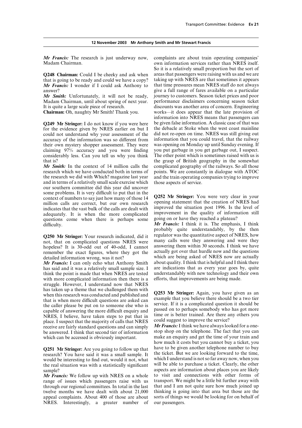*Mr Francis:* The research is just underway now, complaints are about train operating companies' Madam Chairman. own information services rather than NRES itself.

*Mr Francis:* I wonder if I could ask Anthony to

*Mr Smith:* Unfortunately, it will not be ready,

for the evidence given by NRES earlier on but I the debacle at Stoke when the west coast mainline could not understand why your assessment of the did not re-open on time. NRES was still giving out could not understand why your assessment of the accuracy of the information was so different from information that you could travel, that the railway their own mystery shopper assessment. They were was opening on Monday up until Sunday evening. If their own mystery shopper assessment. They were was opening on Monday up until Sunday evening. If claiming 97% accuracy and you were finding you put garbage in you get garbage out. I suspect. claiming 97% accuracy and you were finding you put garbage in you get garbage out, I suspect.<br>
considerably less. Can you tell us why you think The other point which is sometimes raised with us is considerably less. Can you tell us why you think that is? the grasp of British geography in the somewhat

research which we have conducted both in terms of points. We are constantly in dialogue with ATOC the research we did with Which? magazine last year and the train operating companies trying to improve and in terms of a relatively small scale exercise which those aspects of service. our southern committee did this year did uncover some problems. It is very difficult to put that in the **Q252** Mr Stringer: You were very clear in your context of numbers to say just how many of those 14 **Q252** Mr Stringer: You were very clear in your million calls are correct, but our own research opening statement that the creation of NRES had<br>indicates that the vast bulk of the calls are dealt with improved the situation post 1996. Is the level of indicates that the vast bulk of the calls are dealt with improved the situation post 1996. Is the level of indicately it is when the more complicated improvement in the quality of information still adequately. It is when the more complicated improvement in the quality of inform<br>questions come when there is perhans some going on or have they reached a plateau? questions come when there is perhaps some  $\frac{d}{dt}$  *Mr Francis:* I think it is. The emphasis, I think

remember the exact figures, where they got the

has said and it was a relatively small sample size. I are indications that as every year goes by, quite think the point is made that when NRES are tested understandably with new technology and their own think the point is made that when NRES are tested with more complicated information then there is a efforts, that improvements are being made. struggle. However, I understand now that NRES<br>has taken up a theme that we challenged them with has taken up a theme that we challenged them with<br>when this research was conducted and published and<br>that is when more difficult questions are asked can<br>the caller please be put on to someone else who is<br>capable of answeri capable of answering the more difficult enquiry and<br>NRES, I believe, have taken steps to put that in time or is better trained. Are there any others you<br>nade I suspect that the majority of calls that NRES could suggest to place. I suspect that the majority of calls that NRES could suggest to improve the service?<br>
place. I suspect that that second the standard questions and can simply *Mr Francis:* I think we have always looked for a one-<br>
b be answered. I think that second tier of information which can be accessed is obviously important. make an enquiry and get the time of your train and

would be interesting to find out, would it not, what the real situation was with a statistically significant

range of issues which passengers raise with us transport. We might be a little bit further away with through our regional committees. In total in the last that and I am not quite sure how much joined up through our regional committees. In total in the last twelve months we have dealt with about 21,000 thinking is going into that area but those are the appeal complaints. About 400 of those are about sorts of things we would be looking for on behalf of appeal complaints. About 400 of those are about sorts of things we NRES. Interestingly, a greater number of our passengers. NRES. Interestingly, a greater number of

So it is a relatively small proportion but the sort of **Q248 Chairman:** Could I be cheeky and ask when areas that passengers were raising with us and we are that is going to be ready and could we have a copy? taking up with NRES are that sometimes it appears that is going to be ready and could we have a copy? taking up with NRES are that sometimes it appears  $Mr$  Francis: I wonder if I could ask Anthony to that time pressures mean NRES staff do not always answer?<br> **answer?** give a full range of fares available on a particular<br> **Ar Smith:** Unfortunately, it will not be ready, journey to customers. Season ticket prices and poor Madam Chairman, until about spring of next year. performance disclaimers concerning season ticket It is quite a large scale piece of research. discounts was another area of concern. Engineering **Chairman:** Oh, naughty Mr Smith! Thank you. works—it does appear that the late provision of information into NRES means that passengers can **Q249 Mr Stringer:** I do not know if you were here be given false information. A classic case of that was for the evidence given by NRES earlier on but I the debacle at Stoke when the west coast mainline *Mr Smith:* In the context of 14 million calls the complicated geography of the railways. So all those and the train operating companies trying to improve

probably quite understandably, by the then **Q250 Mr Stringer:** Your research indicated, did it regulator was the quantitative aspect of NRES, how not that on complicated questions NRFS were many calls were they answering and were they not, that on complicated questions NRES were many calls were they answering and were they hopeless? It is 30-odd out of 40-odd. I cannot answering them within 30 seconds. I think we have hopeless? It is 30-odd out of 40-odd, I cannot answering them within 30 seconds. I think we have<br>remember the exact figures, where they got the actually got over that hurdle now and the questions detailed information wrong, was it not?<br> **We are substitute information wrong**, was it not?<br> **We Francis:** I can only echo what Anthony Smith about quality. I think that is helpful and I think there *Mr Francis:* I can only echo what Anthony Smith about quality. I think that is helpful and I think there has said and it was a relatively small sample size. I are indications that as every year goes by, quite

how much it costs but you cannot buy a ticket, you **Q251 Mr Stringer:** Are you going to follow up that have to be given another telephone number to buy the ticket. But we are looking forward to the time,<br>would be interesting to find out would it not what which I understand is not so far away now, when you will be able to purchase a ticket. Clearly, the other sample?<br> **aspects are information about places you are likely**<br> **Are Francis:** We follow up with NRES on a whole to visit and connections with other forms of *Mr Francis:* We follow up with NRES on a whole to visit and connections with other forms of range of issues which passengers raise with us transport. We might be a little bit further away with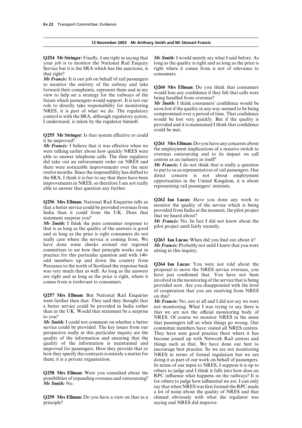# **12 November 2003 Mr Anthony Smith and Mr Stewart Francis**

your job is to monitor the National Rail Enquiry long as the quality is right and as long as the price is Service but it is the SRA which has the sanctions, is right where it comes from is not of relevance to that right? consumers.

*Mr Francis:* It is our job on behalf of rail passengers to monitor the entirety of the railway and take<br>forward their complaints, represent them and in my<br>view to help set a strategy for the railways of the<br>future which passengers would support. It is not our<br>full lose any con

**Q255 Mr Stringer:** Is that system effective or could it be improved?

Mr Francis: I believe that it was effective when we<br>were talking earlier about how quickly NRES were<br>able to answer telephone calls. The then regulator<br>did take out an enforcement order on NRES and<br>there were noticeable im

Q256 Mrs Ellman: National Rail Enquiries tells us<br>that a better service could be provided overseas from<br>India than it could from the UK. Does that<br>statement surprise you?<br>that we heard about?<br>Mr. English Market Market Mar

statement surprise you?<br> *Mr Smith:* I think the pure consumer response to *Mr Francis:* No. In fact I did not know about the that is as long as the quality of the answers is good pilot project until fairly recently. and as long as the price is right consumers do not really care where the service is coming from. We **Q263 Ian Lucas:** When did you find out about it?<br>have done some checks around our regional **Mr Francis:** Probably not until I knew that you wer committees to see how that principle works out in sitting in this inquiry. practice for this particular question and with 140 odd members up and down the country from<br> **Q264 Ian Lucas:** You were not told about the<br>
was very much that as well. As long as the answers<br>
proposal to move the NRES service overseas, you was very much that as well. As long as the answers proposal to move the NRES service overseas, you<br>are right and as long as the price is right, where it have just confirmed that. You have not been are right and as long as the price is right, where it have just confirmed that. You have not been comes from is irrelevant to consumers.

**Q257 Mrs Ellman:** But National Rail Enquiries on this?<br>went further than that. They said they thought that Mr Fran went further than that. They said they thought that *Mr Francis:* No, not at all and I did not say we were a better service could be provided in India rather not monitoring. What I was trying to say there is a better service could be provided in India rather not monitoring. What I was trying to say there is than in the UK. Would that statement be a surprise that we are not the official monitoring body of than in the UK. Would that statement be a surprise that we are not the official monitoring body of to you?

service could be provided. The key issues from our committee members have visited all NRES centres.<br>
perspective really in this particular inquiry are the They have seen good practice there where it has perspective really in this particular inquiry are the They have seen good practice there where it has quality of the information and ensuring that the become joined up with Network Rail centres and quality of the information and ensuring that the become joined up with Network Rail centres and quality of the information is maintained and things such as that. We have done our best to quality of the information is maintained and things such as that. We have done our best to improved for passengers. How they provide that or encourage best practice. So we are not monitoring how they specify the contracts is entirely a matter for NRES in terms of formal regulation but we are them; it is a private organisation.

**Q259 Mrs Ellman:** Do you have a view on that as a chimed obviously with what the regulator was principle?<br>saying and NRES did improve.

**Q254 Mr Stringer:** Finally, I am right in saying that *Mr Smith:* I would merely say what I said before. As

could be met.

**Mr Francis:** Probably not until I knew that you were

provided now. Are you disappointed with the level of cooperation that you are receiving from NRES

to you?<br>Mr Smith: I could not comment on whether a better that passengers tell us when things go wrong. Our that passengers tell us when things go wrong. Our encourage best practice. So we are not monitoring doing it as part of our work on behalf of passengers. In terms of our input to NRES, I suppose it is up to **Q258 Mrs Ellman:** Were you consulted about the others to judge and I think it falls into how does an possibilities of expanding overseas and outsourcing?<br> **RPC** influence what happens on the railways? It is for others to *Mr Smith:* No. *Mr Smith:* No. say that when NRES was first formed the RPC made a lot of noise about the quality of NRES and that saying and NRES did improve.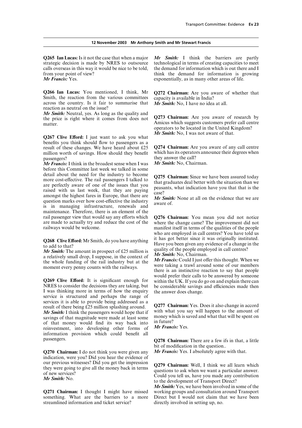#### **12 November 2003 Mr Anthony Smith and Mr Stewart Francis**

**Q265 Ian Lucas:** Is it not the case that when a major *Mr Smith:* I think the barriers are partly calls overseas in this way it would be nice to be told, the demand for information which is out there and I from your point of view? think the demand for information is growing

**Q266 Ian Lucas:** You mentioned, I think, Mr **Q272 Chairman:** Are you aware of whether that Smith, the reaction from the various committees capacity is available in India? across the country. Is it fair to summarise that  $\overrightarrow{Mr} S$  *mith*: No, I have no idea at all. reaction as neutral on the issue?

*Mr Smith:* Neutral, yes. As long as the quality and **Q273 Chairman:** Are you aware of research by the price is right where it comes from does not matter. The matter where it centes from does not Amicus which suggests customers prefer call centre

*Mr Smith:* **No, I was not aware of that. <b>Q267 Clive Efford:** I just want to ask you what benefits you think should flow to passengers as a result of these changes. We have heard about £25 **Q274 Chairman:** Are you aware of any call centre million worth of savings. How should they benefit passengers?

*Mr Francis:* I think in the broadest sense when I was before this Committee last week we talked in some detail about the need for the industry to become<br>more cost-effective. The rail passengers I talked to<br>are perfectly aware of one of the issues that you<br>raised with us last week, that they are paying<br>amongst the highest far maintenance. Therefore, there is an element of the rail passenger view that would say any efforts which **Q276 Chairman:** You mean you did not notice are made to actually try and reduce the cost of the where the change came? The improvement did not

*Mr Smith:* The amount in prospect of £25 million is<br>a relatively small drop, I suppose, in the context of<br>the whole funding of the rail industry but at the<br>moment every penny counts with the railways.<br>moment every penny

I was thinking more in terms of how the enquiry the answer does change. service is structured and perhaps the range of services it is able to provide being addressed as a<br>result of there being £25 million splashing around. **Q277 Chairman:** Yes. Does it also change in accord<br>*Mr* Smith: I think the passengers would bone that if with what yo *Mr Smith:* I think the passengers would hope that if with what you say will happen to the amount of savings of that magnitude were made at least some money which is saved and what that will be spent on of that money wo information provision which could benefit all passengers. **Q278 Chairman:** There are a few ifs in that, a little

**Q270 Chairman:** I do not think you were given any indication, were you? Did you hear the evidence of

something. What are the barriers to a more Direct but I would not claim that streamlined information and ticket service? directly involved in setting up, no. streamlined information and ticket service?

strategic decision is made by NRES to outsource technological in terms of creating capacities to meet *Mr Francis:* Yes. exponentially, as in many other areas of life.

operators to be located in the United Kingdom?

they answer the call?<br>*Mr Smith:* No. Chairman.

are made to actually try and reduce the cost of the where the change came? The improvement did not manifest itself in terms of the qualities of the people. who are employed in call centres? You have told us<br>it has got better since it was originally instituted. **Q268 Clive Efford:** Mr Smith, do you have anything Have you been given any evidence of a change in the to add to that?<br> **Mr. Smith, The amount in prespect of £35 million is quality of the people employed in call centres?** 

would prefer their calls to be answered by someone **Q269 Clive Efford:** It is significant enough for within the UK. If you do go on and explain there can NRES to consider the decisions they are taking, but be considerable sayings and efficiencies made then be considerable savings and efficiencies made then

bit of modification in the question..<br>Mr Francis: Yes. I absolutely agree with that.

our previous witnesses? Did you get the impression<br>they were going to give all the money back in terms<br>of new services?<br>Could you tell us, have you made any contribution<br>Mr Smith: No.<br>to the development of Transport Direct

*Mr Smith:* Yes, we have been involved in some of the **Q271 Chairman:** I thought I might have missed working groups and consultation around Transport something. What are the barriers to a more Direct but I would not claim that we have been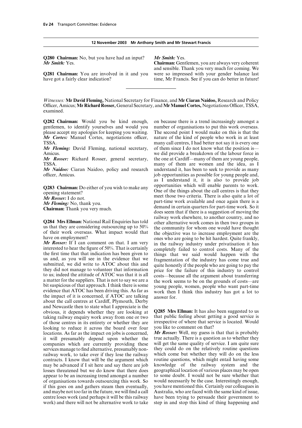|  | 12 November 2003 Mr Anthony Smith and Mr Stewart Francis |  |
|--|----------------------------------------------------------|--|
|--|----------------------------------------------------------|--|

**Q280 Chairman:** No, but you have had an input? *Mr Smith:* Yes. *Mr Smith:* Yes. **Chairman:** Gentlemen, you are always very coherent

**Q281 Chairman:** You are involved in it and you were so impressed with your gender balance last have got a fairly clear indication? time, Mr Francis. See if you can do better in future!

and sensible. Thank you very much for coming. We

*Witnesses:* **Mr David Fleming,** National Secretary for Finance, and **Mr Ciaran Naidoo,** Research and Policy Officer, Amicus; Mr Richard Rosser, General Secretary, and Mr Manuel Cortes, Negotiations Officer, TSSA, examined.

**Q282 Chairman:** Would you be kind enough, on because there is a trend increasingly amongst a gentlemen, to identify vourselves and would you number of organisations to put this work overseas. *Mr Cortes:* Manuel Cortes, negotiations officer, nature of the kind of people who work in at least TSSA.

*Mr Fleming:* David Fleming, national secretary,

TSSA. many of them are women and the idea, as I

officer, Amicus.  $j$ ob opportunities as possible for young people and,

the impact of it is concerned, if ATOC are talking<br>about the call centres at Cardiff, Plymouth, Derby and Newcastle then to state what I appreciate is the obvious, it depends whether they are looking at **Q285 Mrs Ellman:** It has also been suggested to us taking railway enquiry work away from one or two that public feeling about getting a good service is taking railway enquiry work away from one or two that public feeling about getting a good service is<br>of those centres in its entirety or whether they are irrespective of where that service is located. Would of those centres in its entirety or whether they are irrespective of where that service is located. Would be interested. Would be interested. Would be interested. Would be interested. Would be interested. Would be interest looking to reduce it across the board over four you like to comment on that?<br>locations. As far as the impact on jobs is concerned. Mr **Rosser:** Well, my guess is that that is probably locations. As far as the impact on jobs is concerned, *Mr Rosser:* Well, my guess is that that is probably it will presumably depend upon whether the true actually. There is a question as to whether they companies which are currently providing these will get the same quality of service. I am quite sure companies which are currently providing these will get the same quality of service. I am quite sure services manage to find alternative, presumably non-<br>they could do on the relatively routine questions services manage to find alternative, presumably non-<br>they could do on the relatively routine questions<br>railway work, to take over if they lose the railway which come but whether they will do on the less railway work, to take over if they lose the railway which come but whether they will do on the less contracts. I know that will be the argument which routine questions, which might entail having some contracts. I know that will be the argument which routine questions, which might entail having some may be advanced if I sit here and say there are job knowledge of the railway system and the may be advanced if I sit here and say there are job knowledge of the railway system and the losses threatened but we do know that there does geographical location of various places may be open losses threatened but we do know that there does geographical location of various places may be open appear to be an increasing trend amongst a number to some doubt. I would not be sure whether that appear to be an increasing trend amongst a number to some doubt. I would not be sure whether that of organisations towards outsourcing this work. So would necessarily be the case. Interestingly enough, of organisations towards outsourcing this work. So would necessarily be the case. Interestingly enough, if this goes on and gathers steam then eventually, and maybe not too far in the future, we will find a call Australia, who are faced with the same kind of issue, centre loses work (and perhaps it will be this railway have been trying to persuade their government to centre loses work (and perhaps it will be this railway have been trying to persuade their government to work) and there will not be alternative work to take step in and stop this kind of thing happening and

number of organisations to put this work overseas. please accept my apologies for keeping you waiting. The second point I would make on this is that the *Mr Cortes*: Manuel Cortes, negotiations officer, nature of the kind of people who work in at least many call centres, I had better not say it is every one of them since I do not know what the position is— Amicus. Amicus and the labour force in the labour force in the labour force in the labour force in the labour force in the labour force in the labour force in the labour force in the labour force in the labour force in the *Mr Rosser:* Richard Rosser, general secretary, the one at Cardiff—many of them are young people, *Mr Naidoo:* Ciaran Naidoo, policy and research understand it, has been to seek to provide as many as I understand it, it is also to provide job **Q283 Chairman:** Do either of you wish to make any opportunities which will enable parents to work.<br>
One of the things about the call centres is that they meet those two criteria. There is also quite a lot of the **Mr Rosse** meet those two criteria. There is also quite a lot of. *Mr Fleming*: No, thank you.<br> **Chairman:** Thank you very much.<br> **Chairman:** Thank you very much.<br> **Chairman:** Thank you very much.<br> **Chairman:** Thank you very much.<br> **Chairman:** Thank you very much.<br> **Chairman:** Thank you **Q284 Mrs Ellman:** National Rail Enquiries has told<br>or the community or kelewhere, to another country, and no<br>ous that they are considering outsourcing up to 50% the community for whom one would have thought<br>of their work

step in and stop this kind of thing happening and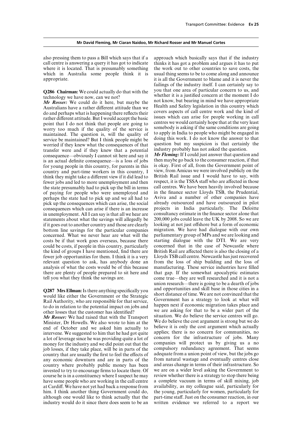call centre is answering a query it has got to indicate thinks it has got a problem and argues it has to put where it is located. That is presumably something the work out to other countries to save costs, the which in Australia some people think it is usual thing seems to be to come along and announce appropriate. it is all the Government to blame and it is never the

**Q286 Chairman:** We could actually do that with the technology we have now, can we not?

*Mr Rosser:* We could do it here, but maybe the not know, but bearing in mind we have appropriate<br>Australians have a rather different attitude than we Health and Safety legislation in this country which Australians have a rather different attitude than we<br>do and perhaps what is happening there reflects their<br>covers aspects of call centre work and the kind of do and perhaps what is happening there reflects their<br>rather different attitude. But I would accept the basic<br>point that I do not think that people are going to<br>worry too much if the quality of the service is<br>worry too muc worry too much if the quality of the service is somebody is asking if the same conditions are going<br>maintained. The question is will the quality of to apply in India to people who might be engaged in maintained. The question is, will the quality of to apply in India to people who might be engaged in<br>service be maintained? But I think people might be doing this work. I do not know the answer to that service be maintained? But I think people might be doing this work. I do not know the answer to that service if they know what the consequences of that question but my suspicion is that certainly the worried if they knew what the consequences of that question but my suspicion is that certainly transfer were and if they knew that a potential industry probably has not asked the question. transfer were and if they knew that a potential industry probably has not asked the question.<br>consequence—obviously Leannot sit here and say it **Mr Fleming:** If Leould just answer that question and consequence—obviously I cannot sit here and say it *Mr Fleming:* If I could just answer that question and is an actual definite consequence—is a loss of jobs then maybe go back to the consumer reaction, if that is an actual definite consequence—is a loss of jobs internative go back to the consumer reaction, if that for young people in this country, for parents in this is okay. First of all, from the Government point of country an country and part-time workers in this country,  $I$  view, from Amicus we were involved publicly on the think they might take a different view if it did lead to British Rail issue and I would have to say, with think they might take a different view if it did lead to fewer jobs and led to more unemployment and then respect, it is the TSSA staff who are affected in those the state presumably had to pick up the bill in terms call centres. We have been heavily involved because the state presumably had to pick up the bill in terms call centres. We have been heavily involved because<br>of paying for people who were unemployed and in the finance sector Lloyds TSB, the Prudential, of paying for people who were unemployed and perhaps the state had to pick up and we all had to pick up the consequences which can arise, the social already outsourced and have outsourced in pilot consequences which can arise if there is an increase projects in India particularly. The Deloitte consequences which can arise if there is an increase projects in India particularly. The Deloitte in unemployment. All I can say is that all we hear are consultancy estimate in the finance sector alone that statements about what the savings will allegedly be 200,000 jobs could leave the UK by 2008. So we are statements about what the savings will allegedly be if it goes out to another country and those are clearly looking at not just offshore but a form of economic<br>bottom line savings for the particular companies migration. We have had dialogue with our own bottom line savings for the particular companies concerned. What we never hear are what will the parliamentary group of MPs and we are looking and costs be if that work goes overseas, because there starting dialogue with the DTI. We are very could be costs, if people in this country, particularly concerned that in the case of Newcastle where the kind of groups I have mentioned, find there are British Rail are affected there is also the closing of a fewer job opportunities for them. I think it is a very Lloyds TSB call centre. Newcastle has just recovered relevant question to ask, has anybody done an from the loss of ship building and the loss of analysis of what the costs would be of this because manufacturing. These service industries have filled there are plenty of people prepared to sit here and that gap. If the somewhat apocalyptic estimates tell you what they think the savings are. come true—they are well researched and it is not a

Rail Authority, who are responsible for that service, Government has a strategy to look at what will<br>to do in relation to the potential impact on jobs and happen next if economic migration takes place and to do in relation to the potential impact on jobs and happen next if economic migration takes place and other losses that the customer has identified? We are asking for that to be a wider part of the

Minister, Dr Howells. We also wrote to him at the We do believe the cost argument is strong but we do need of October and we asked him actually to believe it is only the cost argument which actually end of October and we asked him actually to believe it is only the cost argument which actually intervene We suggested to him that he had got quite applies; there is no concern for communities, no intervene. We suggested to him that he had got quite applies; there is no concern for communities, no<br>a lot of leverage since he was providing quite a lot of concern for the infrastructure of jobs. Many a lot of leverage since he was providing quite a lot of concern for the infrastructure of jobs. Many money for the industry and we did point out that the companies will protect us by giving us a no money for the industry and we did point out that the job losses, if they take place, will be in parts of the compulsory redundancy agreement. That seems country that are usually the first to feel the effects of adequate from a union point of view, but the jobs go country that are usually the first to feel the effects of adequate from a union point of view, but the jobs go<br>any economic downturn and are in parts of the from natural wastage and eventually centres close any economic downturn and are in parts of the from natural wastage and eventually centres close<br>country where probably public money has been and areas change in terms of their infrastructure. So country where probably public money has been invested to try to encourage firms to locate there. Of we are on a wider level asking the Government to course he is in a constituency where I suspect he may review whether there is a strategy to stop there being have some people who are working in the call centre a complete vacuum in terms of skill mixing, job at Cardiff. We have not vet had back a response from availability, as my colleague said, particularly for at Cardiff. We have not yet had back a response from availability, as my colleague said, particularly for him. I think another thing Government could do, the young, particularly for women, particularly for him. I think another thing Government could do, the young, particularly for women, particularly for although one would like to think actually that the part-time staff. Just on the consumer reaction, in our although one would like to think actually that the part-time staff. Just on the consumer reaction, in our industry would do it since there does seem to be an written evidence we referred to a report we industry would do it since there does seem to be an

also pressing them to pass a Bill which says that if a approach which basically says that if the industry failings of the industry itself. I can certainly say to you that one area of particular concern to us, and whether it is a justified concern at the moment I do not know, but bearing in mind we have appropriate

Aviva and a number of other companies have union research—there is going to be a dearth of jobs **Q287 Mrs Ellman:** Is there anything specifically you and opportunities and skill base in those cities in a would like either the Government or the Strategic short distance of time. We are not convinced that the Bigger spe *Mr Rosser:* We had raised that with the Transport situation. We do believe the service centres will go.<br>Minister, Dr Howells, We also wrote to him at the We do believe the cost argument is strong but we do review whether there is a strategy to stop there being<br>a complete vacuum in terms of skill mixing, job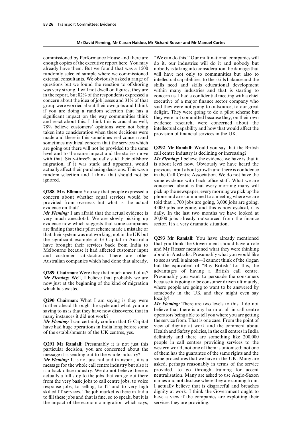# **Mr David Fleming, Mr Ciaran Naidoo, Mr Richard Rosser and Mr Manuel Cortes**

enough copies of the executive report here. You may do it, our industries will do it and nobody but already have them. But we found that was a 1500 nobody is taking into consideration the damage that randomly selected sample where we commissioned will have not only to communities but also to external consultants. We obviously asked a range of intellectual capabilities, to the skills balance and the questions but we found the reaction to offshoring skills need and skills educational development questions but we found the reaction to offshoring skills need and skills educational development was very strong. I will not dwell on figures, they are within many industries and that is starting to was very strong. I will not dwell on figures, they are within many industries and that is starting to in the report, but 82% of the respondents expressed a concern us. I had a confidential meeting with a chief concern about the idea of job losses and  $31\%$  of that executive of a major finance sector company who group were worried about their own jobs and I think said they were not going to outsource to our great group were worried about their own jobs and I think<br>if you are doing a random selection that has a<br>if you are doing a random selection that has a<br>indicated because they were going to do a pilot scheme but<br>insignificant imp 78% believe customers' opinions were not being intellectual capability and how that would affect the taken into consideration when these decisions were provision of financial services in the UK. made and there is this some sometimes mythical concern that the services which are going out there will not be provided to the same **Q292 Mr Randall:** Would you say that the British level and to the same impact and the stories move with that. Sixty-three% actually said their offshore *Mr Fleming:* I believe the evidence we have is that it migration, if it was stark and apparent, would is about level now. Obviously we have heard the migration, if it was stark and apparent, would actually affect their purchasing decisions. This was a previous input about growth and there is confidence random selection and I think that should not be in the Call Centre Association. We do not have the ignored.

concern about whether equal services would be provided from overseas but what is the actual

evidence now which suggests that some companies sector. It s a very dramatic situation. are finding that their pilot scheme made a mistake or that their system was not working, not in the UK but the significant example of G Capital in Australia **Q293 Mr Randall:** You have already mentioned<br>have brought their services back from India to that you think the Government should have a role<br>Melbourne because it had affec Melbourne because it had affected customer input and Mr Rosser mentioned what they were thinking<br>and customer satisfaction. There are other about in Australia. Presumably what you would like and customer satisfaction. There are other Australian companies which had done that already. to see as well is almost—I cannot think of the slogan

*Mr Fleming:* Well, I believe that probably we are Presumably you want to persuade the consumers now just at the beginning of the kind of migration because it is going to be consumer driven ultimately. now just at the beginning of the kind of migration which has existed— which has existed— where people are going to want to be answered by

**Q290 Chairman:** What I am saying is they were locally?<br>further ahead through the avale and what you are Mr Fleming: There are two levels to this. I do not further ahead through the cycle and what you are *Mr Fleming:* There are two levels to this. I do not saying to us is that they have now discovered that in believe that there is any harm at all in call centre

have had huge operations in India long before some of the establishments of the UK centres, yes. Health and Safety policies, in the call centres in India

*Mr Fleming:* It is not just rail and transport, it is a same procedures that we have in the UK. Many are message for the whole call centre industry but also it asked, perhaps reasonably in terms of the service message for the whole call centre industry but also it asked, perhaps reasonably in terms of the service<br>is a back office industry. We do not believe there is provided, to go through training for accent is a back office industry. We do not believe there is provided, to go through training for accent actually a full stop to the jobs that can go out there neutralisation. Many are asked to use Anglo-Saxon actually a full stop to the jobs that can go out there neutralisation. Many are asked to use Anglo-Saxon from the very basic jobs to call centre jobs, to voice names and not disclose where they are coming from. from the very basic jobs to call centre jobs, to voice names and not disclose where they are coming from.<br>
response jobs, to selling, to IT and to very high I actually believe that is disgraceful and breaches response jobs, to selling, to IT and to very high skilled IT services. The job market is there in India dignity at work. I think the Government ought to to fill these jobs and that is fine, so to speak, but it is have a view if the companies are exploiting their to fill these jobs and that is fine, so to speak, but it is have a view if the companies the impact of the economic migration which says, services they are providing. the impact of the economic migration which says,

commissioned by Performance House and there are "We can do this." Our multinational companies will concern us. I had a confidential meeting with a chief

same evidence with back office staff. What we are concerned about is that every morning many will **Q288 Mrs Ellman:** You say that people expressed a pick up the newspaper, every morning we pick up the concern about whether equal services would be phone and are summoned to a meeting where we are told that  $1,700$  jobs are going,  $3,000$  jobs are going, evidence on that?<br> **Allows** 4,000 jobs are going, and this is now cyclical, it is<br> *Mr Fleming*: I am afraid that the actual evidence is daily. In the last two months we have looked at *Mr Fleming:* I am afraid that the actual evidence is daily. In the last two months we have looked at very much anecdotal. We are slowly picking up 20,000 jobs already outsourced from the finance  $20,000$  jobs already outsourced from the finance

but the equivalent of "Buy British" for this, the **Q289 Chairman:** Were they that much ahead of us? advantages of having a British call centre.<br>*Mr. Floming:* Well I believe that probably we are Presumably you want to persuade the consumers somebody in the UK and they might even say

many instances it did not work? operators being able to tell you where you are getting<br> **Mr Fleming:** Lean certainly confirm that G Capital the service from. That is one case. From the point of *Mr Fleming:* I can certainly confirm that G Capital the service from. That is one case. From the point of have had huge operations in India long before some view of dignity at work and the comment about definitely and there are something like 200,000 **Q291 Mr Randall:** Presumably it is not just this people in call centres providing services to the particular decision, you are concerned about the western world, not one of them is unionised; not one message it is sending out to the whole industry? of them has the guarantee of the same rights and the Mr Fleming: It is not just rail and transport it is a same procedures that we have in the UK. Many are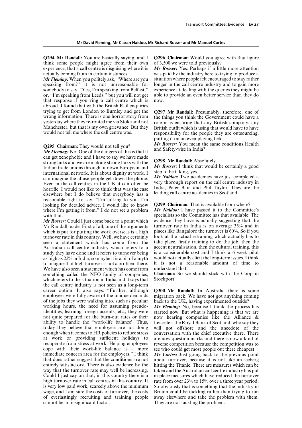think some people might agree from their own of 3,500 we were told previously? experience, that a call centre is disguising where it is *Mr Rosser:* Yes. Perhaps if a little more attention actually coming from in certain instances. was paid by the industry here to trying to produce a

somebody to say, "Yes, I'm speaking from Belfast," experience at dealing with the queries they might be or, "I'm speaking from Leeds," but you will not get able to provide an even better service than they do that response if you ring a call centre which is now. abroad. I found that with the British Rail enquiries trying to get from London to Burnley and got the **Q297 Mr Randall:** Presumably, therefore, one of wrong information. There is one horror story from the things you think the Government could have a yesterday where they re-r

can get xenophobic and I have to say we have made<br>strong links and we are making strong links with the<br>Indian trade unions through our own European and<br>international network. It is about dignity at work. I step to be taki can imagine the abuse people get down the phone. Mr Naudoo: Two academics have just completed a Even in the call centres in the UK it can often be very thorough report on the call centre industry in Even in the can centres in the GK it can often be<br>horrific. I would not like to think that was the case are leading call centre academics in Scotland. elsewhere but I do believe that everybody has a reasonable right to say, "I'm talking to you. I'm looking for detailed advice. I would like to know **Q299 Chairman:** That is available from where?<br>where I'm getting it from." I do not see a problem Mr Naidoo: I have passed it to the Committee's where I'm getting it from." I do not see a problem

Mr Randall made. First of all, one of the arguments turnover rate in India is on average 35% and in<br>which is put for putting the work overseas is a high places like Bangalore the turnover is 60%. So if you which is put for putting the work overseas is a high places like Bangalore the turnover is 60%. So if you turnover rate in this country. Well, we have certainly look at the actual retraining which actually has to turnover rate in this country. Well, we have certainly seen a statement which has come from the Australian call centre industry which refers to a accent neutralisation, then the cultural training, this study they have done and it refers to turnover being is a considerable cost and I think a 6 week pilot study they have done and it refers to turnover being is a considerable cost and I think a 6 week pilot as high as 22% in India, so maybe it is a bit of a myth would not actually elicit the long-term issues. I think as high as 22% in India, so maybe it is a bit of a myth to imagine that high turnover is not a problem there. We have also seen a statement which has come from understand that.<br>something called the NFO family of companies. **Chairman:** So we should stick with the Coop in something called the NFO family of companies, which refers to the situation in India and it says that Stockport! the call centre industry is not seen as a long-term career option. It also says: "Further, although career option. It also says: "Further, although **Q300 Mr Randall:** In Australia there is some employees were fully aware of the unique demands migration back. We have not got anything coming of the jobs they were walking into, such as peculiar back to the UK, having experimented outside? working hours, the need for assuming pseudo- *Mr Fleming:* No, because I think the process has identities, learning foreign accents, etc., they were started now. But what is happening is that we are not quite prepared for the burn-out rates or their now hearing companies like the Alliance & ability to handle the "work-life balance'. Thus, Leicester, the Royal Bank of Scotland, who say they today they believe that employers are not doing will not offshore and the anecdote of the enough when it comes to HR policies to reduce stress conversation with the chief executive there. There at work or providing sufficient holidays to are now question marks and there is now a kind of at work or providing sufficient holidays to are now question marks and there is now a kind of recuperate from stress at work. Helping employees reverse competition because the competition was to recuperate from stress at work. Helping employees reverse competition because the competition was to cope with their work-life balance is a more see who could get most people out there cheapest. cope with their work-life balance is a more see who could get most people out there cheapest.<br>
immediate concern area for the employers." I think Mr Cortes: Just going back to the previous poin immediate concern area for the employers." I think *Mr Cortes:* Just going back to the previous point that does rather suggest that the conditions are not about turnover, because it is not like an iceberg entirely satisfactory. There is also evidence by the way that the turnover rate may well be increasing. taken and the Australian call centre industry has put Could I just say on that, in this country there is a in place measures which have reduced the turnover Could I just say on that, in this country there is a in place measures which have reduced the turnover high turnover rate in call centres in this country. It rate from over  $23\%$  to  $15\%$  over a three year period. is very low paid work, scarcely above the minimum wage, and I am sure the costs of turnover, the costs Britain could be tackling rather than trying to run of everlastingly recruiting and training people away elsewhere and take the problem with them. of everlastingly recruiting and training people cannot be an insignificant factor.

**Q294 Mr Randall:** You are basically saying, and **I** Q296 Chairman: Would you agree with that figure

*Mr Fleming:* When you politely ask, "Where are you situation where people felt encouraged to stay rather speaking from?" it is not unreasonable for longer in the call centre industry and to gain more longer in the call centre industry and to gain more

putting it on an even playing field.

**Q295 Chairman:** They would not tell you?<br>*Mr Rosser:* You mean the same conditions Health and Safety-wise in India? *Mr Fleming:* No. One of the dangers of this is that it

with that.<br>Mr Rosser: Could I just come back to a point which evidence they have is actually suggesting that the evidence they have is actually suggesting that the turnover rate in India is on average 35% and in take place, firstly training to do the job, then the accent neutralisation, then the cultural training, this it is not a reasonable amount of time to understand that.

migration back. We have not got anything coming

now hearing companies like the Alliance  $\&$ 

about turnover, because it is not like an iceberg hitting the Titanic. There are measures which can be rate from over 23% to 15% over a three year period.<br>So obviously that is something that the industry in They are not tackling the problem.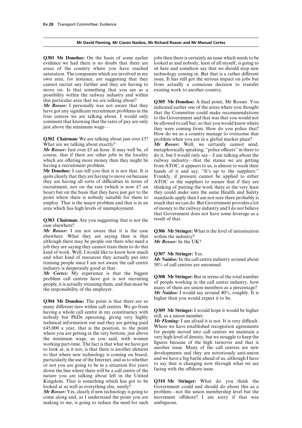# **Mr David Fleming, Mr Ciaran Naidoo, Mr Richard Rosser and Mr Manuel Cortes**

evidence we had there is no doubt that there are looked at and nobody, least of all myself, is going to areas of the country where you have reached sit here and somehow say that we should stop new saturation. The companies which are involved in my technology coming in. But that is a rather different own area, for instance, are suggesting that they issue. It has still got the serious impact on jobs but move on. Is that something that you see as a existing work to another country. possibility within the railway industry and within

**Q302 Chairman:** We are talking about just over £5? problem when you are in a global market place?<br>What are we talking about exactly? **Mr Rosser:** Well. we certainly cannot served.

course, that if there are other jobs in the locality do it, but I would only say—I am talking about the which are offering more money then they might be railway industry—that the stance we are getting having a recruitment problem. from ATOC, it appears to us, is almost to wash their

quite clearly that they are having to move on because Frankly, if pressure cannot be applied to either they are having all sorts of difficulties in terms of  $\vert$  ATOC or the suppliers to ensure that if they are recruitment, not on the rate (which is now £7 and thinking of putting the work there at the very least hour) but on the basis that they have just got to the they could make sure the same Health and Safety point where there is nobody suitable for them to standards apply then I am not sure there probably is employ. That is the major problem and that is in an much that we can do. But Government provides a lot employ. That is the major problem and that is in an much that we can do. But Government provides a lot area which has high levels of unemployment.

**Q303 Chairman:** Are you suggesting that is not the result of that. case elsewhere?

*Mr Rosser:* I am not aware that it is the case **Q306Mr Stringer:** What is the level of unionisation elsewhere. What they are saying then is that within the industry?<br>although there may be people out there who need a Mr Rosser: In the UK? although there may be people out there who need a job they are saying they cannot train them to do this kind of work. Well, I would like to know how much<br>and what kind of resources they actually put into<br>training people since I am not aware the call centre<br> $M_r$  Naidoo: In the call centre industry around about<br>industry is de

higher than you would expect it to be. **Q304 Mr Donohoe:** The point is that there are so many different tiers within call centres. We go from<br>having a whole call centre in my constituency with<br>nobody but PhDs operating, giving very highly<br>technical information out and they are getting paid<br> $\begin{array}{c} \text{Mr} \text{ String: I$ £45,000 a year, that is the position, to the point<br>where we have established recognition agreements<br>where you are getting at the very bottom, just above for people moved into call centres we maintain a<br>the minimum wage as the minimum wage, as you said, with women very high level of density, but we struggle to keep the working part-time. The fact is that what we have got figures because of the high turnover and that is working part-time. The fact is that what we have got figures because of the high turnover and that is<br>to look at is it not is that there is another element another issue. Many of the call centres are new to look at, is it not, is that there is another element another issue. Many of the call centres are new<br>to that where new technology is coming on board developments and they are notoriously anti-union to that where new technology is coming on board,<br>particularly the use of the Internet, and as to whether<br>or not you are going to be in a situation five years<br>down the line where there will be a call centre of the<br>facing wi nature you are talking about left in the United Kingdom. That is something which has got to be Kingdom. That is something which has got to be **Q310 Mr Stringer:** What do you think the

*Mr Rosser:* Yes, clearly if new technology is going to problem—not the union membership level but the come along and, as I understand the point you are movement offshore? I am sorry if that was making to me, is going to reduce the need for such

**Q301 Mr Donohoe:** On the basis of some earlier jobs then there is certainly an issue which needs to be from actually a conscious decision to transfer

this particular area that we are talking about?<br> **Q305 Mr Donohoe:** A final point, Mr Rosser. You<br> **Mr Rosser:** I personally was not aware that they<br>
that the Committee could make recommendations<br>
four centres we are talki four centres we are talking about. I would only<br>comment and that was that you would not<br>comment that knowing that the rates of pay are only<br>just above the minimum wage—<br>they were coming from. How do you police that? How do we as a country manage to overcome that

What are we talking about exactly?<br>*Mr Rosser:* Well, we certainly cannot send, *Mr Rosser:* Well, we certainly cannot send, *Mr Rosser:* Just over £5 an hour. It may well be, of metaphorically speaking, "police officers" metaphorically speaking, "police officers" in there to from ATOC, it appears to us, is almost to wash their Mr Donohoe: I can tell you that it is not that. It is hands of it and say, "It's up to the suppliers." thinking of putting the work there at the very least of money to the railway industry and I do not believe that Government does not have some leverage as a

*Mr Cortes:* My experience is that the biggest<br>problem call centres have got is not recruiting<br>people, it is actually retaining them, and that must be<br>the responsibility of the employer.<br>*Mr Naidoo:* I would say around

Government could and should do about this as a movement offshore? I am sorry if that was ambiguous.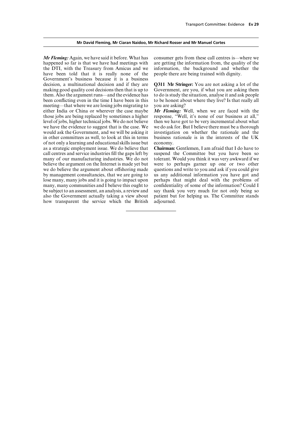# **Mr David Fleming, Mr Ciaran Naidoo, Mr Richard Rosser and Mr Manuel Cortes**

*Mr Fleming:* Again, we have said it before. What has consumer gets from these call centres is—where we happened so far is that we have had meetings with are getting the information from, the quality of the the DTI, with the Treasury from Amicus and we information, the background and whether the have been told that it is really none of the people there are being trained with dignity. Government's business because it is a business decision, a multinational decision and if they are **Q311 Mr Stringer:** You are not asking a lot of the making good quality cost decisions then that is up to Government, are you, if what you are asking them them. Also the argument runs—and the evidence has to do is study the situation, analyse it and ask people been conflicting even in the time I have been in this to be honest about where they live? Is that really all meeting—that where we are losing jobs migrating to you are asking? either India or China or wherever the case maybe *Mr Fleming:* Well, when we are faced with the those jobs are being replaced by sometimes a higher response, "Well, it's none of our business at all,"<br>level of jobs, higher technical jobs. We do not believe then we have got to be very incremental about what level of jobs, higher technical jobs. We do not believe then we have got to be very incremental about what we have the evidence to suggest that is the case. We we do ask for. But I believe there must be a thorough we have the evidence to suggest that is the case. We would ask the Government, and we will be asking it in other committees as well, to look at this in terms business of not only a learning and educational skills issue but economy. of not only a learning and educational skills issue but economy.<br>as a strategic employment issue. We do believe that **Chairman:** Gentlemen, I am afraid that I do have to as a strategic employment issue. We do believe that call centres and service industries fill the gaps left by suspend the Committee but you have been so many of our manufacturing industries. We do not tolerant. Would you think it was very awkward if we many of our manufacturing industries. We do not tolerant. Would you think it was very awkward if we believe the argument on the Internet is made yet but were to perhaps garner up one or two other we do believe the argument about offshoring made questions and write to you and ask if you could give by management consultancies, that we are going to us any additional information you have got and lose many, many jobs and it is going to impact upon perhaps that might deal with the problems of many, many communities and I believe this ought to confidentiality of some of the information? Could I be subject to an assessment, an analysis, a review and say thank you very much for not only being so also the Government actually taking a view about patient but for helping us. The Committee stands how transparent the service which the British adjourned.

investigation on whether the rationale and the business rationale is in the interests of the UK

were to perhaps garner up one or two other perhaps that might deal with the problems of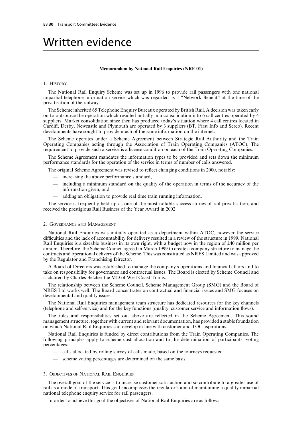# Written evidence

#### **Memorandum by National Rail Enquiries (NRE 01)**

# 1. History

The National Rail Enquiry Scheme was set up in 1996 to provide rail passengers with one national impartial telephone information service which was regarded as a "Network Benefit" at the time of the privatisation of the railway.

The Scheme inherited 65 Telephone Enquiry Bureaux operated by British Rail. A decision was taken early on to outsource the operation which resulted initially in a consolidation into 6 call centres operated by 4 suppliers. Market consolidation since then has produced today's situation where 4 call centres located in Cardiff, Derby, Newcastle and Plymouth are operated by 3 suppliers (BT, First Info and Serco). Recent developments have sought to provide much of the same information on the internet.

The Scheme operates under a Scheme Agreement between Strategic Rail Authority and the Train Operating Companies acting through the Association of Train Operating Companies (ATOC). The requirement to provide such a service is a license condition on each of the Train Operating Companies.

The Scheme Agreement mandates the information types to be provided and sets down the minimum performance standards for the operation of the service in terms of number of calls answered.

The original Scheme Agreement was revised to reflect changing conditions in 2000, notably:

- increasing the above performance standard,
- including a minimum standard on the quality of the operation in terms of the accuracy of the information given, and
- adding an obligation to provide real time train running information.

The service is frequently held up as one of the most notable success stories of rail privatisation, and received the prestigious Rail Business of the Year Award in 2002.

# 2. Governance and Management

National Rail Enquiries was initially operated as a department within ATOC, however the service difficulties and the lack of accountability for delivery resulted in a review of the structure in 1999. National Rail Enquiries is a sizeable business in its own right, with a budget now in the region of £40 million per annum. Therefore, the Scheme Council agreed in March 1999 to create a company structure to manage the contracts and operational delivery of the Scheme. This was constituted as NRES Limited and was approved by the Regulator and Franchising Director.

A Board of Directors was established to manage the company's operations and financial affairs and to take on responsibility for governance and contractual issues. The Board is elected by Scheme Council and is chaired by Charles Belcher the MD of West Coast Trains.

The relationship between the Scheme Council, Scheme Management Group (SMG) and the Board of NRES Ltd works well. The Board concentrates on contractual and financial issues and SMG focuses on developmental and quality issues.

The National Rail Enquiries management team structure has dedicated resources for the key channels (telephone and self-service) and for the key functions (quality, customer service and information flows).

The roles and responsibilities set out above are reflected in the Scheme Agreement. This sound management structure, together with current and relevant documentation, has provided a stable foundation on which National Rail Enquiries can develop in line with customer and TOC aspirations.

National Rail Enquiries is funded by direct contributions from the Train Operating Companies. The following principles apply to scheme cost allocation and to the determination of participants' voting percentages:

- calls allocated by rolling survey of calls made, based on the journeys requested
- scheme voting percentages are determined on the same basis

# 3. Objectives of National Rail Enquiries

The overall goal of the service is to increase customer satisfaction and so contribute to a greater use of rail as a mode of transport. This goal encompasses the regulator's aim of maintaining a quality impartial national telephone enquiry service for rail passengers.

In order to achieve this goal the objectives of National Rail Enquiries are as follows: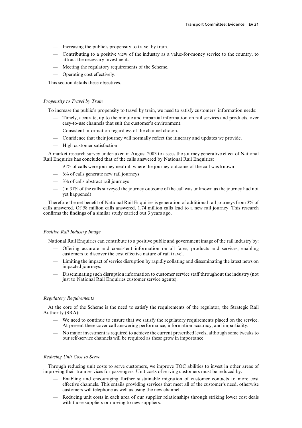- Increasing the public's propensity to travel by train.
- Contributing to a positive view of the industry as a value-for-money service to the country, to attract the necessary investment.
- Meeting the regulatory requirements of the Scheme.
- $\longrightarrow$  Operating cost effectively.

This section details these objectives.

# *Propensity to Travel by Train*

To increase the public's propensity to travel by train, we need to satisfy customers' information needs:

- Timely, accurate, up to the minute and impartial information on rail services and products, over easy-to-use channels that suit the customer's environment.
- Consistent information regardless of the channel chosen.
- Confidence that their journey will normally reflect the itinerary and updates we provide.
- High customer satisfaction.

A market research survey undertaken in August 2003 to assess the journey generative effect of National Rail Enquiries has concluded that of the calls answered by National Rail Enquiries:

- 91% of calls were journey neutral, where the journey outcome of the call was known
- $-$  6% of calls generate new rail journeys
- $-$  3% of calls abstract rail journeys
- (In 31% of the calls surveyed the journey outcome of the call was unknown as the journey had not yet happened)

Therefore the net benefit of National Rail Enquiries is generation of additional rail journeys from 3% of calls answered. Of 58 million calls answered, 1.74 million calls lead to a new rail journey. This research confirms the findings of a similar study carried out 3 years ago.

# *Positive Rail Industry Image*

National Rail Enquiries can contribute to a positive public and government image of the rail industry by:

- $-$  Offering accurate and consistent information on all fares, products and services, enabling customers to discover the cost effective nature of rail travel.
- Limiting the impact of service disruption by rapidly collating and disseminating the latest news on impacted journeys.
- Disseminating such disruption information to customer service staff throughout the industry (not just to National Rail Enquiries customer service agents).

# *Regulatory Requirements*

At the core of the Scheme is the need to satisfy the requirements of the regulator, the Strategic Rail Authority (SRA):

- We need to continue to ensure that we satisfy the regulatory requirements placed on the service. At present these cover call answering performance, information accuracy, and impartiality.
- No major investment is required to achieve the current prescribed levels, although some tweaks to our self-service channels will be required as these grow in importance.

# *ReducingUnit Cost to Serve*

Through reducing unit costs to serve customers, we improve TOC abilities to invest in other areas of improving their train services for passengers. Unit costs of serving customers must be reduced by:

- Enabling and encouraging further sustainable migration of customer contacts to more cost effective channels. This entails providing services that meet all of the customer's need, otherwise customers will telephone as well as using the new channel.
- Reducing unit costs in each area of our supplier relationships through striking lower cost deals with those suppliers or moving to new suppliers.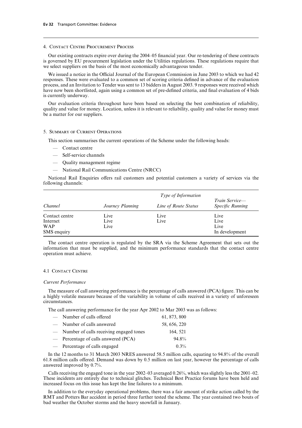# 4. Contact Centre Procurement Process

Our existing contracts expire over during the 2004–05 financial year. Our re-tendering of these contracts is governed by EU procurement legislation under the Utilities regulations. These regulations require that we select suppliers on the basis of the most economically advantageous tender.

We issued a notice in the Official Journal of the European Commission in June 2003 to which we had 42 responses. These were evaluated to a common set of scoring criteria defined in advance of the evaluation process, and an Invitation to Tender was sent to 13 bidders in August 2003. 9 responses were received which have now been shortlisted, again using a common set of pre-defined criteria, and final evaluation of 4 bids is currently underway.

Our evaluation criteria throughout have been based on selecting the best combination of reliability, quality and value for money. Location, unless it is relevant to reliability, quality and value for money must be a matter for our suppliers.

# 5. Summary of Current Operations

This section summarises the current operations of the Scheme under the following heads:

- Contact centre
- Self-service channels
- Quality management regime
- National Rail Communications Centre (NRCC)

National Rail Enquiries offers rail customers and potential customers a variety of services via the following channels:

| Channel        | <i>Type of Information</i> |                      |                                                  |  |
|----------------|----------------------------|----------------------|--------------------------------------------------|--|
|                | Journey Planning           | Line of Route Status | <i>Train Service—</i><br><b>Specific Running</b> |  |
| Contact centre | Live                       | Live                 | Live                                             |  |
| Internet       | Live                       | Live                 | Live                                             |  |
| <b>WAP</b>     | Live                       |                      | Live                                             |  |
| SMS enquiry    |                            |                      | In development                                   |  |

The contact centre operation is regulated by the SRA via the Scheme Agreement that sets out the information that must be supplied, and the minimum performance standards that the contact centre operation must achieve.

# 4.1 Contact Centre

#### *Current Performance*

The measure of call answering performance is the percentage of calls answered (PCA) figure. This can be a highly volatile measure because of the variability in volume of calls received in a variety of unforeseen circumstances.

The call answering performance for the year Apr 2002 to Mar 2003 was as follows:

| - Number of calls offered                           | 61, 873, 800 |
|-----------------------------------------------------|--------------|
| - Number of calls answered                          | 58, 656, 220 |
| - Number of calls receiving engaged tones           | 164, 521     |
| $\hspace{0.1cm}$ Percentage of calls answered (PCA) | 94.8%        |
| - Percentage of calls engaged                       | $0.3\%$      |

In the 12 months to 31 March 2003 NRES answered 58.5 million calls, equating to 94.8% of the overall  $61.8$  million calls offered. Demand was down by  $0.5$  million on last year, however the percentage of calls answered improved by 0.7%.

Calls receiving the engaged tone in the year 2002–03 averaged 0.26%, which was slightly less the 2001–02. These incidents are entirely due to technical glitches. Technical Best Practice forums have been held and increased focus on this issue has kept the line failures to a minimum.

In addition to the everyday operational problems, there was a fair amount of strike action called by the RMT and Potters Bar accident in period three further tested the scheme. The year contained two bouts of bad weather the October storms and the heavy snowfall in January.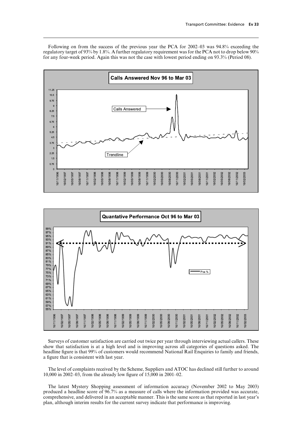Following on from the success of the previous year the PCA for 2002–03 was 94.8% exceeding the regulatory target of 93% by 1.8%. A further regulatory requirement was for the PCA not to drop below 90% for any four-week period. Again this was not the case with lowest period ending on 93.3% (Period 08).





Surveys of customer satisfaction are carried out twice per year through interviewing actual callers. These show that satisfaction is at a high level and is improving across all categories of questions asked. The headline figure is that 99% of customers would recommend National Rail Enquiries to family and friends, a figure that is consistent with last year.

The level of complaints received by the Scheme, Suppliers and ATOC has declined still further to around 10,000 in 2002–03, from the already low figure of 15,000 in 2001–02.

The latest Mystery Shopping assessment of information accuracy (November 2002 to May 2003) produced a headline score of 96.7% as a measure of calls where the information provided was accurate, comprehensive, and delivered in an acceptable manner. This is the same score as that reported in last year's plan, although interim results for the current survey indicate that performance is improving.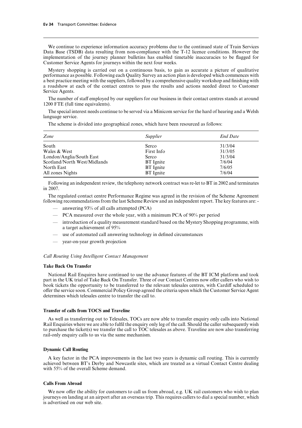We continue to experience information accuracy problems due to the continued state of Train Services Data Base (TSDB) data resulting from non-compliance with the T-12 licence conditions. However the implementation of the journey planner bulletins has enabled timetable inaccuracies to be flagged for Customer Service Agents for journeys within the next four weeks.

Mystery shopping is carried out on a continuous basis, to gain as accurate a picture of qualitative performance as possible. Following each Quality Survey an action plan is developed which commences with a best practice meeting with the suppliers, followed by a comprehensive quality workshop and finishing with a roadshow at each of the contact centres to pass the results and actions needed direct to Customer Service Agents.

The number of staff employed by our suppliers for our business in their contact centres stands at around 1200 FTE (full time equivalents).

The special interest needs continue to be served via a Minicom service for the hard of hearing and a Welsh language service.

*Zone Supplier End Date* South Serco 31/3/04 Wales & West First Info 31/3/05 London/Anglia/South East Serco 31/3/04 Scotland/North West/Midlands BT Ignite 7/6/04 North East **BT** Ignite 7/6/05

The scheme is divided into geographical zones, which have been resourced as follows:

Following an independent review, the telephony network contract was re-let to BT in 2002 and terminates in 2007.

The regulated contact centre Performance Regime was agreed in the revision of the Scheme Agreement following recommendations from the last Scheme Review and an independent report. The key features are: -

- answering 93% of all calls attempted (PCA)
- PCA measured over the whole year, with a minimum PCA of 90% per period

All zones Nights **BT** Ignite 7/6/04

- introduction of a quality measurement standard based on the Mystery Shopping programme, with a target achievement of 95%
- use of automated call answering technology in defined circumstances
- year-on-year growth projection

#### *Call Routing Using Intelligent Contact Management*

#### **Take Back On Transfer**

National Rail Enquires have continued to use the advance features of the BT ICM platform and took part in the UK trial of Take Back On Transfer. Three of our Contact Centres now offer callers who wish to book tickets the opportunity to be transferred to the relevant telesales centres, with Cardiff scheduled to offer the service soon. Commercial Policy Group agreed the criteria upon which the Customer Service Agent determines which telesales centre to transfer the call to.

## **Transfer of calls from TOCS and Traveline**

As well as transferring out to Telesales, TOCs are now able to transfer enquiry only calls into National Rail Enquiries where we are able to fulfil the enquiry only leg of the call. Should the caller subsequently wish to purchase the ticket(s) we transfer the call to TOC telesales as above. Traveline are now also transferring rail-only enquiry calls to us via the same mechanism.

# **Dynamic Call Routing**

A key factor in the PCA improvements in the last two years is dynamic call routing. This is currently achieved between BT's Derby and Newcastle sites, which are treated as a virtual Contact Centre dealing with 55% of the overall Scheme demand.

### **Calls From Abroad**

We now offer the ability for customers to call us from abroad, e.g. UK rail customers who wish to plan journeys on landing at an airport after an overseas trip. This requires callers to dial a special number, which is advertised on our web site.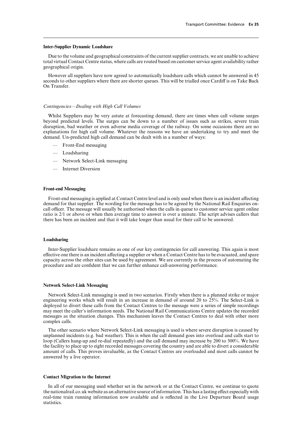# **Inter-Supplier Dynamic Loadshare**

Due to the volume and geographical constraints of the current supplier contracts, we are unable to achieve total virtual Contact Centre status, where calls are routed based on customer service agent availability rather geographical origin.

However all suppliers have now agreed to automatically loadshare calls which cannot be answered in 45 seconds to other suppliers where there are shorter queues. This will be trialled once Cardiff is on Take Back On Transfer.

# *Contingencies—Dealing with High Call Volumes*

Whilst Suppliers may be very astute at forecasting demand, there are times when call volume surges beyond predicted levels. The surges can be down to a number of issues such as strikes, severe train disruption, bad weather or even adverse media coverage of the railway. On some occasions there are no explanations for high call volume. Whatever the reasons we have an undertaking to try and meet the demand. Un-predicted high call demand can be dealt with in a number of ways:

- Front-End messaging
- Loadsharing
- Network Select-Link messaging
- Internet Diversion

# **Front-end Messaging**

Front-end messaging is applied at Contact Centre level and is only used when there is an incident affecting demand for that supplier. The wording for the message has to be agreed by the National Rail Enquiries oncall officer. The message will usually be authorised when the calls in queue to customer service agent online ratio is 2/1 or above or when then average time to answer is over a minute. The script advises callers that there has been an incident and that it will take longer than usual for their call to be answered.

#### **Loadsharing**

Inter-Supplier loadshare remains as one of our key contingencies for call answering. This again is most effective one there is an incident affecting a supplier or when a Contact Centre has to be evacuated, and spare capacity across the other sites can be used by agreement. We are currently in the process of automating the procedure and are confident that we can further enhance call-answering performance.

# **Network Select-Link Messaging**

Network Select-Link messaging is used in two scenarios. Firstly when there is a planned strike or major engineering works which will result in an increase in demand of around 20 to 25%. The Select-Link is deployed to divert these calls from the Contact Centres to the message were a series of simple recordings may meet the caller's information needs. The National Rail Communications Centre updates the recorded messages as the situation changes. This mechanism leaves the Contact Centres to deal with other more complex calls.

The other scenario where Network Select-Link messaging is used is where severe disruption is caused by unplanned incidents (e.g. bad weather). This is when the call demand goes into overload and calls start to loop (Callers hang-up and re-dial repeatedly) and the call demand may increase by 200 to 300%. We have the facility to place up to eight recorded messages covering the country and are able to divert a considerable amount of calls. This proves invaluable, as the Contact Centres are overloaded and most calls cannot be answered by a live operator.

# **Contact Migration to the Internet**

In all of our messaging used whether set in the network or at the Contact Centre, we continue to quote the nationalrail.co.uk website as an alternative source of information. This has a lasting effect especially with real-time train running information now available and is reflected in the Live Departure Board usage statistics.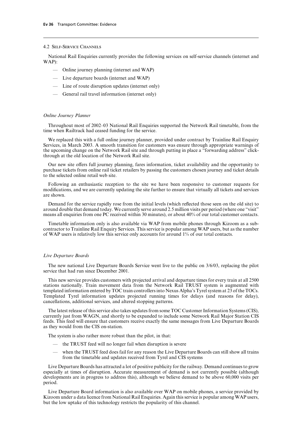# 4.2 Self-Service Channels

National Rail Enquiries currently provides the following services on self-service channels (internet and WAP):

- Online journey planning (internet and WAP)
- Live departure boards (internet and WAP)
- Line of route disruption updates (internet only)
- General rail travel information (internet only)

# *Online Journey Planner*

Throughout most of 2002–03 National Rail Enquiries supported the Network Rail timetable, from the time when Railtrack had ceased funding for the service.

We replaced this with a full online journey planner, provided under contract by Trainline Rail Enquiry Services, in March 2003. A smooth transition for customers was ensure through appropriate warnings of the upcoming change on the Network Rail site and through putting in place a "forwarding address" clickthrough at the old location of the Network Rail site.

Our new site offers full journey planning, fares information, ticket availability and the opportunity to purchase tickets from online rail ticket retailers by passing the customers chosen journey and ticket details to the selected online retail web site.

Following an enthusiastic reception to the site we have been responsive to customer requests for modifications, and we are currently updating the site further to ensure that virtually all tickets and services are shown.

Demand for the service rapidly rose from the initial levels (which reflected those seen on the old site) to around double that demand today. We currently serve around 2.5 million visits per period (where one "visit" means all enquiries from one PC received within 30 minutes), or about 40% of our total customer contacts.

Timetable information only is also available via WAP from mobile phones through Kizoom as a subcontractor to Trainline Rail Enquiry Services. This service is popular among WAP users, but as the number of WAP users is relatively low this service only accounts for around 1% of our total contacts.

# *Live Departure Boards*

The new national Live Departure Boards Service went live to the public on 3/6/03, replacing the pilot service that had run since December 2001.

This new service provides customers with projected arrival and departure times for every train at all 2500 stations nationally. Train movement data from the Network Rail TRUST system is augmented with templated information entered by TOC train controllers into Nexus Alpha's Tyrel system at 23 of the TOCs. Templated Tyrel information updates projected running times for delays (and reasons for delay), cancellations, additional services, and altered stopping patterns.

The latest release of this service also takes updates from some TOC Customer Information Systems (CIS), currently just from WAGN, and shortly to be expanded to include some Network Rail Major Station CIS feeds. This feed will ensure that customers receive exactly the same messages from Live Departure Boards as they would from the CIS on-station.

The system is also rather more robust than the pilot, in that:

- the TRUST feed will no longer fail when disruption is severe
- when the TRUST feed does fail for any reason the Live Departure Boards can still show all trains from the timetable and updates received from Tyrel and CIS systems

Live Departure Boards has attracted a lot of positive publicity for the railway. Demand continues to grow especially at times of disruption. Accurate measurement of demand is not currently possible (although developments are in progress to address this), although we believe demand to be above 60,000 visits per period.

Live Departure Board information is also available over WAP on mobile phones, a service provided by Kizoom under a data licence from National Rail Enquiries. Again this service is popular among WAP users, but the low uptake of this technology restricts the popularity of this channel.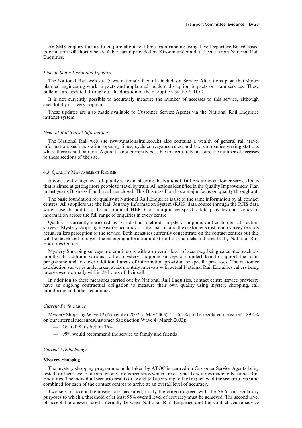An SMS enquiry facility to enquire about real time train running using Live Departure Board based information will shortly be available, again provided by Kizoom under a data licence from National Rail Enquiries.

# *Line of Route Disruption Updates*

The National Rail web site (www.nationalrail.co.uk) includes a Service Alterations page that shows planned engineering work impacts and unplanned incident disruption impacts on train services. These bulletins are updated throughout the duration of the disruption by the NRCC.

It is not currently possible to accurately measure the number of accesses to this service, although anecdotally it is very popular.

These updates are also made available to Customer Service Agents via the National Rail Enquiries intranet system.

# *General Rail Travel Information*

The National Rail web site (www.nationalrail.co.uk) also contains a wealth of general rail travel information, such as station opening times, cycle conveyance rules, and taxi companies serving stations where there is no taxi rank. Again it is not currently possible to accurately measure the number of accesses to these sections of the site.

# 4.3 Quality Management Regime

A consistently high level of quality is key in steering the National Rail Enquiries customer service focus that is aimed at getting more people to travel by train. All actions identified in the Quality Improvement Plan in last year's Business Plan have been closed. This Business Plan has a major focus on quality throughout.

The basic foundation for quality at National Rail Enquiries is use of the same information by all contact centres. All suppliers use the Rail Journey Information System (RJIS) data source through the RJIS data warehouse. In addition, the adoption of HERO for non-journey-specific data provides consistency of information across the full range of enquiries in every centre.

Quality is currently measured by two distinct methods, mystery shopping and customer satisfaction surveys. Mystery shopping measures accuracy of information and the customer satisfaction survey records actual callers perception of the service. Both measures currently concentrate on the contact centres but this will be developed to cover the emerging information distribution channels and specifically National Rail Enquiries Online.

Mystery Shopping surveys are continuous with an overall level of accuracy being calculated each six months. In addition various ad-hoc mystery shopping surveys are undertaken to support the main programme and to cover additional areas of information provision or specific processes. The customer satisfaction survey is undertaken at six monthly intervals with actual National Rail Enquiries callers being interviewed normally within 24 hours of their call.

In addition to these measures carried out by National Rail Enquiries, contact centre service providers have an ongoing contractual obligation to measure their own quality using mystery shopping, call monitoring and other techniques.

# *Current Performance*

Mystery Shopping Wave 12 (November 2002 to May 2003):? 96.7% on the regulated measure? 89.4% on our internal measuresCustomer Satisfaction Wave 4 (March 2003):

- Overall Satisfaction 76%
- 99% would recommend the service to family and friends

# *Current Methodology*

# **Mystery Shopping**

The mystery shopping programme undertaken by ATOC is centred on Customer Service Agents being tested for their level of accuracy on various scenarios which are of typical enquiries made to National Rail Enquiries. The individual scenario results are weighted according to the frequency of the scenario type and combined for each of the contact centres to arrive at an overall level of accuracy.

Two sets of acceptable answer are measured, firstly the criteria agreed with the SRA for regulatory purposes to which a threshold of at least 95% overall level of accuracy must be achieved. The second level of acceptable answer, used internally between National Rail Enquiries and the contact centre service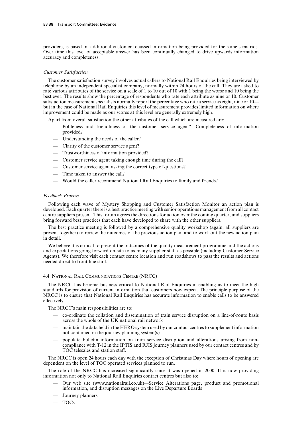providers, is based on additional customer focussed information being provided for the same scenarios. Over time this level of acceptable answer has been continually changed to drive upwards information accuracy and completeness.

# *Customer Satisfaction*

The customer satisfaction survey involves actual callers to National Rail Enquiries being interviewed by telephone by an independent specialist company, normally within 24 hours of the call. They are asked to rate various attributes of the service on a scale of 1 to 10 out of 10 with 1 being the worse and 10 being the best ever. The results show the percentage of respondents who rate each attribute as nine or 10. Customer satisfaction measurement specialists normally report the percentage who rate a service as eight, nine or 10 but in the case of National Rail Enquiries this level of measurement provides limited information on where improvement could be made as our scores at this level are generally extremely high.

Apart from overall satisfaction the other attributes of the call which are measured are:

- Politeness and friendliness of the customer service agent? Completeness of information provided?
- Understanding the needs of the caller?
- Clarity of the customer service agent?
- Trustworthiness of information provided?
- Customer service agent taking enough time during the call?
- Customer service agent asking the correct type of questions?
- Time taken to answer the call?
- Would the caller recommend National Rail Enquiries to family and friends?

# *Feedback Process*

Following each wave of Mystery Shopping and Customer Satisfaction Monitor an action plan is developed. Each quarter there is a best practice meeting with senior operations management from all contact centre suppliers present. This forum agrees the directions for action over the coming quarter, and suppliers bring forward best practices that each have developed to share with the other suppliers.

The best practice meeting is followed by a comprehensive quality workshop (again, all suppliers are present together) to review the outcomes of the previous action plan and to work out the new action plan in detail.

We believe it is critical to present the outcomes of the quality measurement programme and the actions and expectations going forward on-site to as many supplier staff as possible (including Customer Service Agents). We therefore visit each contact centre location and run roadshows to pass the results and actions needed direct to front line staff.

# 4.4 National Rail Communications Centre (NRCC)

The NRCC has become business critical to National Rail Enquiries in enabling us to meet the high standards for provision of current information that customers now expect. The principle purpose of the NRCC is to ensure that National Rail Enquiries has accurate information to enable calls to be answered effectively.

The NRCC's main responsibilities are to:

- co-ordinate the collation and dissemination of train service disruption on a line-of-route basis across the whole of the UK national rail network
- maintain the data held in the HERO system used by our contact centres to supplement information not contained in the journey planning system(s)
- populate bulletin information on train service disruption and alterations arising from noncompliance with T-12 in the IPTIS and RJIS journey planners used by our contact centres and by TOC telesales and station staff.

The NRCC is open 24 hours each day with the exception of Christmas Day where hours of opening are dependent on the level of TOC operated services planned to run.

The role of the NRCC has increased significantly since it was opened in 2000. It is now providing information not only to National Rail Enquiries contact centres but also to:

- Our web site (www.nationalrail.co.uk)—Service Alterations page, product and promotional information, and disruption messages on the Live Departure Boards
- Journey planners
- TOCs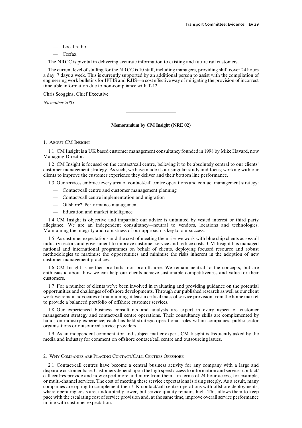- Local radio
- Ceefax

The NRCC is pivotal in delivering accurate information to existing and future rail customers.

The current level of staffing for the NRCC is 10 staff, including managers, providing shift cover 24 hours a day, 7 days a week. This is currently supported by an additional person to assist with the compilation of engineering work bulletins for IPTIS and RJIS—a cost effective way of mitigating the provision of incorrect timetable information due to non-compliance with T-12.

Chris Scoggins, Chief Executive

*November 2003*

## **Memorandum by CM Insight (NRE 02)**

## 1. About CM Insight

1.1 CM Insight is a UK based customer management consultancy founded in 1998 by Mike Havard, now Managing Director.

1.2 CM Insight is focused on the contact/call centre, believing it to be absolutely central to our clients' customer management strategy. As such, we have made it our singular study and focus; working with our clients to improve the customer experience they deliver and their bottom line performance.

1.3 Our services embrace every area of contact/call centre operations and contact management strategy:

- Contact/call centre and customer management planning
- Contact/call centre implementation and migration
- $-$  Offshore? Performance management
- Education and market intelligence

1.4 CM Insight is objective and impartial: our advice is untainted by vested interest or third party allegiance. We are an independent consultancy—neutral to vendors, locations and technologies. Maintaining the integrity and robustness of our approach is key to our success.

1.5 As customer expectations and the cost of meeting them rise we work with blue chip clients across all industry sectors and government to improve customer service and reduce costs. CM Insight has managed national and international programmes on behalf of clients, deploying focused resource and robust methodologies to maximise the opportunities and minimise the risks inherent in the adoption of new customer management practices.

1.6 CM Insight is neither pro-India nor pro-offshore. We remain neutral to the concepts, but are enthusiastic about how we can help our clients achieve sustainable competitiveness and value for their customers.

1.7 For a number of clients we've been involved in evaluating and providing guidance on the potential opportunities and challenges of offshore developments. Through our published research as well as our client work we remain advocates of maintaining at least a critical mass of service provision from the home market to provide a balanced portfolio of offshore customer services.

1.8 Our experienced business consultants and analysts are expert in every aspect of customer management strategy and contact/call centre operations. Their consultancy skills are complemented by hands-on industry experience; each has held strategic operational roles within companies, public sector organisations or outsourced service providers

1.9 As an independent commentator and subject matter expert, CM Insight is frequently asked by the media and industry for comment on offshore contact/call centre and outsourcing issues.

### 2. Why Companies are Placing Contact/Call Centres Offshore

2.1 Contact/call centres have become a central business activity for any company with a large and disparate customer base. Customers depend upon the high speed access to information and services contact/ call centres provide and now expect more and more from them—in terms of 24-hour access, for example, or multi-channel services. The cost of meeting these service expectations is rising steeply. As a result, many companies are opting to complement their UK contact/call centre operations with offshore deployments, where operating costs are, undoubtedly lower, but service quality remains high. This allows them to keep pace with the escalating cost of service provision and, at the same time, improve overall service performance in line with customer expectation.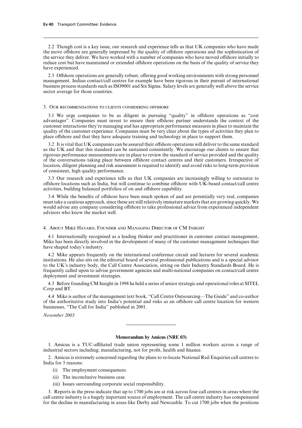2.2 Though cost is a key issue, our research and experience tells us that UK companies who have made the move offshore are generally impressed by the quality of offshore operations and the sophistication of the service they deliver. We have worked with a number of companies who have moved offshore initially to reduce cost but have maintained or extended offshore operations on the basis of the quality of service they have experienced.

2.3 Offshore operations are generally robust, offering good working environments with strong personnel management. Indian contact/call centres for example have been rigorous in their pursuit of international business process standards such as ISO9001 and Six Sigma. Salary levels are generally well above the service sector average for those countries.

#### 3. Our recommendations to clients considering offshore

 $3.1$  We urge companies to be as diligent in pursuing "quality" in offshore operations as "cost" advantages". Companies must invest to ensure their offshore partner understands the context of the customer interactions they're managing and has appropriate performance measures in place to maintain the quality of the customer experience. Companies must be very clear about the types of activities they plan to place offshore and that they have adequate training and technology in place to support them.

3.2 It is vital that UK companies can be assured their offshore operations will deliver to the same standard as the UK and that this standard can be sustained consistently. We encourage our clients to ensure that rigorous performance measurements are in place to review the standard of service provided and the quality of the conversations taking place between offshore contact centres and their customers. Irrespective of location, diligent planning and risk assessment is required to identify and avoid risks to long-term provision of consistent, high quality performance.

3.3 Our research and experience tells us that UK companies are increasingly willing to outsource to offshore locations such as India, but will continue to combine offshore with UK-based contact/call centre activities, building balanced portfolios of on and offshore capability.

3.4 While the benefits of offshore have been much spoken of and are potentially very real, companies must take a cautious approach, since these are still relatively immature markets that are growing quickly. We would advise any company considering offshore to take professional advice from experienced independent advisors who know the market well.

#### 4. About Mike Havard, Founder and Managing Director of CM Insight

4.1 Internationally recognised as a leading thinker and practitioner in customer contact management, Mike has been directly involved in the development of many of the customer management techniques that have shaped today's industry.

4.2 Mike appears frequently on the international conference circuit and lectures for several academic institutions. He also sits on the editorial board of several professional publications and is a special advisor to the UK's industry body, the Call Centre Association, sitting on their Industry Standards Board. He is frequently called upon to advise government agencies and multi-national companies on contact/call centre deployment and investment strategies.

4.3 Before founding CM Insight in 1998 he held a series of senior strategic and operational roles at SITEL Corp and BT.

4.4 Mike is author of the management text book, "Call Centre Outsourcing—The Guide" and co-author of the authoritative study into India's potential and risks as an offshore call centre location for western businesses, "The Call for India" published in 2001.

*November 2003*

### **Memorandum by Amicus (NRE 03)**

1. Amicus is a TUC-affiliated trade union representing some 1 million workers across a range of industrial sectors including; manufacturing, not for profit, health and finance.

2. Amicus is extremely concerned regarding the plans to re-locate National Rail Enquiries call centres to India for 3 reasons:

- (i) The employment consequences.
- (ii) The inconclusive business case.
- (iii) Issues surrounding corporate social responsibility.

3. Reports in the press indicate that up to 1700 jobs are at risk across four call centres in areas where the call centre industry is a hugely important source of employment. The call centre industry has compensated for the decline in manufacturing in areas like Derby and Newcasltle. To cut 1700 jobs when the positions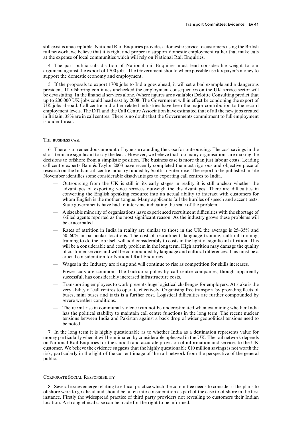still exist is unacceptable. National Rail Enquiries provides a domestic service to customers using the British rail network, we believe that it is right and proper to support domestic employment rather that make cuts at the expense of local communities which will rely on National Rail Enquiries.

4. The part public subsidisation of National rail Enquiries must lend considerable weight to our argument against the export of 1700 jobs. The Government should where possible use tax payer's money to support the domestic economy and employment.

5. If the proposals to export 1700 jobs to India goes ahead, it will set a bad example and a dangerous president. If offshoring continues unchecked the employment consequences on the UK service sector will be devastating. In the financial services alone, (where figures are available) Deloitte Consulting predict that up to 200 000 UK jobs could head east by 2008. The Government will in effect be condoning the export of UK jobs abroad. Call centre and other related industries have been the major contribution to the record employment levels. The DTI and the Call Centre Association have estimated that of all the new jobs created in Britain, 38% are in call centres. There is no doubt that the Governments commitment to full employment is under threat.

### The business case

6. There is a tremendous amount of hype surrounding the case for outsourcing. The cost savings in the short term are significant to say the least. However, we believe that too many organisations are making the decisions to offshore from a simplistic position. The business case is more than just labour costs. Leading call centre experts Bain & Taylor 2003 have recently completed the most rigorous and objective piece of research on the Indian call centre industry funded by Scottish Enterprise. The report to be published in late November identifies some considerable disadvantages to exporting call centres to India.

- Outsourcing from the UK is still in its early stages in reality it is still unclear whether the advantages of exporting voice services outweigh the disadvantages. There are difficulties in converting the English speaking resource into an actual ability to interact with customers for whom English is the mother tongue. Many applicants fail the hurdles of speech and accent tests. State governments have had to intervene indicating the scale of the problem.
- $-$  A sizeable minority of organisations have experienced recruitment difficulties with the shortage of skilled agents reported as the most significant reason. As the industry grows these problems will be exacerbated.
- Rates of attrition in India in reality are similar to those in the UK the average is 25–35% and 50–60% in particular locations. The cost of recruitment, language training, cultural training, training to do the job itself will add considerably to costs in the light of significant attrition. This will be a considerable and costly problem in the long term. High attrition may damage the quality of customer service and will be compounded by language and cultural differences. This must be a crucial consideration for National Rail Enquiries.
- Wages in the Industry are rising and will continue to rise as competition for skills increases.
- Power cuts are common. The backup supplies by call centre companies, though apparently successful, has considerably increased infrastructure costs.
- Transporting employees to work presents huge logistical challenges for employers. At stake is the very ability of call centres to operate effectively. Organising free transport by providing fleets of buses, mini buses and taxis is a further cost. Logistical difficulties are further compounded by severe weather conditions.
- The recent rise in communal violence can not be underestimated when examining whether India has the political stability to maintain call centre functions in the long term. The recent nuclear tensions between India and Pakistan against a back drop of wider geopolitical tensions need to be noted.

7. In the long term it is highly questionable as to whether India as a destination represents value for money particularly when it will be animated by considerable upheaval in the UK. The rail network depends on National Rail Enquiries for the smooth and accurate provision of information and services to the UK customer. We believe the evidence suggests that the highly questionable  $\pm 10$  million savings is not worth the risk, particularly in the light of the current image of the rail network from the perspective of the general public.

## Corporate Social Responsibility

8. Several issues emerge relating to ethical practice which the committee needs to consider if the plans to offshore were to go ahead and should be taken into consideration as part of the case to offshore in the first instance. Firstly the widespread practice of third party providers not revealing to customers their Indian location. A strong ethical case can be made for the right to be informed.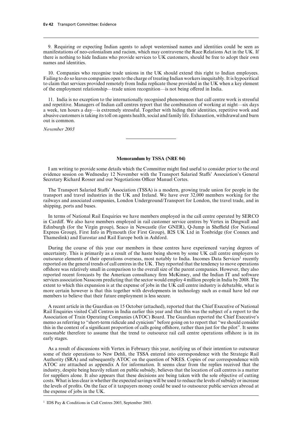9. Requiring or expecting Indian agents to adopt westernised names and identities could be seen as manifestations of neo-colonialism and racism, which may contravene the Race Relations Act in the UK. If there is nothing to hide Indians who provide services to UK customers, should be free to adopt their own names and identities.

10. Companies who recognise trade unions in the UK should extend this right to Indian employees. Failing to do so leaves companies open to the charge of treating Indian workers inequitably. It is hypocritical to claim that services provided remotely from India replicate those provided in the UK when a key element of the employment relationship—trade union recognition—is not being offered in India.

11. India is no exception to the internationally recognised phenomenon that call centre work is stressful and repetitive. Managers of Indian call centres report that the combination of working at night—six days a week, ten hours a day—is extremely stressful. Together with hiding their identities, repetitive work and abusive customers is taking its toll on agents health, social and family life. Exhaustion, withdrawal and burn out is common.

*November 2003*

# **Memorandum by TSSA (NRE 04)**

I am writing to provide some details which the Committee might find useful to consider prior to the oral evidence session on Wednesday 12 November with the Transport Salaried Staffs' Association's General Secretary Richard Rosser and our Negotiations Officer Manuel Cortes.

The Transport Salaried Staffs' Association (TSSA) is a modern, growing trade union for people in the transport and travel industries in the UK and Ireland. We have over 32,000 members working for the railways and associated companies, London Underground/Transport for London, the travel trade, and in shipping, ports and buses.

In terms of National Rail Enquiries we have members employed in the call centre operated by SERCO in Cardiff. We also have members employed in rail customer service centres by Vertex in Dingwall and Edinburgh (for the Virgin group), Seaco in Newcastle (for GNER), Q-Jump in Sheffield (for National Express Group), First Info in Plymouth (for First Group), B2S UK Ltd in Tonbridge (for Connex and Thameslink) and Eurostar and Rail Europe both in Ashford.

During the course of this year our members in these centres have experienced varying degrees of uncertainty. This is primarily as a result of the haste being shown by some UK call centre employers to outsource elements of their operations overseas, most notably to India. Incomes Data Services<sup>1</sup> recently reported on the general trends of call centres in the UK. They reported that the tendency to move operations offshore was relatively small in comparison to the overall size of the parent companies. However, they also reported recent forecasts by the American consultancy firm McKinsey, and the Indian IT and software services association Nasscom predicting that the sector would employ 4 million people in India by 2008. The extent to which this expansion is at the expense of jobs in the UK call centre industry is debatable, what is more certain however is that this together with developments in technology such as e-mail have led our members to believe that their future employment is less secure.

A recent article in the Guardian on 15 October (attached), reported that the Chief Executive of National Rail Enquiries visited Call Centres in India earlier this year and that this was the subject of a report to the Association of Train Operating Companies (ATOC) Board. The Guardian reported the Chief Executive's memo as referring to "short-term ridicule and cynicism" before going on to report that "we should consider this in the context of a significant proportion of calls going offshore, rather than just for the pilot". It seems reasonable therefore to assume that the trend to outsource rail call centre operations offshore is in its early stages.

As a result of discussions with Vertex in February this year, notifying us of their intention to outsource some of their operations to New Dehli, the TSSA entered into correspondence with the Strategic Rail Authority (SRA) and subsequently ATOC on the question of NRES. Copies of our correspondence with ATOC are atttached as appendix A for information. It seems clear from the replies received that the industry, despite being heavily reliant on public subsidy, believes that the location of call centres is a matter for suppliers alone. It also appears that these decisions are being taken with the sole objective of cutting costs. What is less clear is whether the expected savings will be used to reduce the levels of subsidy or increase the levels of profits. On the face of it taxpayers money could be used to outsource public services abroad at the expense of jobs in the UK.

<sup>1</sup> IDS Pay & Conditions in Call Centres 2003, September 2003.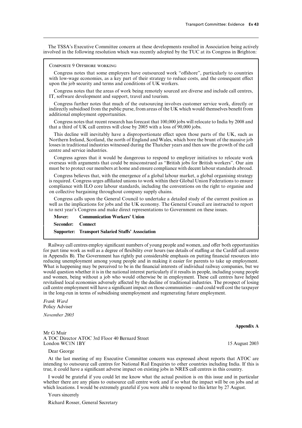The TSSA's Executive Committee concern at these developments resulted in Association being actively involved in the following resolution which was recently adopted by the TUC at its Congress in Brighton:

Composite 9 Offshore working

Congress notes that some employers have outsourced work "offshore", particularly to countries with low-wage economies, as a key part of their strategy to reduce costs, and the consequent effect upon the job security and terms and conditions of UK workers.

Congress notes that the areas of work being remotely sourced are diverse and include call centres, IT, software development and support, travel and tourism.

Congress further notes that much of the outsourcing involves customer service work, directly or indirectly subsidised from the public purse, from areas of the UK which would themselves benefit from additional employment opportunities.

Congress notes that recent research has forecast that 100,000 jobs will relocate to India by 2008 and that a third of UK call centres will close by 2005 with a loss of 90,000 jobs.

This decline will inevitably have a disproportionate effect upon those parts of the UK, such as Northern Ireland, Scotland, the north of England and Wales, which bore the brunt of the massive job losses in traditional industries witnessed during the Thatcher years and then saw the growth of the call centre and service industries.

Congress agrees that it would be dangerous to respond to employer initiatives to relocate work overseas with arguments that could be misconstrued as "British jobs for British workers". Our aim must be to protect our members at home and ensure compliance with decent labour standards abroad.

Congress believes that, with the emergence of a global labour market, a global organising strategy is required. Congress urges affiliated unions to work within their Global Union Federations to ensure compliance with ILO core labour standards, including the conventions on the right to organise and on collective bargaining throughout company supply chains.

Congress calls upon the General Council to undertake a detailed study of the current position as well as the implications for jobs and the UK economy. The General Council are instructed to report to next year's Congress and make direct representations to Government on these issues.

|                   | <b>Mover:</b> Communication Workers' Union               |
|-------------------|----------------------------------------------------------|
| Seconder: Connect |                                                          |
|                   | <b>Supporter: Transport Salaried Staffs' Association</b> |

Railway call centres employ significant numbers of young people and women, and offer both opportunities for part time work as well as a degree of flexibility over hours (see details of staffing at the Cardiff call centre in Appendix B). The Government has rightly put considerable emphasis on putting financial resources into reducing unemployment among young people and in making it easier for parents to take up employment. What is happening may be perceived to be in the financial interests of individual railway companies, but we would question whether it is in the national interest particularly if it results in people, including young people and women, being without a job who would otherwise be in employment. These call centres have helped revitalised local economies adversely affected by the decline of traditional industries. The prospect of losing call centre employment will have a significant impact on those communities—and could well cost the taxpayer in the long-run in terms of subsidising unemployment and regenerating future employment.

*Frank Ward* Policy Adviser

*November 2003*

Mr G Muir A TOC Director ATOC 3rd Floor 40 Bernard Street London WC1N 1BY 15 August 2003

Dear George

At the last meeting of my Executive Committee concern was expressed about reports that ATOC are intending to outsource call centres for National Rail Enquiries to other countries including India. If this is true, it could have a significant adverse impact on existing jobs in NRES call centres in this country.

I would be grateful if you could let me know what the actual position is on this issue and in particular whether there are any plans to outsource call centre work and if so what the impact will be on jobs and at which locations. I would be extremely grateful if you were able to respond to this letter by 27 August.

Yours sincerely

Richard Rosser, General Secretary

**Appendix A**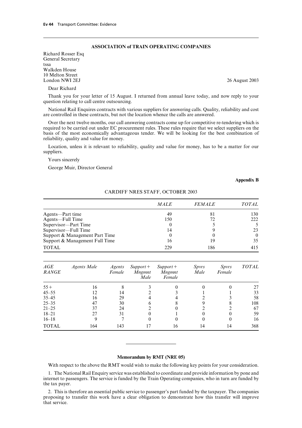# **ASSOCIATION of TRAIN OPERATING COMPANIES**

Richard Rosser Esq General Secretary tssa Walkden House 10 Melton Street<br>London NWI 2EJ

Dear Richard

Thank you for your letter of 15 August. I returned from annual leave today, and now reply to your question relating to call centre outsourcing.

National Rail Enquires contracts with various suppliers for answering calls. Quality, reliability and cost are controlled in these contracts, but not the location whence the calls are answered.

Over the next twelve months, our call answering contracts come up for competitive re-tendering which is required to be carried out under EC procurement rules. These rules require that we select suppliers on the basis of the most economically advantageous tender. We will be looking for the best combination of reliability, quality and value for money.

Location, unless it is relevant to reliability, quality and value for money, has to be a matter for our suppliers.

Yours sincerely

George Muir, Director General

## **Appendix B**

|                                | <b>MALE</b> | <i><b>FEMALE</b></i> | <i>TOTAL</i> |
|--------------------------------|-------------|----------------------|--------------|
| Agents-Part time               | 49          | 81                   | 130          |
| Agents-Full Time               | 150         | 72                   | 222          |
| Supervisor-Part Time           |             |                      |              |
| Supervisor-Full Time           | 14          |                      | 23           |
| Support & Management Part Time |             |                      | $\theta$     |
| Support & Management Full Time | 16          | 19                   | 35           |
| <b>TOTAL</b>                   | 229         | 186                  | 415          |

CARDIFF NRES STAFF, OCTOBER 2003

| AGE<br><b>RANGE</b> | <i>Agents Male</i> | Agents<br>Female | $Support+$<br><b>Mngmnt</b><br>Male | $Support+$<br><b>Mngmnt</b><br>Female | <i>Spyrs</i><br>Male | <i>Spyrs</i><br>Female | <b>TOTAL</b> |
|---------------------|--------------------|------------------|-------------------------------------|---------------------------------------|----------------------|------------------------|--------------|
| $55+$               | 16                 |                  |                                     |                                       |                      |                        | 27           |
| $45 - 55$           | 12                 | 14               |                                     |                                       |                      |                        | 33           |
| $35 - 45$           | 16                 | 29               |                                     |                                       |                      |                        | 58           |
| $25 - 35$           | 47                 | 30               |                                     |                                       |                      |                        | 108          |
| $21 - 25$           | 37                 | 24               |                                     |                                       |                      |                        | 67           |
| $18 - 21$           | 27                 | 31               |                                     |                                       |                      |                        | 59           |
| $16 - 18$           | 9                  |                  |                                     |                                       |                      |                        | 16           |
| <b>TOTAL</b>        | 164                | 143              |                                     | 16                                    | 14                   | 14                     | 368          |

### **Memorandum by RMT (NRE 05)**

With respect to the above the RMT would wish to make the following key points for your consideration.

1. The National Rail Enquiry service was established to coordinate and provide information by pone and internet to passengers. The service is funded by the Train Operating companies, who in turn are funded by the tax payer.

2. This is therefore an essential public service to passenger's part funded by the taxpayer. The companies proposing to transfer this work have a clear obligation to demonstrate how this transfer will improve that service.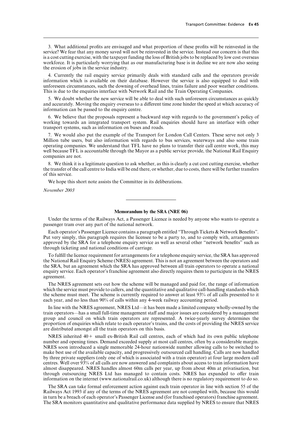3. What additional profits are envisaged and what proportion of these profits will be reinvested in the service? We fear that any money saved will not be reinvested in the service. Instead our concern is that this is a cost cutting exercise, with the taxpayer funding the loss of British jobs to be replaced by low cost overseas workforce. It is particularly worrying that as our manufacturing base is in decline we are now also seeing the erosion of jobs in the service industry.

4. Currently the rail enquiry service primarily deals with standard calls and the operators provide information which is available on their database. However the service is also equipped to deal with unforeseen circumstances, such the downing of overhead lines, trains failure and poor weather conditions. This is due to the enquiries interface with Network Rail and the Train Operating Companies.

5. We doubt whether the new service will be able to deal with such unforeseen circumstances as quickly and accurately. Moving the enquiry overseas to a different time zone hinder the speed at which accuracy of information can be passed to the enquiry centre.

6. We believe that the proposals represent a backward step with regards to the government's policy of working towards an integrated transport system. Rail enquiries should have an interface with other transport systems, such as information on buses and roads.

7. We would also put the example of the Transport for London Call Centers. These serve not only 3 Million tube users, but also information with regards to bus services, waterways and also some train operating companies. We understand that TFLhave no plans to transfer their call centre work, this may well because TFL is accountable through the Mayor as a public service provide, the National Rail Enquiry companies are not.

8. We think it is a legitimate question to ask whether, as this is clearly a cut cost cutting exercise, whether the transfer of the call centre to India will be end there, or whether, due to costs, there will be further transfers of this service.

We hope this short note assists the Committee in its deliberations.

*November 2003*

### **Memorandum by the SRA (NRE 06)**

Under the terms of the Railways Act, a Passenger Licence is needed by anyone who wants to operate a passenger tram over any part of the national network.

Each operator's Passenger Licence contains a paragraph entitled "Through Tickets & Network Benefits". Put very simply, this paragraph requires the licensee to be a party to, and to comply with, arrangements approved by the SRA for a telephone enquiry service as well as several other "network benefits" such as through ticketing and national conditions of carriage.

To fulfill the licence requirement for arrangements for a telephone enquiry service, the SRA has approved the National Rail Enquiry Scheme (NRES) agreement. This is not an agreement between the operators and the SRA, but an agreement which the SRA has approved between all train operators to operate a national enquiry service. Each operator's franchise agreement also directly requires them to participate in the NRES agreement.

The NRES agreement sets out how the scheme will be managed and paid for, the range of information which the service must provide to callers, and the quantitative and qualitative call-handling standards which the scheme must meet. The scheme is currently required to answer at least 93% of all calls presented to it each year, and no less than 90% of calls within any 4-week railway accounting period.

In line with the NRES agreement, NRES Ltd—it has been made a limited company wholly-owned by the train operators—has a small full-time management staff and major issues are considered by a management group and council on which train operators are represented. A twice-yearly survey determines the proportion of enquiries which relate to each operator's trains, and the costs of providing the NRES service are distributed amongst all the train operators on this basis.

NRES inherited  $40 +$  small ex-British Rail call centres, each of which had its own public telephone number and opening times. Demand exceeded supply at most call centres, often by a considerable margin. NRES soon introduced a single memorable 24-hour nationwide number allowing calls to be switched to make best use of the available capacity, and progressively outsourced call handling. Calls are now handled by three private suppliers (only one of which is associated with a train operator) at four large modern call centres. Well over 93% of all calls are now answered and complaints about access to train information have almost disappeared. NRES handles almost 60m calls per year, up from about 40m at privatisation, but through outsourcing NRES Ltd has managed to contain costs. NRES has expanded to offer train information on the internet (www.nationalrail.co.uk) although there is no regulatory requirement to do so.

The SRA can take formal enforcement action against each train operator in line with section 55 of the Railways Act 1993 if any of the terms of the NRES agreement are not complied with, because this would in turn be a breach of each operator's Passenger License and (for franchised operators) franchise agreement. The SRA monitors quantitative and qualitative performance data supplied by NRES to ensure that NRES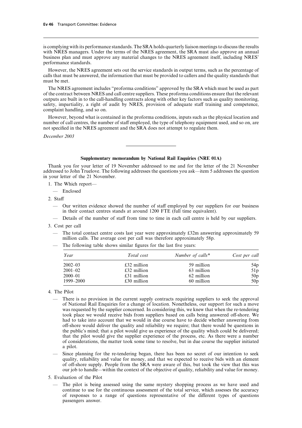is complying with its performance standards. The SRA holds quarterly liaison meetings to discuss the results with NRES managers. Under the terms of the NRES agreement, the SRA must also approve an annual business plan and must approve any material changes to the NRES agreement itself, including NRES' performance standards.

However, the NRES agreement sets out the service standards in output terms, such as the percentage of calls that must be answered, the information that must be provided to callers and the quality standards that must be met.

The NRES agreement includes "proforma conditions" approved by the SRA which must be used as part of the contract between NRES and call centre suppliers. These proforma conditions ensure that the relevant outputs are built in to the call-handling contracts along with other key factors such as quality monitoring, safety, impartiality, a right of audit by NRES, provision of adequate staff training and competence, complaint handling, and so on.

However, beyond what is contained in the proforma conditions, inputs such as the physical location and number of call centres, the number of staff employed, the type of telephony equipment used, and so on, are not specified in the NRES agreement and the SRA does not attempt to regulate them.

*December 2003*

# **Supplementary memorandum by National Rail Enquiries (NRE 01A)**

Thank you for your letter of 19 November addressed to me and for the letter of the 21 November addressed to John Truelove. The following addresses the questions you ask—item 5 addresses the question in your letter of the 21 November.

- 1. The Which report—
	- Enclosed
- 2. Staff
	- Our written evidence showed the number of staff employed by our suppliers for our business in their contact centres stands at around 1200 FTE (full time equivalent).
	- Details of the number of staff from time to time in each call centre is held by our suppliers.
- 3. Cost per call
	- The total contact centre costs last year were approximately £32m answering approximately 59 million calls. The average cost per call was therefore approximately 58p.
	- The following table shows similar figures for the last five years:

| Year        | Total cost    | Number of calls* | Cost per call |
|-------------|---------------|------------------|---------------|
| $2002 - 03$ | $£32$ million | 59 million       | 54p           |
| $2001 - 02$ | $£32$ million | 63 million       | 51 p          |
| $2000 - 01$ | £31 million   | 62 million       | 50p           |
| 1999-2000   | $£30$ million | 60 million       | 50p           |

4. The Pilot

- There is no provision in the current supply contracts requiring suppliers to seek the approval of National Rail Enquiries for a change of location. Nonetheless, our support for such a move was requested by the supplier concerned. In considering this, we knew that when the re-tendering took place we would receive bids from suppliers based on calls being answered off-shore. We had to take into account that we would in due course have to decide whether answering from off-shore would deliver the quality and reliability we require; that there would be questions in the public's mind; that a pilot would give us experience of the quality which could be delivered; that the pilot would give the supplier experience of the process, etc. As there were a number of considerations, the matter took some time to resolve, but in due course the supplier initiated a pilot.
- Since planning for the re-tendering began, there has been no secret of our intention to seek quality, reliability and value for money, and that we expected to receive bids with an element of off-shore supply. People from the SRA were aware of this, but took the view that this was our job to handle—within the context of the objective of quality, reliability and value for money.
- 5. Evaluation of the Pilot
	- The pilot is being assessed using the same mystery shopping process as we have used and continue to use for the continuous assessment of the total service, which assesses the accuracy of responses to a range of questions representative of the different types of questions passengers answer.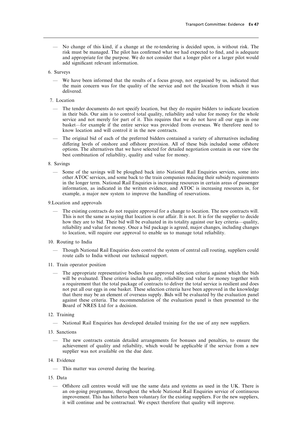- No change of this kind, if a change at the re-tendering is decided upon, is without risk. The risk must be managed. The pilot has confirmed what we had expected to find, and is adequate and appropriate for the purpose. We do not consider that a longer pilot or a larger pilot would add significant relevant information.
- 6. Surveys
	- We have been informed that the results of a focus group, not organised by us, indicated that the main concern was for the quality of the service and not the location from which it was delivered.
- 7. Location
	- The tender documents do not specify location, but they do require bidders to indicate location in their bids. Our aim is to control total quality, reliability and value for money for the whole service and not merely for part of it. This requires that we do not have all our eggs in one basket—for example if the entire service was provided from overseas. We therefore need to know location and will control it in the new contracts.
	- The original bid of each of the preferred bidders contained a variety of alternatives including differing levels of onshore and offshore provision. All of these bids included some offshore options. The alternatives that we have selected for detailed negotiation contain in our view the best combination of reliability, quality and value for money.
- 8. Savings
	- Some of the savings will be ploughed back into National Rail Enquiries services, some into other ATOC services, and some back to the train companies reducing their subsidy requirements in the longer term. National Rail Enquiries is increasing resources in certain areas of passenger information, as indicated in the written evidence, and ATOC is increasing resources in, for example, a major new system to improve the handling of reservations.
- 9.Location and approvals
	- The existing contracts do not require approval for a change to location. The new contracts will. This is not the same as saying that location is our affair. It is not. It is for the supplier to decide how they are to bid. Their bid will be evaluated in its totality against our key criteria—quality, reliability and value for money. Once a bid package is agreed, major changes, including changes to location, will require our approval to enable us to manage total reliability.
- 10. Routing to India
	- Though National Rail Enquiries does control the system of central call routing, suppliers could route calls to India without our technical support.
- 11. Train operator position
	- The appropriate representative bodies have approved selection criteria against which the bids will be evaluated. These criteria include quality, reliability and value for money together with a requirement that the total package of contracts to deliver the total service is resilient and does not put all our eggs in one basket. These selection criteria have been approved in the knowledge that there may be an element of overseas supply. Bids will be evaluated by the evaluation panel against these criteria. The recommendation of the evaluation panel is then presented to the Board of NRES Ltd for a decision.
- 12. Training
	- National Rail Enquiries has developed detailed training for the use of any new suppliers.
- 13. Sanctions
	- The new contracts contain detailed arrangements for bonuses and penalties, to ensure the achievement of quality and reliability, which would be applicable if the service from a new supplier was not available on the due date.
- 14. Evidence
	- This matter was covered during the hearing.
- 15. Data
	- Offshore call centres would will use the same data and systems as used in the UK. There is an on-going programme, throughout the whole National Rail Enquiries service of continuous improvement. This has hitherto been voluntary for the existing suppliers. For the new suppliers, it will continue and be contractual. We expect therefore that quality will improve.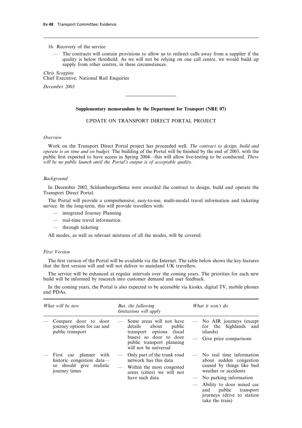# 16. Recovery of the service

— The contracts will contain provisions to allow us to redirect calls away from a supplier if the quality is below threshold. As we will not be relying on one call centre, we would build up supply from other centres, in these circumstances.

*Chris Scoggins* Chief Executive, National Rail Enquiries

*December 2003*

# **Supplementary memorandum by the Department for Transport (NRE 07)**

# UPDATE ON TRANSPORT DIRECT PORTALPROJECT

# *Overview*

Work on the Transport Direct Portal project has proceeded well. *The contract to design, build and operate is on time and on budget.* The building of the Portal will be finished by the end of 2003, with the public first expected to have access in Spring 2004—this will allow live-testing to be conducted. *There will be no public launch until the Portal's output is of acceptable quality.*

#### *Background*

In December 2002, SchlumbergerSema were awarded the contract to design, build and operate the Transport Direct Portal.

The Portal will provide a comprehensive, easy-to-use, multi-modal travel information and ticketing service. In the long-term, this will provide travellers with:

- integrated Journey Planning
- real-time travel information
- through ticketing

All modes, as well as relevant mixtures of all the modes, will be covered.

## *First Version*

The first version of the Portal will be available via the Internet. The table below shows the key features that the first version will and will not deliver to mainland UK travellers.

The service will be enhanced at regular intervals over the coming years. The priorities for each new build will be informed by research into customer demand and user feedback.

In the coming years, the Portal is also expected to be accessible via kiosks, digital TV, mobile phones and PDAs.

| What will be new |                                                                                                  |                                                                                                                                   | But, the following<br><i>limitations will apply</i>                                                                                                                |                                                                                                          | What it won't do                                                                                         |  |  |
|------------------|--------------------------------------------------------------------------------------------------|-----------------------------------------------------------------------------------------------------------------------------------|--------------------------------------------------------------------------------------------------------------------------------------------------------------------|----------------------------------------------------------------------------------------------------------|----------------------------------------------------------------------------------------------------------|--|--|
|                  | Compare door to door<br>journey options for car and<br>public transport                          |                                                                                                                                   | Some areas will not have<br>public<br>details<br>about<br>transport options (local<br>buses) so door to door<br>public transport planning<br>will not be universal | $\overline{\phantom{0}}$                                                                                 | No AIR journeys (except<br>for the highlands and<br>islands)<br>Give price comparisons                   |  |  |
|                  | First car planner with<br>historic congestion data—<br>so should give realistic<br>journey times | Only part of the trunk road<br>network has this data<br>Within the most congested<br>areas (cities) we will not<br>have such data |                                                                                                                                                                    | No real time information<br>about sudden congestion<br>caused by things like bad<br>weather or accidents |                                                                                                          |  |  |
|                  |                                                                                                  |                                                                                                                                   |                                                                                                                                                                    |                                                                                                          | No parking information                                                                                   |  |  |
|                  |                                                                                                  |                                                                                                                                   |                                                                                                                                                                    |                                                                                                          | Ability to door mixed car<br>public<br>and<br>transport<br>journeys (drive to station<br>take the train) |  |  |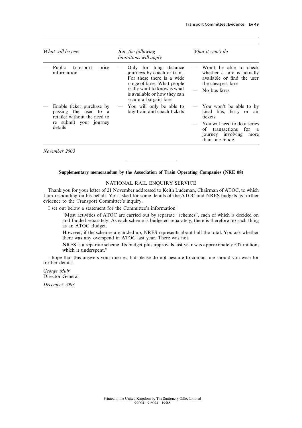| What will be new |                                                                                                                         | But, the following<br><i>limitations will apply</i>                                                                                                                                                       | What it won't do                                                                                                                             |  |  |
|------------------|-------------------------------------------------------------------------------------------------------------------------|-----------------------------------------------------------------------------------------------------------------------------------------------------------------------------------------------------------|----------------------------------------------------------------------------------------------------------------------------------------------|--|--|
|                  | Public<br>transport<br>price<br>information                                                                             | Only for long distance<br>journeys by coach or train.<br>For these there is a wide<br>range of fares. What people<br>really want to know is what<br>is available or how they can<br>secure a bargain fare | Won't be able to check<br>whether a fare is actually<br>available or find the user<br>the cheapest fare<br>No bus fares                      |  |  |
|                  | Enable ticket purchase by<br>passing the user to a<br>retailer without the need to<br>re submit your journey<br>details | You will only be able to<br>buy train and coach tickets                                                                                                                                                   | - You won't be able to by<br>local bus, ferry or<br>air<br>tickets<br>You will need to do a series<br>of<br>transactions for<br><sub>a</sub> |  |  |
|                  |                                                                                                                         |                                                                                                                                                                                                           | journey involving<br>more<br>than one mode                                                                                                   |  |  |

*November 2003*

## **Supplementary memorandum by the Association of Train Operating Companies (NRE 08)**

# NATIONAL RAIL ENQUIRY SERVICE

Thank you for your letter of 21 November addressed to Keith Ludeman, Chairman of ATOC, to which I am responding on his behalf. You asked for some details of the ATOC and NRES budgets as further evidence to the Transport Committee's inquiry.

I set out below a statement for the Committee's information:

"Most activities of ATOC are carried out by separate "schemes", each of which is decided on and funded separately. As each scheme is budgeted separately, there is therefore no such thing as an ATOC Budget.

However, if the schemes are added up, NRES represents about half the total. You ask whether there was any overspend in ATOC last year. There was not.

NRES is a separate scheme. Its budget plus approvals last year was approximately £37 million, which it underspent."

I hope that this answers your queries, but please do not hesitate to contact me should you wish for further details.

*George Muir* Director General

*December 2003*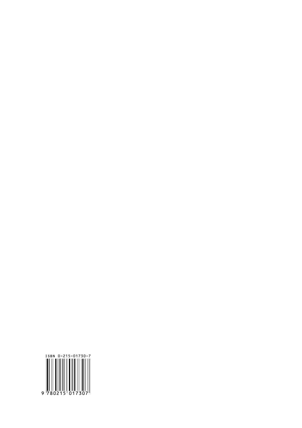